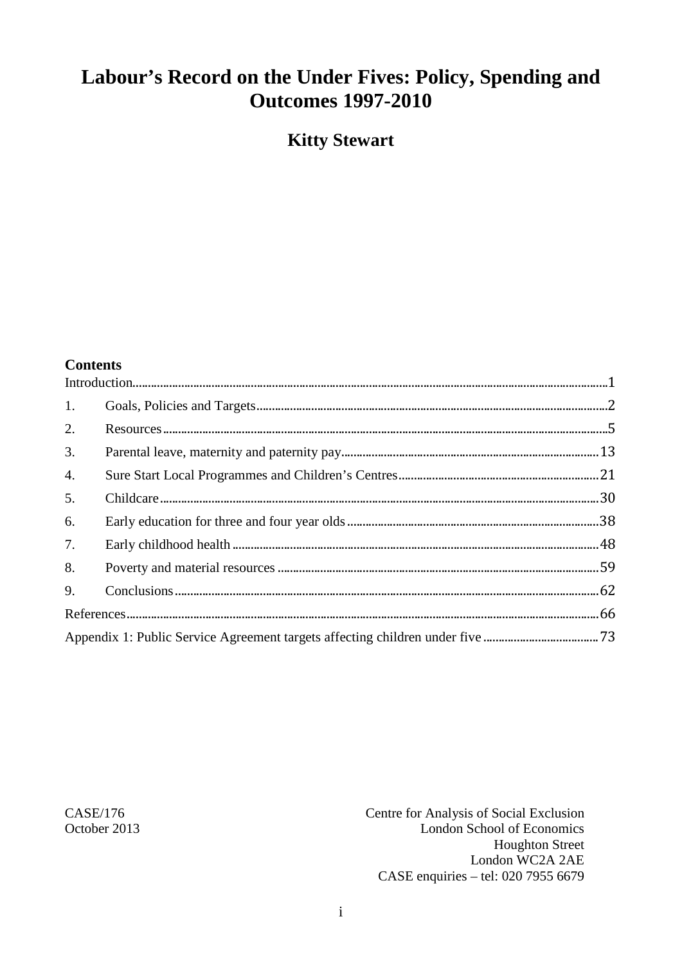# Labour's Record on the Under Fives: Policy, Spending and **Outcomes 1997-2010**

**Kitty Stewart** 

#### **Contents**

| 1.               |                                                                               |  |
|------------------|-------------------------------------------------------------------------------|--|
| 2.               |                                                                               |  |
| 3.               |                                                                               |  |
| $\overline{4}$ . |                                                                               |  |
| 5.               |                                                                               |  |
| 6.               |                                                                               |  |
| 7.               |                                                                               |  |
| 8.               |                                                                               |  |
| 9.               |                                                                               |  |
|                  |                                                                               |  |
|                  | Appendix 1: Public Service Agreement targets affecting children under five 73 |  |

CASE/176 October 2013 Centre for Analysis of Social Exclusion London School of Economics **Houghton Street** London WC2A 2AE CASE enquiries - tel: 020 7955 6679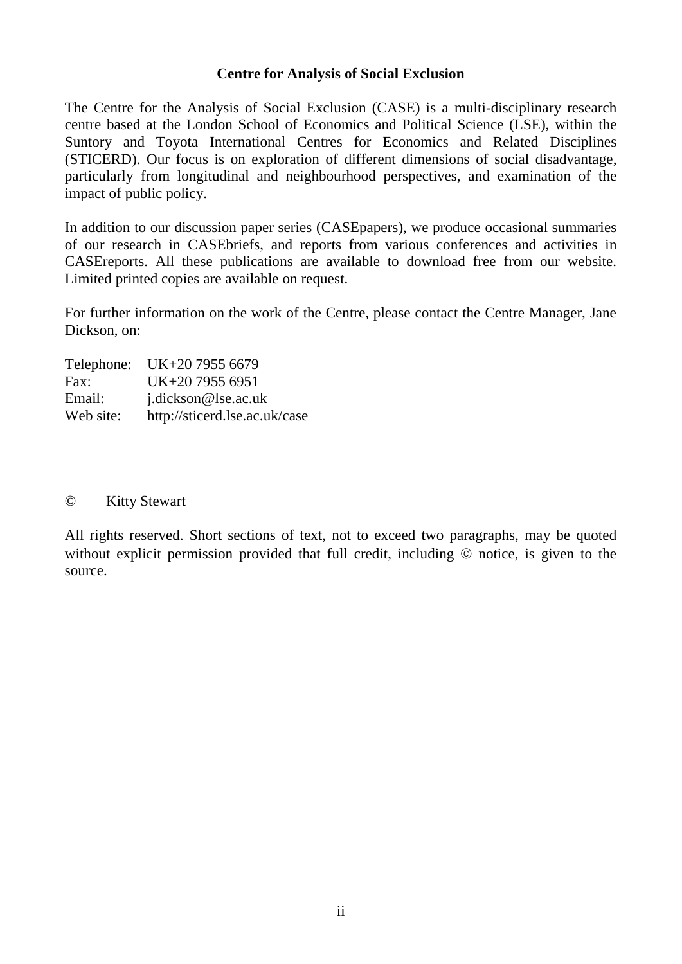#### **Centre for Analysis of Social Exclusion**

The Centre for the Analysis of Social Exclusion (CASE) is a multi*-*disciplinary research centre based at the London School of Economics and Political Science (LSE), within the Suntory and Toyota International Centres for Economics and Related Disciplines (STICERD). Our focus is on exploration of different dimensions of social disadvantage, particularly from longitudinal and neighbourhood perspectives, and examination of the impact of public policy.

In addition to our discussion paper series (CASEpapers), we produce occasional summaries of our research in CASEbriefs, and reports from various conferences and activities in CASEreports. All these publications are available to download free from our website. Limited printed copies are available on request.

For further information on the work of the Centre, please contact the Centre Manager, Jane Dickson, on:

|           | Telephone: UK+20 7955 6679    |
|-----------|-------------------------------|
| Fax:      | UK+20 7955 6951               |
| Email:    | j.dickson@lse.ac.uk           |
| Web site: | http://sticerd.lse.ac.uk/case |

#### © Kitty Stewart

All rights reserved. Short sections of text, not to exceed two paragraphs, may be quoted without explicit permission provided that full credit, including  $\odot$  notice, is given to the source.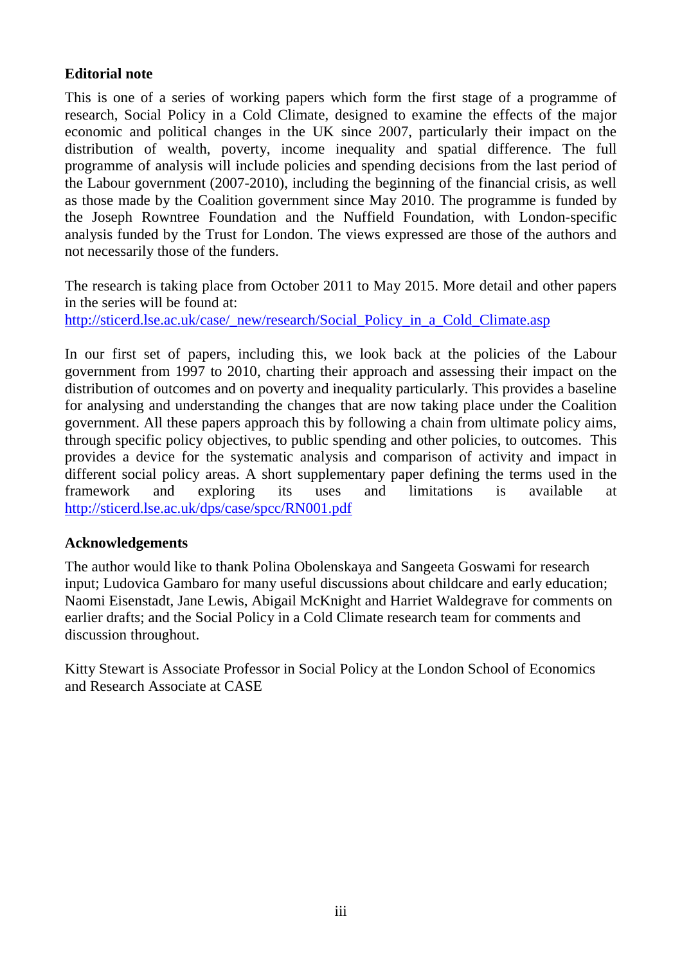## **Editorial note**

This is one of a series of working papers which form the first stage of a programme of research, Social Policy in a Cold Climate, designed to examine the effects of the major economic and political changes in the UK since 2007, particularly their impact on the distribution of wealth, poverty, income inequality and spatial difference. The full programme of analysis will include policies and spending decisions from the last period of the Labour government (2007-2010), including the beginning of the financial crisis, as well as those made by the Coalition government since May 2010. The programme is funded by the Joseph Rowntree Foundation and the Nuffield Foundation, with London-specific analysis funded by the Trust for London. The views expressed are those of the authors and not necessarily those of the funders.

The research is taking place from October 2011 to May 2015. More detail and other papers in the series will be found at:

[http://sticerd.lse.ac.uk/case/\\_new/research/Social\\_Policy\\_in\\_a\\_Cold\\_Climate.asp](http://sticerd.lse.ac.uk/case/_new/research/Social_Policy_in_a_Cold_Climate.asp)

In our first set of papers, including this, we look back at the policies of the Labour government from 1997 to 2010, charting their approach and assessing their impact on the distribution of outcomes and on poverty and inequality particularly. This provides a baseline for analysing and understanding the changes that are now taking place under the Coalition government. All these papers approach this by following a chain from ultimate policy aims, through specific policy objectives, to public spending and other policies, to outcomes. This provides a device for the systematic analysis and comparison of activity and impact in different social policy areas. A short supplementary paper defining the terms used in the framework and exploring its uses and limitations is available at <http://sticerd.lse.ac.uk/dps/case/spcc/RN001.pdf>

## **Acknowledgements**

The author would like to thank Polina Obolenskaya and Sangeeta Goswami for research input; Ludovica Gambaro for many useful discussions about childcare and early education; Naomi Eisenstadt, Jane Lewis, Abigail McKnight and Harriet Waldegrave for comments on earlier drafts; and the Social Policy in a Cold Climate research team for comments and discussion throughout.

Kitty Stewart is Associate Professor in Social Policy at the London School of Economics and Research Associate at CASE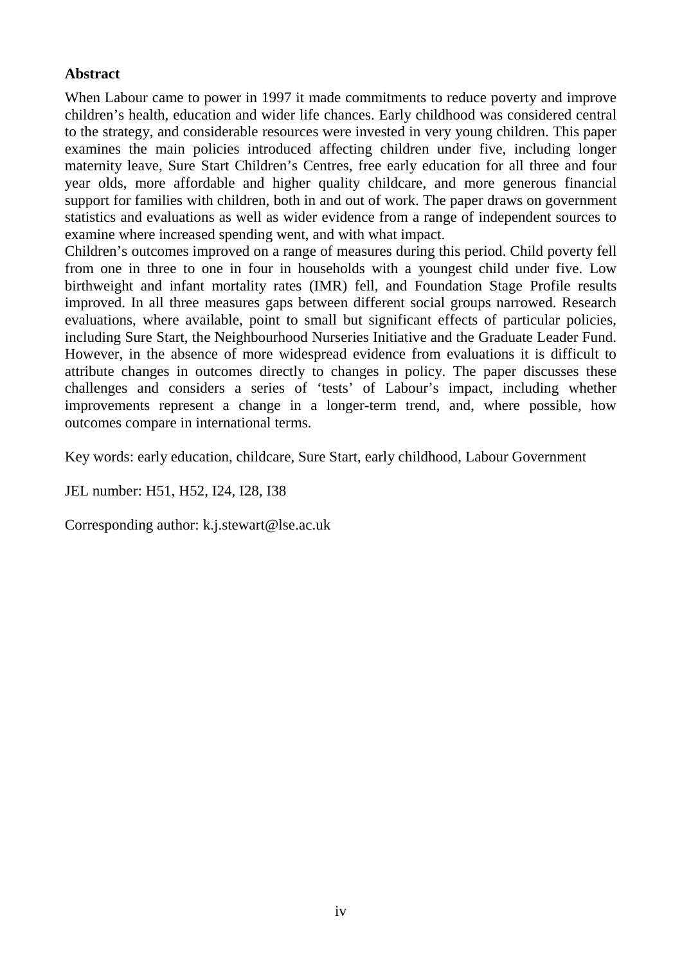## **Abstract**

When Labour came to power in 1997 it made commitments to reduce poverty and improve children's health, education and wider life chances. Early childhood was considered central to the strategy, and considerable resources were invested in very young children. This paper examines the main policies introduced affecting children under five, including longer maternity leave, Sure Start Children's Centres, free early education for all three and four year olds, more affordable and higher quality childcare, and more generous financial support for families with children, both in and out of work. The paper draws on government statistics and evaluations as well as wider evidence from a range of independent sources to examine where increased spending went, and with what impact.

Children's outcomes improved on a range of measures during this period. Child poverty fell from one in three to one in four in households with a youngest child under five. Low birthweight and infant mortality rates (IMR) fell, and Foundation Stage Profile results improved. In all three measures gaps between different social groups narrowed. Research evaluations, where available, point to small but significant effects of particular policies, including Sure Start, the Neighbourhood Nurseries Initiative and the Graduate Leader Fund. However, in the absence of more widespread evidence from evaluations it is difficult to attribute changes in outcomes directly to changes in policy. The paper discusses these challenges and considers a series of 'tests' of Labour's impact, including whether improvements represent a change in a longer-term trend, and, where possible, how outcomes compare in international terms.

Key words: early education, childcare, Sure Start, early childhood, Labour Government

JEL number: H51, H52, I24, I28, I38

Corresponding author: k.j.stewart@lse.ac.uk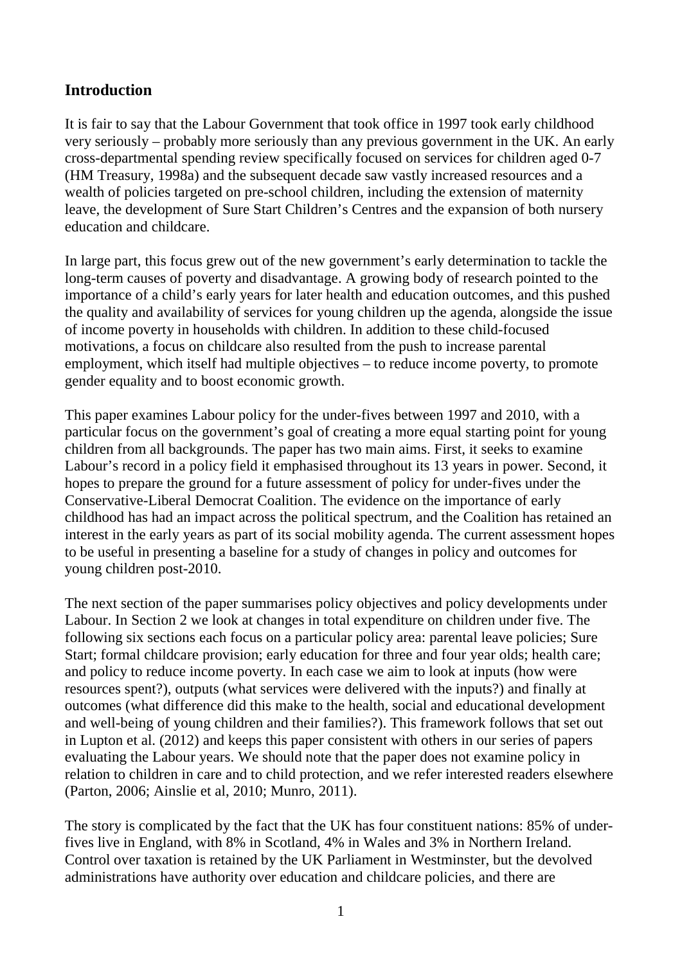# <span id="page-4-0"></span>**Introduction**

It is fair to say that the Labour Government that took office in 1997 took early childhood very seriously – probably more seriously than any previous government in the UK. An early cross-departmental spending review specifically focused on services for children aged 0-7 (HM Treasury, 1998a) and the subsequent decade saw vastly increased resources and a wealth of policies targeted on pre-school children, including the extension of maternity leave, the development of Sure Start Children's Centres and the expansion of both nursery education and childcare.

In large part, this focus grew out of the new government's early determination to tackle the long-term causes of poverty and disadvantage. A growing body of research pointed to the importance of a child's early years for later health and education outcomes, and this pushed the quality and availability of services for young children up the agenda, alongside the issue of income poverty in households with children. In addition to these child-focused motivations, a focus on childcare also resulted from the push to increase parental employment, which itself had multiple objectives – to reduce income poverty, to promote gender equality and to boost economic growth.

This paper examines Labour policy for the under-fives between 1997 and 2010, with a particular focus on the government's goal of creating a more equal starting point for young children from all backgrounds. The paper has two main aims. First, it seeks to examine Labour's record in a policy field it emphasised throughout its 13 years in power. Second, it hopes to prepare the ground for a future assessment of policy for under-fives under the Conservative-Liberal Democrat Coalition. The evidence on the importance of early childhood has had an impact across the political spectrum, and the Coalition has retained an interest in the early years as part of its social mobility agenda. The current assessment hopes to be useful in presenting a baseline for a study of changes in policy and outcomes for young children post-2010.

The next section of the paper summarises policy objectives and policy developments under Labour. In Section 2 we look at changes in total expenditure on children under five. The following six sections each focus on a particular policy area: parental leave policies; Sure Start; formal childcare provision; early education for three and four year olds; health care; and policy to reduce income poverty. In each case we aim to look at inputs (how were resources spent?), outputs (what services were delivered with the inputs?) and finally at outcomes (what difference did this make to the health, social and educational development and well-being of young children and their families?). This framework follows that set out in Lupton et al. (2012) and keeps this paper consistent with others in our series of papers evaluating the Labour years. We should note that the paper does not examine policy in relation to children in care and to child protection, and we refer interested readers elsewhere (Parton, 2006; Ainslie et al, 2010; Munro, 2011).

The story is complicated by the fact that the UK has four constituent nations: 85% of underfives live in England, with 8% in Scotland, 4% in Wales and 3% in Northern Ireland. Control over taxation is retained by the UK Parliament in Westminster, but the devolved administrations have authority over education and childcare policies, and there are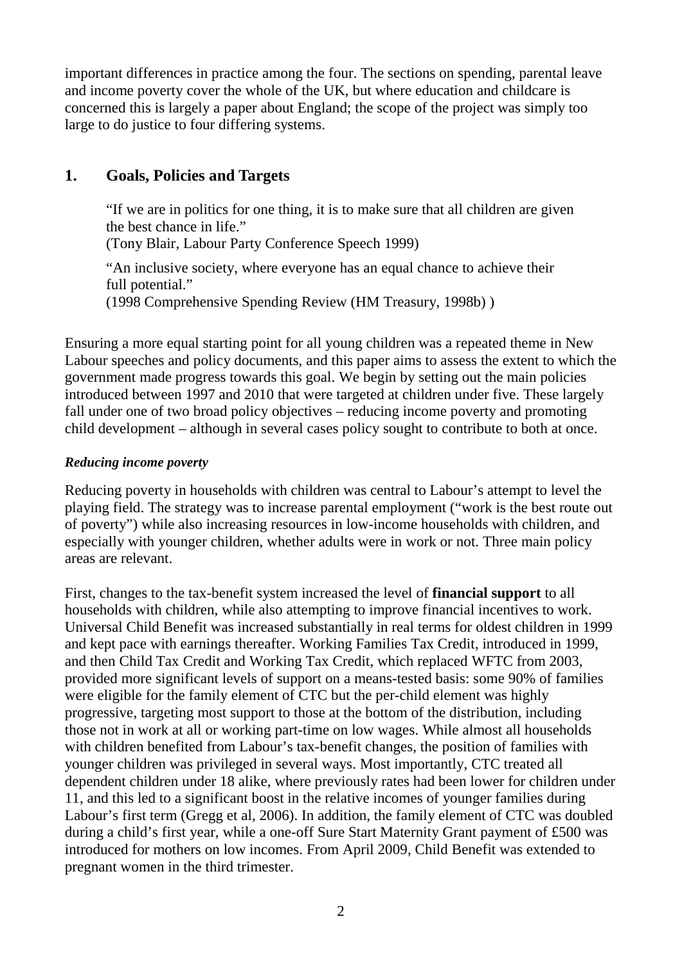important differences in practice among the four. The sections on spending, parental leave and income poverty cover the whole of the UK, but where education and childcare is concerned this is largely a paper about England; the scope of the project was simply too large to do justice to four differing systems.

# <span id="page-5-0"></span>**1. Goals, Policies and Targets**

"If we are in politics for one thing, it is to make sure that all children are given the best chance in life." (Tony Blair, Labour Party Conference Speech 1999) "An inclusive society, where everyone has an equal chance to achieve their full potential."

(1998 Comprehensive Spending Review (HM Treasury, 1998b) )

Ensuring a more equal starting point for all young children was a repeated theme in New Labour speeches and policy documents, and this paper aims to assess the extent to which the government made progress towards this goal. We begin by setting out the main policies introduced between 1997 and 2010 that were targeted at children under five. These largely fall under one of two broad policy objectives – reducing income poverty and promoting child development – although in several cases policy sought to contribute to both at once.

## *Reducing income poverty*

Reducing poverty in households with children was central to Labour's attempt to level the playing field. The strategy was to increase parental employment ("work is the best route out of poverty") while also increasing resources in low-income households with children, and especially with younger children, whether adults were in work or not. Three main policy areas are relevant.

First, changes to the tax-benefit system increased the level of **financial support** to all households with children, while also attempting to improve financial incentives to work. Universal Child Benefit was increased substantially in real terms for oldest children in 1999 and kept pace with earnings thereafter. Working Families Tax Credit, introduced in 1999, and then Child Tax Credit and Working Tax Credit, which replaced WFTC from 2003, provided more significant levels of support on a means-tested basis: some 90% of families were eligible for the family element of CTC but the per-child element was highly progressive, targeting most support to those at the bottom of the distribution, including those not in work at all or working part-time on low wages. While almost all households with children benefited from Labour's tax-benefit changes, the position of families with younger children was privileged in several ways. Most importantly, CTC treated all dependent children under 18 alike, where previously rates had been lower for children under 11, and this led to a significant boost in the relative incomes of younger families during Labour's first term (Gregg et al, 2006). In addition, the family element of CTC was doubled during a child's first year, while a one-off Sure Start Maternity Grant payment of £500 was introduced for mothers on low incomes. From April 2009, Child Benefit was extended to pregnant women in the third trimester.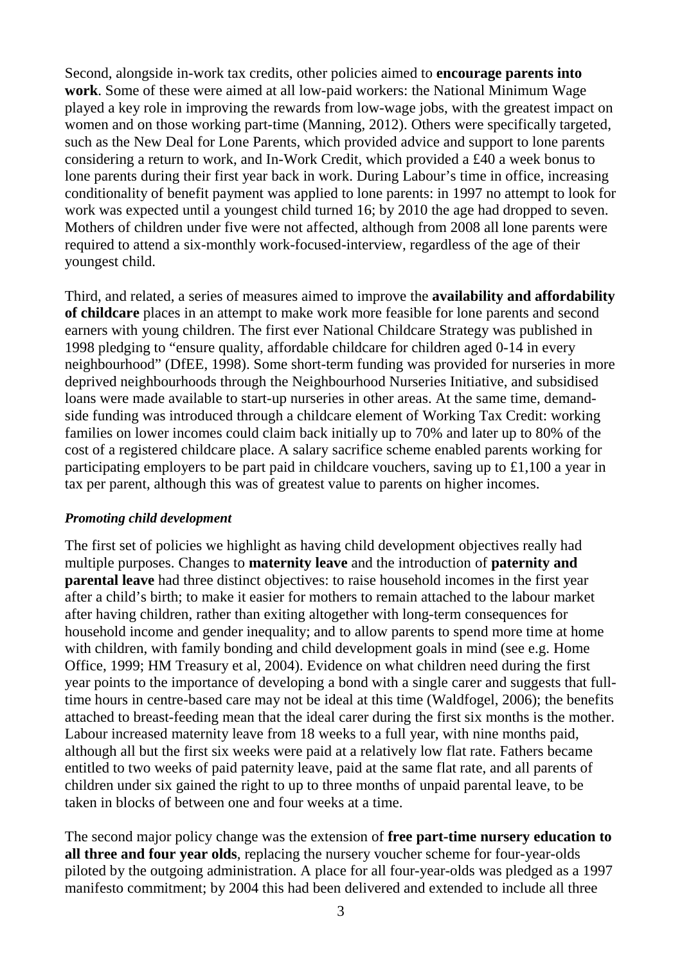Second, alongside in-work tax credits, other policies aimed to **encourage parents into work**. Some of these were aimed at all low-paid workers: the National Minimum Wage played a key role in improving the rewards from low-wage jobs, with the greatest impact on women and on those working part-time (Manning, 2012). Others were specifically targeted, such as the New Deal for Lone Parents, which provided advice and support to lone parents considering a return to work, and In-Work Credit, which provided a £40 a week bonus to lone parents during their first year back in work. During Labour's time in office, increasing conditionality of benefit payment was applied to lone parents: in 1997 no attempt to look for work was expected until a youngest child turned 16; by 2010 the age had dropped to seven. Mothers of children under five were not affected, although from 2008 all lone parents were required to attend a six-monthly work-focused-interview, regardless of the age of their youngest child.

Third, and related, a series of measures aimed to improve the **availability and affordability of childcare** places in an attempt to make work more feasible for lone parents and second earners with young children. The first ever National Childcare Strategy was published in 1998 pledging to "ensure quality, affordable childcare for children aged 0-14 in every neighbourhood" (DfEE, 1998). Some short-term funding was provided for nurseries in more deprived neighbourhoods through the Neighbourhood Nurseries Initiative, and subsidised loans were made available to start-up nurseries in other areas. At the same time, demandside funding was introduced through a childcare element of Working Tax Credit: working families on lower incomes could claim back initially up to 70% and later up to 80% of the cost of a registered childcare place. A salary sacrifice scheme enabled parents working for participating employers to be part paid in childcare vouchers, saving up to £1,100 a year in tax per parent, although this was of greatest value to parents on higher incomes.

#### *Promoting child development*

The first set of policies we highlight as having child development objectives really had multiple purposes. Changes to **maternity leave** and the introduction of **paternity and parental leave** had three distinct objectives: to raise household incomes in the first year after a child's birth; to make it easier for mothers to remain attached to the labour market after having children, rather than exiting altogether with long-term consequences for household income and gender inequality; and to allow parents to spend more time at home with children, with family bonding and child development goals in mind (see e.g. Home Office, 1999; HM Treasury et al, 2004). Evidence on what children need during the first year points to the importance of developing a bond with a single carer and suggests that fulltime hours in centre-based care may not be ideal at this time (Waldfogel, 2006); the benefits attached to breast-feeding mean that the ideal carer during the first six months is the mother. Labour increased maternity leave from 18 weeks to a full year, with nine months paid, although all but the first six weeks were paid at a relatively low flat rate. Fathers became entitled to two weeks of paid paternity leave, paid at the same flat rate, and all parents of children under six gained the right to up to three months of unpaid parental leave, to be taken in blocks of between one and four weeks at a time.

The second major policy change was the extension of **free part-time nursery education to all three and four year olds**, replacing the nursery voucher scheme for four-year-olds piloted by the outgoing administration. A place for all four-year-olds was pledged as a 1997 manifesto commitment; by 2004 this had been delivered and extended to include all three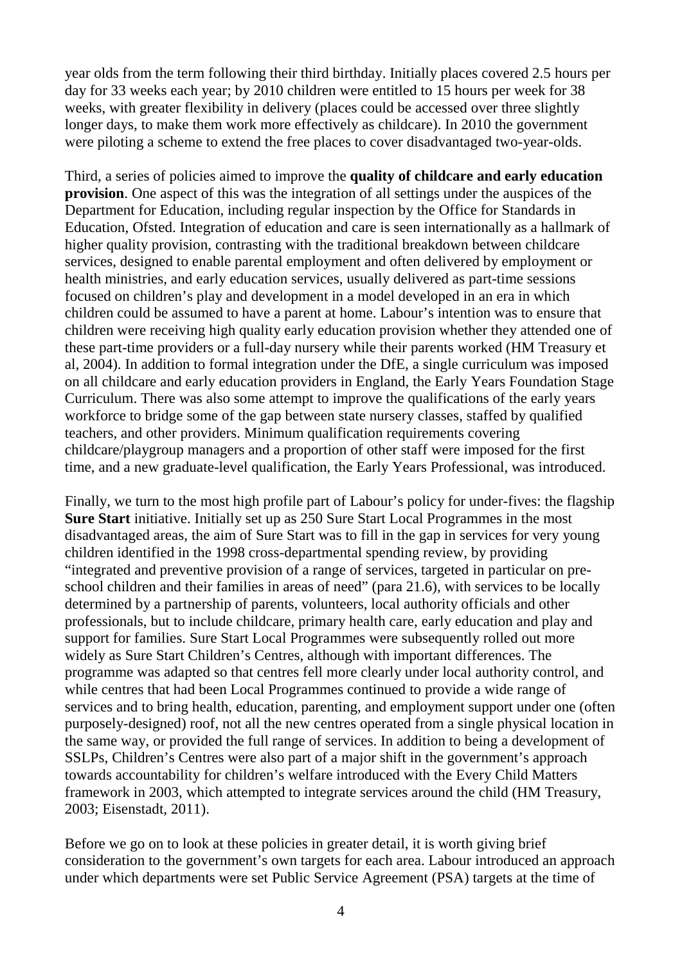year olds from the term following their third birthday. Initially places covered 2.5 hours per day for 33 weeks each year; by 2010 children were entitled to 15 hours per week for 38 weeks, with greater flexibility in delivery (places could be accessed over three slightly longer days, to make them work more effectively as childcare). In 2010 the government were piloting a scheme to extend the free places to cover disadvantaged two-year-olds.

Third, a series of policies aimed to improve the **quality of childcare and early education provision**. One aspect of this was the integration of all settings under the auspices of the Department for Education, including regular inspection by the Office for Standards in Education, Ofsted. Integration of education and care is seen internationally as a hallmark of higher quality provision, contrasting with the traditional breakdown between childcare services, designed to enable parental employment and often delivered by employment or health ministries, and early education services, usually delivered as part-time sessions focused on children's play and development in a model developed in an era in which children could be assumed to have a parent at home. Labour's intention was to ensure that children were receiving high quality early education provision whether they attended one of these part-time providers or a full-day nursery while their parents worked (HM Treasury et al, 2004). In addition to formal integration under the DfE, a single curriculum was imposed on all childcare and early education providers in England, the Early Years Foundation Stage Curriculum. There was also some attempt to improve the qualifications of the early years workforce to bridge some of the gap between state nursery classes, staffed by qualified teachers, and other providers. Minimum qualification requirements covering childcare/playgroup managers and a proportion of other staff were imposed for the first time, and a new graduate-level qualification, the Early Years Professional, was introduced.

Finally, we turn to the most high profile part of Labour's policy for under-fives: the flagship **Sure Start** initiative. Initially set up as 250 Sure Start Local Programmes in the most disadvantaged areas, the aim of Sure Start was to fill in the gap in services for very young children identified in the 1998 cross-departmental spending review, by providing "integrated and preventive provision of a range of services, targeted in particular on preschool children and their families in areas of need" (para 21.6), with services to be locally determined by a partnership of parents, volunteers, local authority officials and other professionals, but to include childcare, primary health care, early education and play and support for families. Sure Start Local Programmes were subsequently rolled out more widely as Sure Start Children's Centres, although with important differences. The programme was adapted so that centres fell more clearly under local authority control, and while centres that had been Local Programmes continued to provide a wide range of services and to bring health, education, parenting, and employment support under one (often purposely-designed) roof, not all the new centres operated from a single physical location in the same way, or provided the full range of services. In addition to being a development of SSLPs, Children's Centres were also part of a major shift in the government's approach towards accountability for children's welfare introduced with the Every Child Matters framework in 2003, which attempted to integrate services around the child (HM Treasury, 2003; Eisenstadt, 2011).

Before we go on to look at these policies in greater detail, it is worth giving brief consideration to the government's own targets for each area. Labour introduced an approach under which departments were set Public Service Agreement (PSA) targets at the time of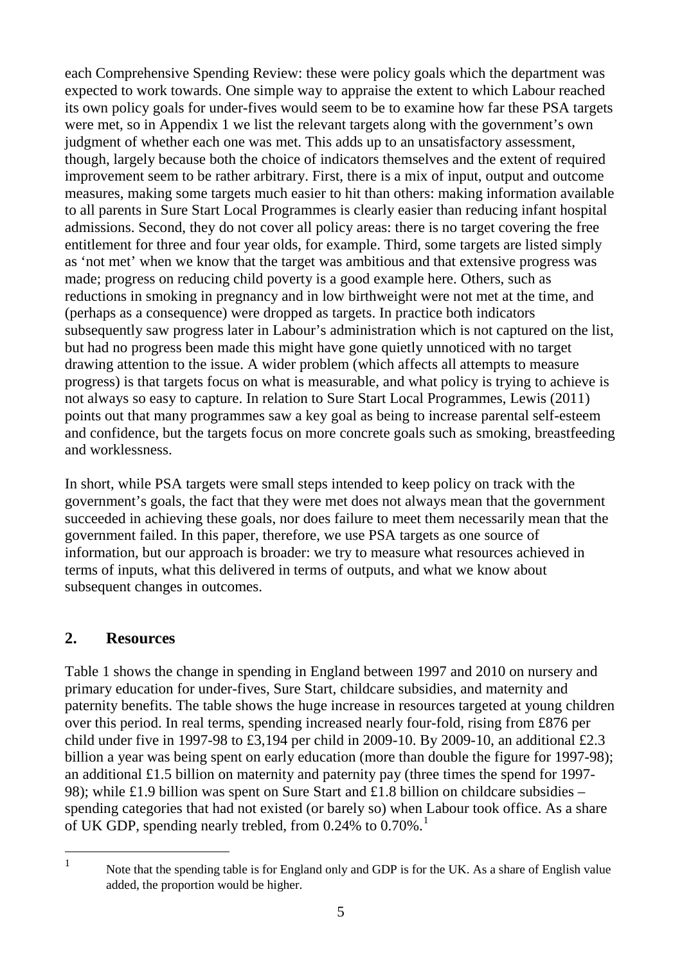each Comprehensive Spending Review: these were policy goals which the department was expected to work towards. One simple way to appraise the extent to which Labour reached its own policy goals for under-fives would seem to be to examine how far these PSA targets were met, so in Appendix 1 we list the relevant targets along with the government's own judgment of whether each one was met. This adds up to an unsatisfactory assessment, though, largely because both the choice of indicators themselves and the extent of required improvement seem to be rather arbitrary. First, there is a mix of input, output and outcome measures, making some targets much easier to hit than others: making information available to all parents in Sure Start Local Programmes is clearly easier than reducing infant hospital admissions. Second, they do not cover all policy areas: there is no target covering the free entitlement for three and four year olds, for example. Third, some targets are listed simply as 'not met' when we know that the target was ambitious and that extensive progress was made; progress on reducing child poverty is a good example here. Others, such as reductions in smoking in pregnancy and in low birthweight were not met at the time, and (perhaps as a consequence) were dropped as targets. In practice both indicators subsequently saw progress later in Labour's administration which is not captured on the list, but had no progress been made this might have gone quietly unnoticed with no target drawing attention to the issue. A wider problem (which affects all attempts to measure progress) is that targets focus on what is measurable, and what policy is trying to achieve is not always so easy to capture. In relation to Sure Start Local Programmes, Lewis (2011) points out that many programmes saw a key goal as being to increase parental self-esteem and confidence, but the targets focus on more concrete goals such as smoking, breastfeeding and worklessness.

In short, while PSA targets were small steps intended to keep policy on track with the government's goals, the fact that they were met does not always mean that the government succeeded in achieving these goals, nor does failure to meet them necessarily mean that the government failed. In this paper, therefore, we use PSA targets as one source of information, but our approach is broader: we try to measure what resources achieved in terms of inputs, what this delivered in terms of outputs, and what we know about subsequent changes in outcomes.

## <span id="page-8-0"></span>**2. Resources**

Table 1 shows the change in spending in England between 1997 and 2010 on nursery and primary education for under-fives, Sure Start, childcare subsidies, and maternity and paternity benefits. The table shows the huge increase in resources targeted at young children over this period. In real terms, spending increased nearly four-fold, rising from £876 per child under five in 1997-98 to £3,194 per child in 2009-10. By 2009-10, an additional £2.3 billion a year was being spent on early education (more than double the figure for 1997-98); an additional £1.5 billion on maternity and paternity pay (three times the spend for 1997- 98); while £1.9 billion was spent on Sure Start and £1.8 billion on childcare subsidies – spending categories that had not existed (or barely so) when Labour took office. As a share of UK GDP, spending nearly trebled, from 0.24% to 0.70%.<sup>[1](#page-8-1)</sup>

<span id="page-8-1"></span> $\overline{1}$ 

Note that the spending table is for England only and GDP is for the UK. As a share of English value added, the proportion would be higher.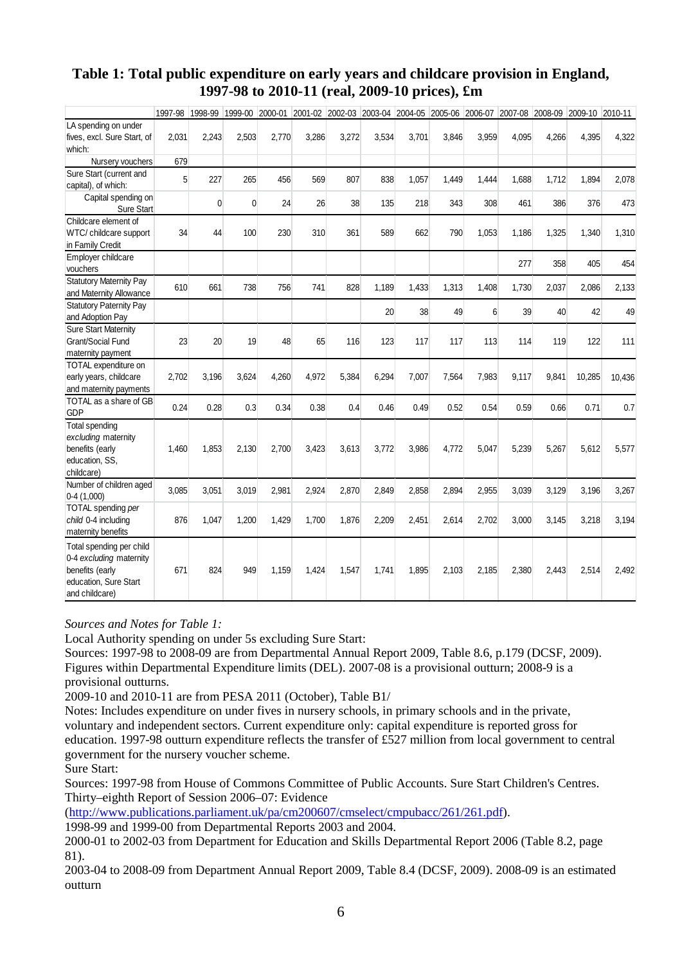#### **Table 1: Total public expenditure on early years and childcare provision in England, 1997-98 to 2010-11 (real, 2009-10 prices), £m**

|                                                                                                                   | 1997-98 | 1998-99      | 1999-00      |       |       |       |       |       |       |       |       | 2000-01 2001-02 2002-03 2003-04 2004-05 2005-06 2006-07 2007-08 2008-09 2009-10 2010-11 |        |        |
|-------------------------------------------------------------------------------------------------------------------|---------|--------------|--------------|-------|-------|-------|-------|-------|-------|-------|-------|-----------------------------------------------------------------------------------------|--------|--------|
| LA spending on under<br>fives, excl. Sure Start, of<br>which:                                                     | 2,031   | 2,243        | 2,503        | 2,770 | 3,286 | 3,272 | 3,534 | 3,701 | 3,846 | 3,959 | 4,095 | 4,266                                                                                   | 4,395  | 4,322  |
| Nursery vouchers                                                                                                  | 679     |              |              |       |       |       |       |       |       |       |       |                                                                                         |        |        |
| Sure Start (current and<br>capital), of which:                                                                    | 5       | 227          | 265          | 456   | 569   | 807   | 838   | 1,057 | 1.449 | 1.444 | 1.688 | 1,712                                                                                   | 1,894  | 2,078  |
| Capital spending on<br>Sure Start                                                                                 |         | $\mathbf{0}$ | $\mathbf{0}$ | 24    | 26    | 38    | 135   | 218   | 343   | 308   | 461   | 386                                                                                     | 376    | 473    |
| Childcare element of<br>WTC/ childcare support<br>in Family Credit                                                | 34      | 44           | 100          | 230   | 310   | 361   | 589   | 662   | 790   | 1,053 | 1,186 | 1,325                                                                                   | 1,340  | 1,310  |
| Employer childcare<br>vouchers                                                                                    |         |              |              |       |       |       |       |       |       |       | 277   | 358                                                                                     | 405    | 454    |
| <b>Statutory Maternity Pay</b><br>and Maternity Allowance                                                         | 610     | 661          | 738          | 756   | 741   | 828   | 1,189 | 1,433 | 1,313 | 1,408 | 1,730 | 2,037                                                                                   | 2,086  | 2,133  |
| <b>Statutory Paternity Pay</b><br>and Adoption Pay                                                                |         |              |              |       |       |       | 20    | 38    | 49    | 6     | 39    | 40                                                                                      | 42     | 49     |
| <b>Sure Start Maternity</b><br><b>Grant/Social Fund</b><br>maternity payment                                      | 23      | 20           | 19           | 48    | 65    | 116   | 123   | 117   | 117   | 113   | 114   | 119                                                                                     | 122    | 111    |
| TOTAL expenditure on<br>early years, childcare<br>and maternity payments                                          | 2,702   | 3,196        | 3,624        | 4,260 | 4,972 | 5,384 | 6,294 | 7,007 | 7,564 | 7,983 | 9,117 | 9,841                                                                                   | 10,285 | 10,436 |
| TOTAL as a share of GB<br><b>GDP</b>                                                                              | 0.24    | 0.28         | 0.3          | 0.34  | 0.38  | 0.4   | 0.46  | 0.49  | 0.52  | 0.54  | 0.59  | 0.66                                                                                    | 0.71   | 0.7    |
| Total spending<br>excluding maternity<br>benefits (early<br>education, SS.<br>childcare)                          | 1,460   | 1,853        | 2,130        | 2,700 | 3,423 | 3,613 | 3,772 | 3,986 | 4,772 | 5,047 | 5,239 | 5,267                                                                                   | 5,612  | 5,577  |
| Number of children aged<br>$0-4(1,000)$                                                                           | 3,085   | 3,051        | 3,019        | 2,981 | 2,924 | 2,870 | 2,849 | 2,858 | 2,894 | 2,955 | 3,039 | 3,129                                                                                   | 3,196  | 3,267  |
| TOTAL spending per<br>child 0-4 including<br>maternity benefits                                                   | 876     | 1,047        | 1,200        | 1,429 | 1,700 | 1,876 | 2,209 | 2,451 | 2,614 | 2,702 | 3,000 | 3,145                                                                                   | 3,218  | 3,194  |
| Total spending per child<br>0-4 excluding maternity<br>benefits (early<br>education, Sure Start<br>and childcare) | 671     | 824          | 949          | 1,159 | 1,424 | 1,547 | 1,741 | 1,895 | 2,103 | 2,185 | 2,380 | 2,443                                                                                   | 2,514  | 2,492  |

*Sources and Notes for Table 1:*

Local Authority spending on under 5s excluding Sure Start:

Sources: 1997-98 to 2008-09 are from Departmental Annual Report 2009, Table 8.6, p.179 (DCSF, 2009). Figures within Departmental Expenditure limits (DEL). 2007-08 is a provisional outturn; 2008-9 is a provisional outturns.

2009-10 and 2010-11 are from PESA 2011 (October), Table B1/

Notes: Includes expenditure on under fives in nursery schools, in primary schools and in the private, voluntary and independent sectors. Current expenditure only: capital expenditure is reported gross for education. 1997-98 outturn expenditure reflects the transfer of £527 million from local government to central government for the nursery voucher scheme.

Sure Start:

Sources: 1997-98 from House of Commons Committee of Public Accounts. Sure Start Children's Centres. Thirty–eighth Report of Session 2006–07: Evidence

[\(http://www.publications.parliament.uk/pa/cm200607/cmselect/cmpubacc/261/261.pdf\)](http://www.publications.parliament.uk/pa/cm200607/cmselect/cmpubacc/261/261.pdf).

1998-99 and 1999-00 from Departmental Reports 2003 and 2004.

2000-01 to 2002-03 from Department for Education and Skills Departmental Report 2006 (Table 8.2, page 81).

2003-04 to 2008-09 from Department Annual Report 2009, Table 8.4 (DCSF, 2009). 2008-09 is an estimated outturn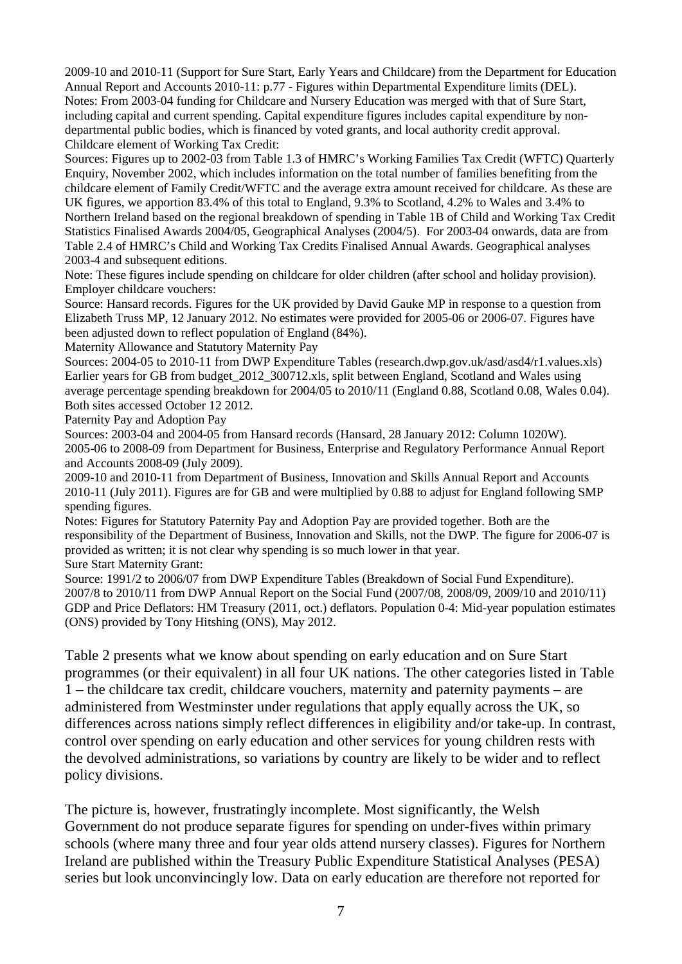2009-10 and 2010-11 (Support for Sure Start, Early Years and Childcare) from the Department for Education Annual Report and Accounts 2010-11: p.77 - Figures within Departmental Expenditure limits (DEL). Notes: From 2003-04 funding for Childcare and Nursery Education was merged with that of Sure Start, including capital and current spending. Capital expenditure figures includes capital expenditure by nondepartmental public bodies, which is financed by voted grants, and local authority credit approval. Childcare element of Working Tax Credit:

Sources: Figures up to 2002-03 from Table 1.3 of HMRC's Working Families Tax Credit (WFTC) Quarterly Enquiry, November 2002, which includes information on the total number of families benefiting from the childcare element of Family Credit/WFTC and the average extra amount received for childcare. As these are UK figures, we apportion 83.4% of this total to England, 9.3% to Scotland, 4.2% to Wales and 3.4% to Northern Ireland based on the regional breakdown of spending in Table 1B of Child and Working Tax Credit Statistics Finalised Awards 2004/05, Geographical Analyses (2004/5). For 2003-04 onwards, data are from Table 2.4 of HMRC's Child and Working Tax Credits Finalised Annual Awards. Geographical analyses 2003-4 and subsequent editions.

Note: These figures include spending on childcare for older children (after school and holiday provision). Employer childcare vouchers:

Source: Hansard records. Figures for the UK provided by David Gauke MP in response to a question from Elizabeth Truss MP, 12 January 2012. No estimates were provided for 2005-06 or 2006-07. Figures have been adjusted down to reflect population of England (84%).

Maternity Allowance and Statutory Maternity Pay

Sources: 2004-05 to 2010-11 from DWP Expenditure Tables (research.dwp.gov.uk/asd/asd4/r1.values.xls) Earlier years for GB from budget 2012 300712.xls, split between England, Scotland and Wales using average percentage spending breakdown for 2004/05 to 2010/11 (England 0.88, Scotland 0.08, Wales 0.04). Both sites accessed October 12 2012.

Paternity Pay and Adoption Pay

Sources: 2003-04 and 2004-05 from Hansard records (Hansard, 28 January 2012: Column 1020W). 2005-06 to 2008-09 from Department for Business, Enterprise and Regulatory Performance Annual Report and Accounts 2008-09 (July 2009).

2009-10 and 2010-11 from Department of Business, Innovation and Skills Annual Report and Accounts 2010-11 (July 2011). Figures are for GB and were multiplied by 0.88 to adjust for England following SMP spending figures.

Notes: Figures for Statutory Paternity Pay and Adoption Pay are provided together. Both are the responsibility of the Department of Business, Innovation and Skills, not the DWP. The figure for 2006-07 is provided as written; it is not clear why spending is so much lower in that year. Sure Start Maternity Grant:

Source: 1991/2 to 2006/07 from DWP Expenditure Tables (Breakdown of Social Fund Expenditure). 2007/8 to 2010/11 from DWP Annual Report on the Social Fund (2007/08, 2008/09, 2009/10 and 2010/11) GDP and Price Deflators: HM Treasury (2011, oct.) deflators. Population 0-4: Mid-year population estimates (ONS) provided by Tony Hitshing (ONS), May 2012.

Table 2 presents what we know about spending on early education and on Sure Start programmes (or their equivalent) in all four UK nations. The other categories listed in Table 1 – the childcare tax credit, childcare vouchers, maternity and paternity payments – are administered from Westminster under regulations that apply equally across the UK, so differences across nations simply reflect differences in eligibility and/or take-up. In contrast, control over spending on early education and other services for young children rests with the devolved administrations, so variations by country are likely to be wider and to reflect policy divisions.

The picture is, however, frustratingly incomplete. Most significantly, the Welsh Government do not produce separate figures for spending on under-fives within primary schools (where many three and four year olds attend nursery classes). Figures for Northern Ireland are published within the Treasury Public Expenditure Statistical Analyses (PESA) series but look unconvincingly low. Data on early education are therefore not reported for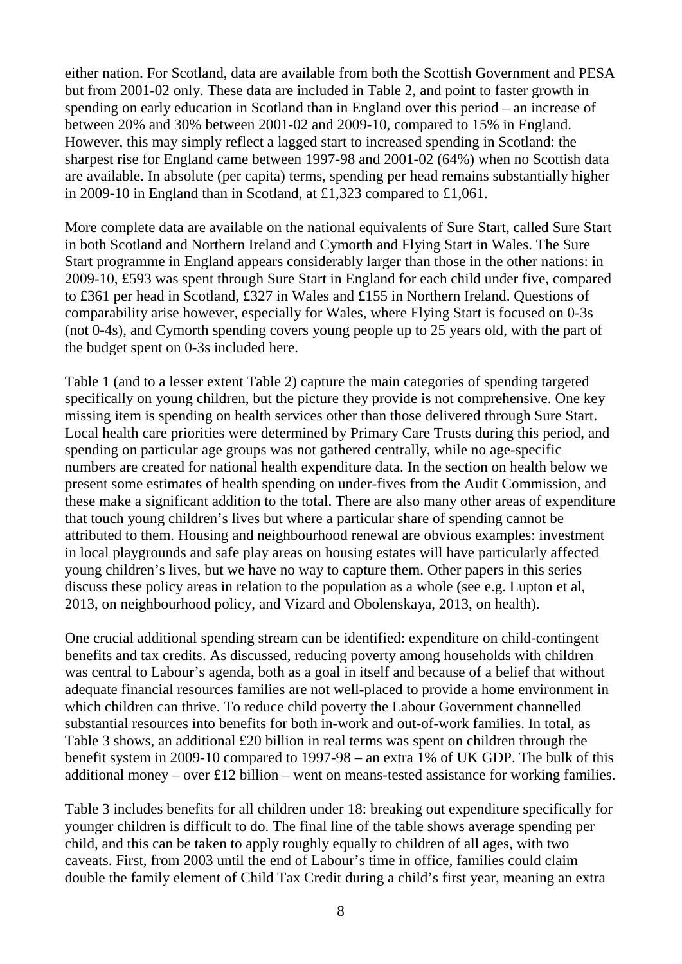either nation. For Scotland, data are available from both the Scottish Government and PESA but from 2001-02 only. These data are included in Table 2, and point to faster growth in spending on early education in Scotland than in England over this period – an increase of between 20% and 30% between 2001-02 and 2009-10, compared to 15% in England. However, this may simply reflect a lagged start to increased spending in Scotland: the sharpest rise for England came between 1997-98 and 2001-02 (64%) when no Scottish data are available. In absolute (per capita) terms, spending per head remains substantially higher in 2009-10 in England than in Scotland, at £1,323 compared to £1,061.

More complete data are available on the national equivalents of Sure Start, called Sure Start in both Scotland and Northern Ireland and Cymorth and Flying Start in Wales. The Sure Start programme in England appears considerably larger than those in the other nations: in 2009-10, £593 was spent through Sure Start in England for each child under five, compared to £361 per head in Scotland, £327 in Wales and £155 in Northern Ireland. Questions of comparability arise however, especially for Wales, where Flying Start is focused on 0-3s (not 0-4s), and Cymorth spending covers young people up to 25 years old, with the part of the budget spent on 0-3s included here.

Table 1 (and to a lesser extent Table 2) capture the main categories of spending targeted specifically on young children, but the picture they provide is not comprehensive. One key missing item is spending on health services other than those delivered through Sure Start. Local health care priorities were determined by Primary Care Trusts during this period, and spending on particular age groups was not gathered centrally, while no age-specific numbers are created for national health expenditure data. In the section on health below we present some estimates of health spending on under-fives from the Audit Commission, and these make a significant addition to the total. There are also many other areas of expenditure that touch young children's lives but where a particular share of spending cannot be attributed to them. Housing and neighbourhood renewal are obvious examples: investment in local playgrounds and safe play areas on housing estates will have particularly affected young children's lives, but we have no way to capture them. Other papers in this series discuss these policy areas in relation to the population as a whole (see e.g. Lupton et al, 2013, on neighbourhood policy, and Vizard and Obolenskaya, 2013, on health).

One crucial additional spending stream can be identified: expenditure on child-contingent benefits and tax credits. As discussed, reducing poverty among households with children was central to Labour's agenda, both as a goal in itself and because of a belief that without adequate financial resources families are not well-placed to provide a home environment in which children can thrive. To reduce child poverty the Labour Government channelled substantial resources into benefits for both in-work and out-of-work families. In total, as Table 3 shows, an additional £20 billion in real terms was spent on children through the benefit system in 2009-10 compared to 1997-98 – an extra 1% of UK GDP. The bulk of this additional money – over £12 billion – went on means-tested assistance for working families.

Table 3 includes benefits for all children under 18: breaking out expenditure specifically for younger children is difficult to do. The final line of the table shows average spending per child, and this can be taken to apply roughly equally to children of all ages, with two caveats. First, from 2003 until the end of Labour's time in office, families could claim double the family element of Child Tax Credit during a child's first year, meaning an extra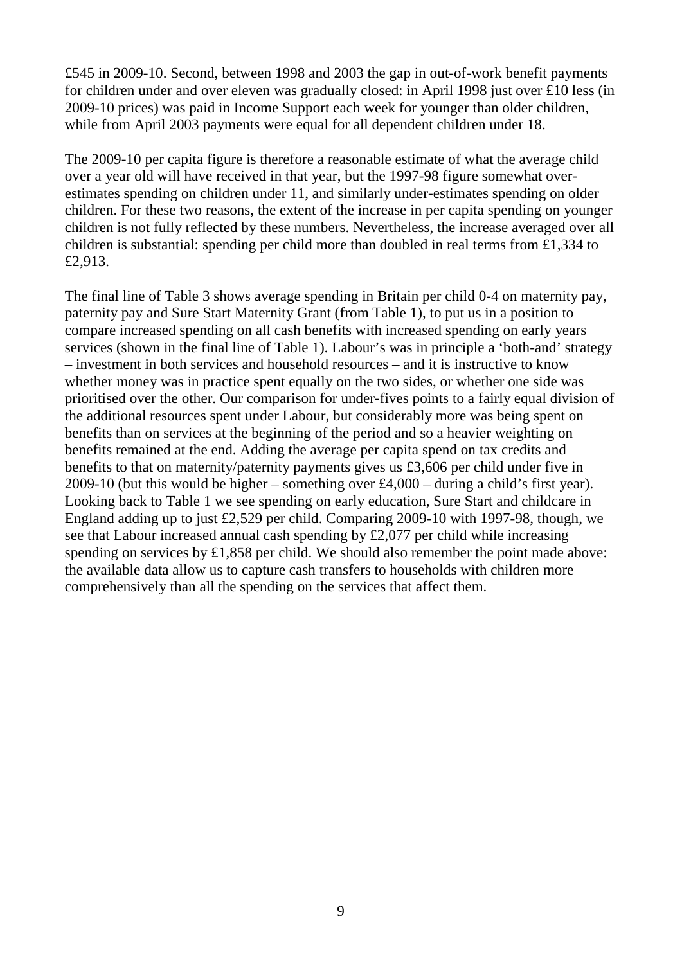£545 in 2009-10. Second, between 1998 and 2003 the gap in out-of-work benefit payments for children under and over eleven was gradually closed: in April 1998 just over £10 less (in 2009-10 prices) was paid in Income Support each week for younger than older children, while from April 2003 payments were equal for all dependent children under 18.

The 2009-10 per capita figure is therefore a reasonable estimate of what the average child over a year old will have received in that year, but the 1997-98 figure somewhat overestimates spending on children under 11, and similarly under-estimates spending on older children. For these two reasons, the extent of the increase in per capita spending on younger children is not fully reflected by these numbers. Nevertheless, the increase averaged over all children is substantial: spending per child more than doubled in real terms from £1,334 to £2,913.

The final line of Table 3 shows average spending in Britain per child 0-4 on maternity pay, paternity pay and Sure Start Maternity Grant (from Table 1), to put us in a position to compare increased spending on all cash benefits with increased spending on early years services (shown in the final line of Table 1). Labour's was in principle a 'both-and' strategy – investment in both services and household resources – and it is instructive to know whether money was in practice spent equally on the two sides, or whether one side was prioritised over the other. Our comparison for under-fives points to a fairly equal division of the additional resources spent under Labour, but considerably more was being spent on benefits than on services at the beginning of the period and so a heavier weighting on benefits remained at the end. Adding the average per capita spend on tax credits and benefits to that on maternity/paternity payments gives us £3,606 per child under five in 2009-10 (but this would be higher – something over £4,000 – during a child's first year). Looking back to Table 1 we see spending on early education, Sure Start and childcare in England adding up to just £2,529 per child. Comparing 2009-10 with 1997-98, though, we see that Labour increased annual cash spending by £2,077 per child while increasing spending on services by £1,858 per child. We should also remember the point made above: the available data allow us to capture cash transfers to households with children more comprehensively than all the spending on the services that affect them.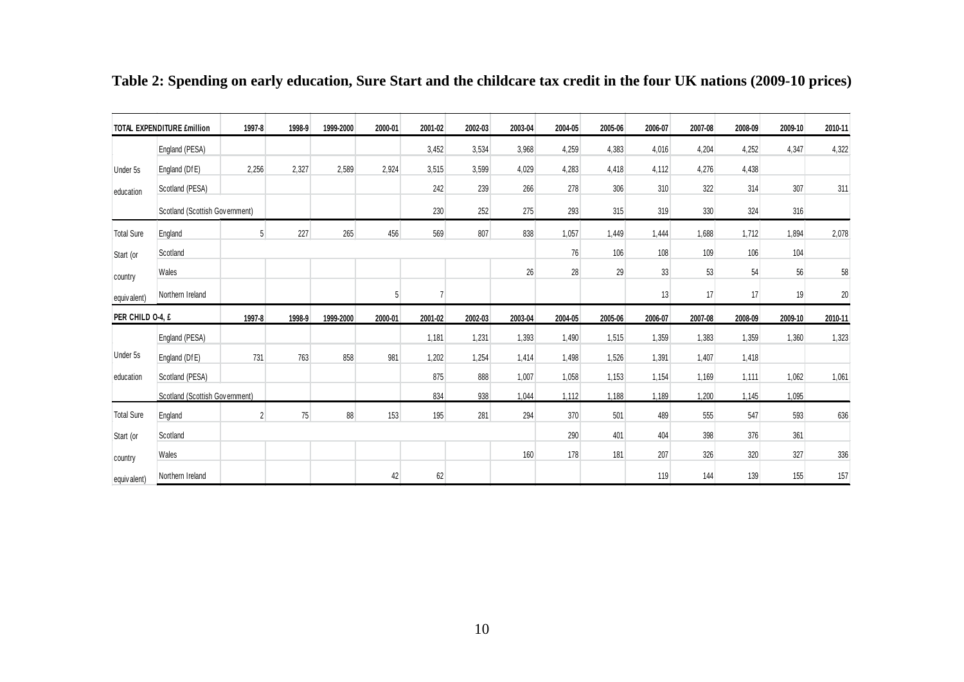|                   | <b>TOTAL EXPENDITURE £million</b> | 1997-8         | 1998-9 | 1999-2000 | 2000-01 | 2001-02 | 2002-03 | 2003-04 | 2004-05 | 2005-06 | 2006-07 | 2007-08 | 2008-09 | 2009-10 | 2010-11 |
|-------------------|-----------------------------------|----------------|--------|-----------|---------|---------|---------|---------|---------|---------|---------|---------|---------|---------|---------|
|                   | England (PESA)                    |                |        |           |         | 3,452   | 3,534   | 3,968   | 4,259   | 4,383   | 4,016   | 4,204   | 4,252   | 4,347   | 4,322   |
| Under 5s          | England (DfE)                     | 2,256          | 2,327  | 2,589     | 2,924   | 3,515   | 3,599   | 4,029   | 4,283   | 4,418   | 4,112   | 4,276   | 4,438   |         |         |
| education         | Scotland (PESA)                   |                |        |           |         | 242     | 239     | 266     | 278     | 306     | 310     | 322     | 314     | 307     | 311     |
|                   | Scotland (Scottish Government)    |                |        |           |         | 230     | 252     | 275     | 293     | 315     | 319     | 330     | 324     | 316     |         |
| <b>Total Sure</b> | England                           | 5 <sup>1</sup> | 227    | 265       | 456     | 569     | 807     | 838     | 1,057   | 1,449   | 1,444   | 1,688   | 1,712   | 1,894   | 2,078   |
| Start (or         | Scotland                          |                |        |           |         |         |         |         | 76      | 106     | 108     | 109     | 106     | 104     |         |
| country           | Wales                             |                |        |           |         |         |         | 26      | 28      | 29      | 33      | 53      | 54      | 56      | 58      |
| equiv alent)      | Northern Ireland                  |                |        |           | 5       |         |         |         |         |         | 13      | 17      | 17      | 19      | 20      |
| PER CHILD 0-4, £  |                                   | 1997-8         | 1998-9 | 1999-2000 | 2000-01 | 2001-02 | 2002-03 | 2003-04 | 2004-05 | 2005-06 | 2006-07 | 2007-08 | 2008-09 | 2009-10 | 2010-11 |
|                   | England (PESA)                    |                |        |           |         | 1,181   | 1,231   | 1,393   | 1,490   | 1,515   | 1,359   | 1,383   | 1,359   | 1,360   | 1,323   |
| Under 5s          | England (DfE)                     | 731            | 763    | 858       | 981     | 1,202   | 1,254   | 1,414   | 1,498   | 1,526   | 1,391   | 1,407   | 1,418   |         |         |
| education         | Scotland (PESA)                   |                |        |           |         | 875     | 888     | 1,007   | 1,058   | 1.153   | 1,154   | 1,169   | 1,111   | 1,062   | 1,061   |
|                   | Scotland (Scottish Government)    |                |        |           |         | 834     | 938     | 1,044   | 1.112   | 1.188   | 1,189   | 1,200   | 1.145   | 1,095   |         |
| <b>Total Sure</b> | England                           | $\overline{2}$ | 75     | 88        | 153     | 195     | 281     | 294     | 370     | 501     | 489     | 555     | 547     | 593     | 636     |
| Start (or         | Scotland                          |                |        |           |         |         |         |         | 290     | 401     | 404     | 398     | 376     | 361     |         |
| country           | Wales                             |                |        |           |         |         |         | 160     | 178     | 181     | 207     | 326     | 320     | 327     | 336     |
| equivalent)       | Northern Ireland                  |                |        |           | 42      | 62      |         |         |         |         | 119     | 144     | 139     | 155     | 157     |

**Table 2: Spending on early education, Sure Start and the childcare tax credit in the four UK nations (2009-10 prices)**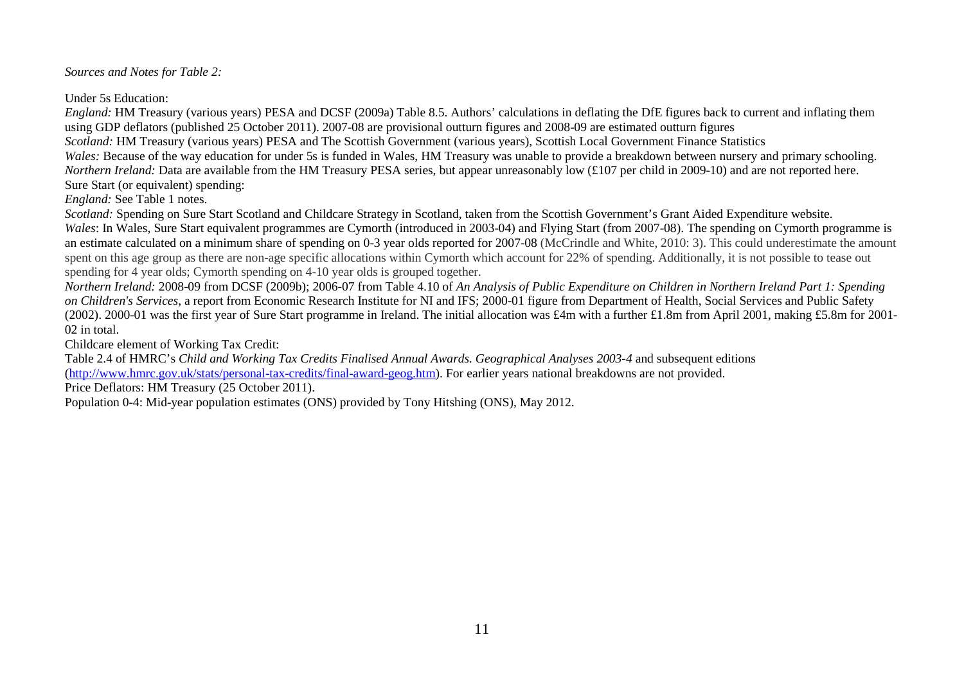*Sources and Notes for Table 2:*

Under 5s Education:

*England:* HM Treasury (various years) PESA and DCSF (2009a) Table 8.5. Authors' calculations in deflating the DfE figures back to current and inflating them using GDP deflators (published 25 October 2011). 2007-08 are provisional outturn figures and 2008-09 are estimated outturn figures

*Scotland:* HM Treasury (various years) PESA and The Scottish Government (various years), Scottish Local Government Finance Statistics

*Wales:* Because of the way education for under 5s is funded in Wales, HM Treasury was unable to provide a breakdown between nursery and primary schooling. *Northern Ireland:* Data are available from the HM Treasury PESA series, but appear unreasonably low (£107 per child in 2009-10) and are not reported here. Sure Start (or equivalent) spending:

*England:* See Table 1 notes.

*Scotland:* Spending on Sure Start Scotland and Childcare Strategy in Scotland, taken from the Scottish Government's Grant Aided Expenditure website.

*Wales*: In Wales, Sure Start equivalent programmes are Cymorth (introduced in 2003-04) and Flying Start (from 2007-08). The spending on Cymorth programme is an estimate calculated on a minimum share of spending on 0-3 year olds reported for 2007-08 (McCrindle and White, 2010: 3). This could underestimate the amount spent on this age group as there are non-age specific allocations within Cymorth which account for 22% of spending. Additionally, it is not possible to tease out spending for 4 year olds; Cymorth spending on 4-10 year olds is grouped together.

*Northern Ireland:* 2008-09 from DCSF (2009b); 2006-07 from Table 4.10 of *An Analysis of Public Expenditure on Children in Northern Ireland Part 1: Spending on Children's Services*, a report from Economic Research Institute for NI and IFS; 2000-01 figure from Department of Health, Social Services and Public Safety (2002). 2000-01 was the first year of Sure Start programme in Ireland. The initial allocation was £4m with a further £1.8m from April 2001, making £5.8m for 2001- 02 in total.

Childcare element of Working Tax Credit:

Table 2.4 of HMRC's *Child and Working Tax Credits Finalised Annual Awards. Geographical Analyses 2003-4* and subsequent editions [\(http://www.hmrc.gov.uk/stats/personal-tax-credits/final-award-geog.htm\)](http://www.hmrc.gov.uk/stats/personal-tax-credits/final-award-geog.htm). For earlier years national breakdowns are not provided.

Price Deflators: HM Treasury (25 October 2011).

Population 0-4: Mid-year population estimates (ONS) provided by Tony Hitshing (ONS), May 2012.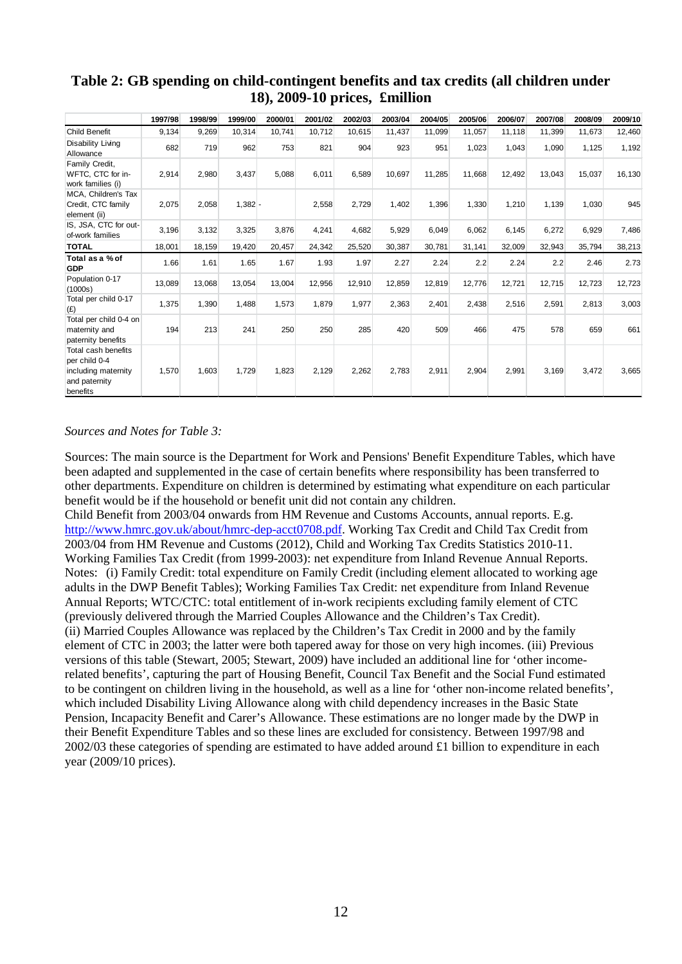|                                                                                          | 1997/98 | 1998/99 | 1999/00   | 2000/01 | 2001/02 | 2002/03 | 2003/04 | 2004/05 | 2005/06 | 2006/07 | 2007/08 | 2008/09 | 2009/10 |
|------------------------------------------------------------------------------------------|---------|---------|-----------|---------|---------|---------|---------|---------|---------|---------|---------|---------|---------|
| <b>Child Benefit</b>                                                                     | 9,134   | 9,269   | 10,314    | 10,741  | 10,712  | 10,615  | 11,437  | 11,099  | 11,057  | 11,118  | 11,399  | 11,673  | 12,460  |
| Disability Living<br>Allowance                                                           | 682     | 719     | 962       | 753     | 821     | 904     | 923     | 951     | 1,023   | 1.043   | 1,090   | 1,125   | 1,192   |
| Family Credit,<br>WFTC, CTC for in-<br>work families (i)                                 | 2,914   | 2,980   | 3,437     | 5,088   | 6,011   | 6,589   | 10,697  | 11,285  | 11,668  | 12,492  | 13,043  | 15,037  | 16,130  |
| MCA, Children's Tax<br>Credit, CTC family<br>element (ii)                                | 2,075   | 2,058   | $1,382 -$ |         | 2,558   | 2,729   | 1,402   | 1,396   | 1,330   | 1,210   | 1,139   | 1,030   | 945     |
| IS, JSA, CTC for out-<br>of-work families                                                | 3,196   | 3,132   | 3,325     | 3,876   | 4,241   | 4,682   | 5,929   | 6,049   | 6,062   | 6,145   | 6,272   | 6,929   | 7,486   |
| <b>TOTAL</b>                                                                             | 18,001  | 18,159  | 19,420    | 20,457  | 24,342  | 25,520  | 30,387  | 30.781  | 31,141  | 32,009  | 32,943  | 35.794  | 38,213  |
| Total as a % of<br><b>GDP</b>                                                            | 1.66    | 1.61    | 1.65      | 1.67    | 1.93    | 1.97    | 2.27    | 2.24    | 2.2     | 2.24    | 2.2     | 2.46    | 2.73    |
| Population 0-17<br>(1000s)                                                               | 13,089  | 13.068  | 13,054    | 13,004  | 12,956  | 12,910  | 12,859  | 12,819  | 12,776  | 12,721  | 12,715  | 12,723  | 12,723  |
| Total per child 0-17<br>(E)                                                              | 1,375   | 1,390   | 1,488     | 1,573   | 1,879   | 1,977   | 2,363   | 2,401   | 2,438   | 2,516   | 2,591   | 2,813   | 3,003   |
| Total per child 0-4 on<br>maternity and<br>paternity benefits                            | 194     | 213     | 241       | 250     | 250     | 285     | 420     | 509     | 466     | 475     | 578     | 659     | 661     |
| Total cash benefits<br>per child 0-4<br>including maternity<br>and paternity<br>benefits | 1,570   | 1,603   | 1,729     | 1,823   | 2,129   | 2,262   | 2,783   | 2,911   | 2,904   | 2,991   | 3,169   | 3,472   | 3,665   |

## **Table 2: GB spending on child-contingent benefits and tax credits (all children under 18), 2009-10 prices, £million**

#### *Sources and Notes for Table 3:*

Sources: The main source is the Department for Work and Pensions' Benefit Expenditure Tables, which have been adapted and supplemented in the case of certain benefits where responsibility has been transferred to other departments. Expenditure on children is determined by estimating what expenditure on each particular benefit would be if the household or benefit unit did not contain any children.

Child Benefit from 2003/04 onwards from HM Revenue and Customs Accounts, annual reports. E.g. [http://www.hmrc.gov.uk/about/hmrc-dep-acct0708.pdf.](http://www.hmrc.gov.uk/about/hmrc-dep-acct0708.pdf) Working Tax Credit and Child Tax Credit from 2003/04 from HM Revenue and Customs (2012), Child and Working Tax Credits Statistics 2010-11. Working Families Tax Credit (from 1999-2003): net expenditure from Inland Revenue Annual Reports. Notes: (i) Family Credit: total expenditure on Family Credit (including element allocated to working age adults in the DWP Benefit Tables); Working Families Tax Credit: net expenditure from Inland Revenue Annual Reports; WTC/CTC: total entitlement of in-work recipients excluding family element of CTC (previously delivered through the Married Couples Allowance and the Children's Tax Credit). (ii) Married Couples Allowance was replaced by the Children's Tax Credit in 2000 and by the family element of CTC in 2003; the latter were both tapered away for those on very high incomes. (iii) Previous versions of this table (Stewart, 2005; Stewart, 2009) have included an additional line for 'other incomerelated benefits', capturing the part of Housing Benefit, Council Tax Benefit and the Social Fund estimated to be contingent on children living in the household, as well as a line for 'other non-income related benefits', which included Disability Living Allowance along with child dependency increases in the Basic State Pension, Incapacity Benefit and Carer's Allowance. These estimations are no longer made by the DWP in their Benefit Expenditure Tables and so these lines are excluded for consistency. Between 1997/98 and 2002/03 these categories of spending are estimated to have added around £1 billion to expenditure in each year (2009/10 prices).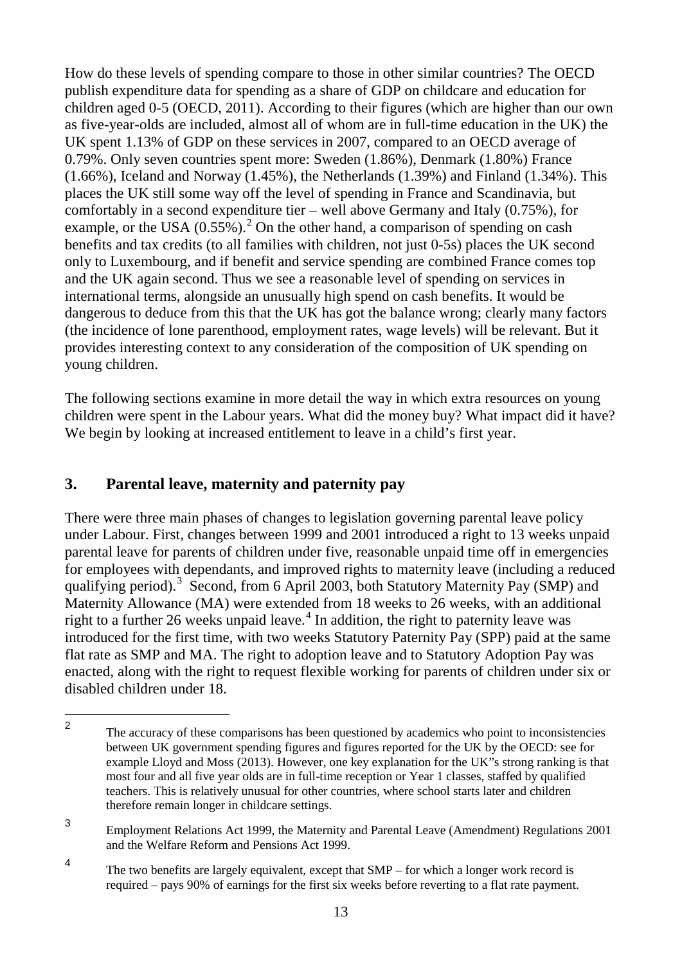How do these levels of spending compare to those in other similar countries? The OECD publish expenditure data for spending as a share of GDP on childcare and education for children aged 0-5 (OECD, 2011). According to their figures (which are higher than our own as five-year-olds are included, almost all of whom are in full-time education in the UK) the UK spent 1.13% of GDP on these services in 2007, compared to an OECD average of 0.79%. Only seven countries spent more: Sweden (1.86%), Denmark (1.80%) France (1.66%), Iceland and Norway (1.45%), the Netherlands (1.39%) and Finland (1.34%). This places the UK still some way off the level of spending in France and Scandinavia, but comfortably in a second expenditure tier – well above Germany and Italy (0.75%), for example, or the USA  $(0.55\%)$ .<sup>[2](#page-16-1)</sup> On the other hand, a comparison of spending on cash benefits and tax credits (to all families with children, not just 0-5s) places the UK second only to Luxembourg, and if benefit and service spending are combined France comes top and the UK again second. Thus we see a reasonable level of spending on services in international terms, alongside an unusually high spend on cash benefits. It would be dangerous to deduce from this that the UK has got the balance wrong; clearly many factors (the incidence of lone parenthood, employment rates, wage levels) will be relevant. But it provides interesting context to any consideration of the composition of UK spending on young children.

The following sections examine in more detail the way in which extra resources on young children were spent in the Labour years. What did the money buy? What impact did it have? We begin by looking at increased entitlement to leave in a child's first year.

# <span id="page-16-0"></span>**3. Parental leave, maternity and paternity pay**

There were three main phases of changes to legislation governing parental leave policy under Labour. First, changes between 1999 and 2001 introduced a right to 13 weeks unpaid parental leave for parents of children under five, reasonable unpaid time off in emergencies for employees with dependants, and improved rights to maternity leave (including a reduced qualifying period).<sup>[3](#page-16-2)</sup> Second, from 6 April 2003, both Statutory Maternity Pay (SMP) and Maternity Allowance (MA) were extended from 18 weeks to 26 weeks, with an additional right to a further 26 weeks unpaid leave.<sup>[4](#page-16-3)</sup> In addition, the right to paternity leave was introduced for the first time, with two weeks Statutory Paternity Pay (SPP) paid at the same flat rate as SMP and MA. The right to adoption leave and to Statutory Adoption Pay was enacted, along with the right to request flexible working for parents of children under six or disabled children under 18.

<span id="page-16-3"></span><sup>4</sup> The two benefits are largely equivalent, except that SMP – for which a longer work record is required – pays 90% of earnings for the first six weeks before reverting to a flat rate payment.

<span id="page-16-1"></span><sup>2</sup> The accuracy of these comparisons has been questioned by academics who point to inconsistencies between UK government spending figures and figures reported for the UK by the OECD: see for example Lloyd and Moss (2013). However, one key explanation for the UK"s strong ranking is that most four and all five year olds are in full-time reception or Year 1 classes, staffed by qualified teachers. This is relatively unusual for other countries, where school starts later and children therefore remain longer in childcare settings.  $\mathfrak{p}$ 

<span id="page-16-2"></span><sup>3</sup> Employment Relations Act 1999, the Maternity and Parental Leave (Amendment) Regulations 2001 and the Welfare Reform and Pensions Act 1999.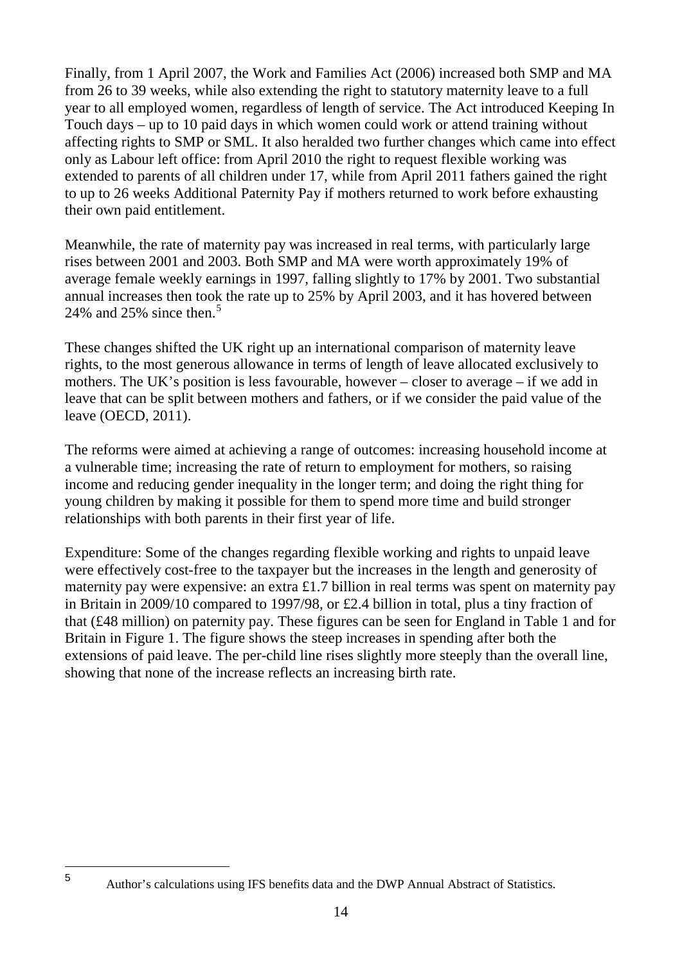Finally, from 1 April 2007, the Work and Families Act (2006) increased both SMP and MA from 26 to 39 weeks, while also extending the right to statutory maternity leave to a full year to all employed women, regardless of length of service. The Act introduced Keeping In Touch days – up to 10 paid days in which women could work or attend training without affecting rights to SMP or SML. It also heralded two further changes which came into effect only as Labour left office: from April 2010 the right to request flexible working was extended to parents of all children under 17, while from April 2011 fathers gained the right to up to 26 weeks Additional Paternity Pay if mothers returned to work before exhausting their own paid entitlement.

Meanwhile, the rate of maternity pay was increased in real terms, with particularly large rises between 2001 and 2003. Both SMP and MA were worth approximately 19% of average female weekly earnings in 1997, falling slightly to 17% by 2001. Two substantial annual increases then took the rate up to 25% by April 2003, and it has hovered between 24% and 2[5](#page-17-0)% since then.<sup>5</sup>

These changes shifted the UK right up an international comparison of maternity leave rights, to the most generous allowance in terms of length of leave allocated exclusively to mothers. The UK's position is less favourable, however – closer to average – if we add in leave that can be split between mothers and fathers, or if we consider the paid value of the leave (OECD, 2011).

The reforms were aimed at achieving a range of outcomes: increasing household income at a vulnerable time; increasing the rate of return to employment for mothers, so raising income and reducing gender inequality in the longer term; and doing the right thing for young children by making it possible for them to spend more time and build stronger relationships with both parents in their first year of life.

Expenditure: Some of the changes regarding flexible working and rights to unpaid leave were effectively cost-free to the taxpayer but the increases in the length and generosity of maternity pay were expensive: an extra £1.7 billion in real terms was spent on maternity pay in Britain in 2009/10 compared to 1997/98, or £2.4 billion in total, plus a tiny fraction of that (£48 million) on paternity pay. These figures can be seen for England in Table 1 and for Britain in Figure 1. The figure shows the steep increases in spending after both the extensions of paid leave. The per-child line rises slightly more steeply than the overall line, showing that none of the increase reflects an increasing birth rate.

<span id="page-17-0"></span> $\overline{5}$ 

<sup>5</sup> Author's calculations using IFS benefits data and the DWP Annual Abstract of Statistics.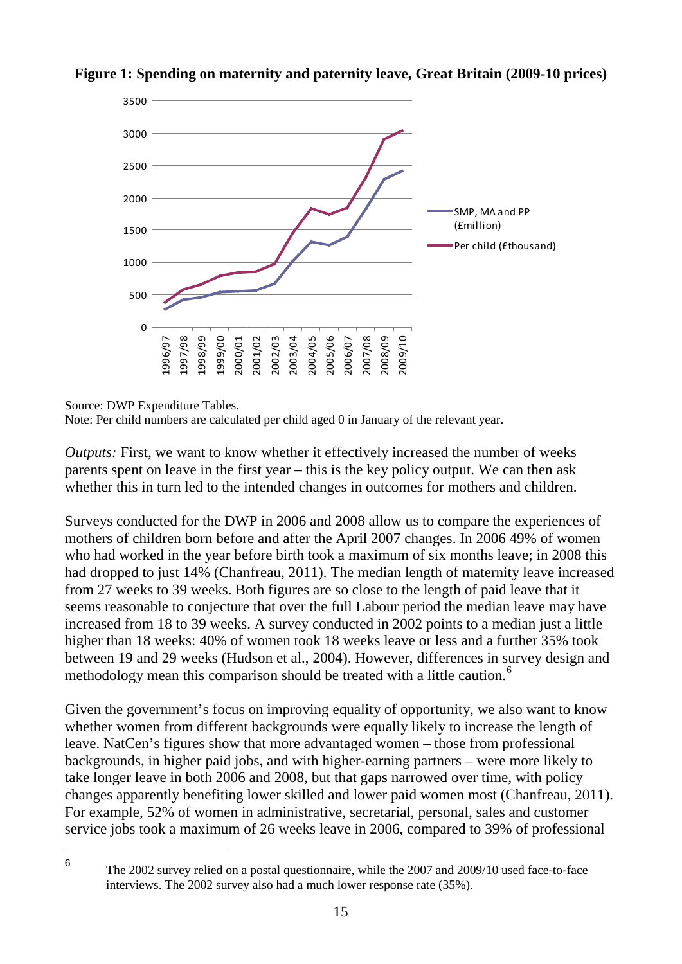



Source: DWP Expenditure Tables.

Note: Per child numbers are calculated per child aged 0 in January of the relevant year.

*Outputs:* First, we want to know whether it effectively increased the number of weeks parents spent on leave in the first year – this is the key policy output. We can then ask whether this in turn led to the intended changes in outcomes for mothers and children.

Surveys conducted for the DWP in 2006 and 2008 allow us to compare the experiences of mothers of children born before and after the April 2007 changes. In 2006 49% of women who had worked in the year before birth took a maximum of six months leave; in 2008 this had dropped to just 14% (Chanfreau, 2011). The median length of maternity leave increased from 27 weeks to 39 weeks. Both figures are so close to the length of paid leave that it seems reasonable to conjecture that over the full Labour period the median leave may have increased from 18 to 39 weeks. A survey conducted in 2002 points to a median just a little higher than 18 weeks: 40% of women took 18 weeks leave or less and a further 35% took between 19 and 29 weeks (Hudson et al., 2004). However, differences in survey design and methodology mean this comparison should be treated with a little caution.<sup>[6](#page-18-0)</sup>

Given the government's focus on improving equality of opportunity, we also want to know whether women from different backgrounds were equally likely to increase the length of leave. NatCen's figures show that more advantaged women – those from professional backgrounds, in higher paid jobs, and with higher-earning partners – were more likely to take longer leave in both 2006 and 2008, but that gaps narrowed over time, with policy changes apparently benefiting lower skilled and lower paid women most (Chanfreau, 2011). For example, 52% of women in administrative, secretarial, personal, sales and customer service jobs took a maximum of 26 weeks leave in 2006, compared to 39% of professional

<span id="page-18-0"></span> $\,6\,$ 

The 2002 survey relied on a postal questionnaire, while the 2007 and 2009/10 used face-to-face interviews. The 2002 survey also had a much lower response rate (35%).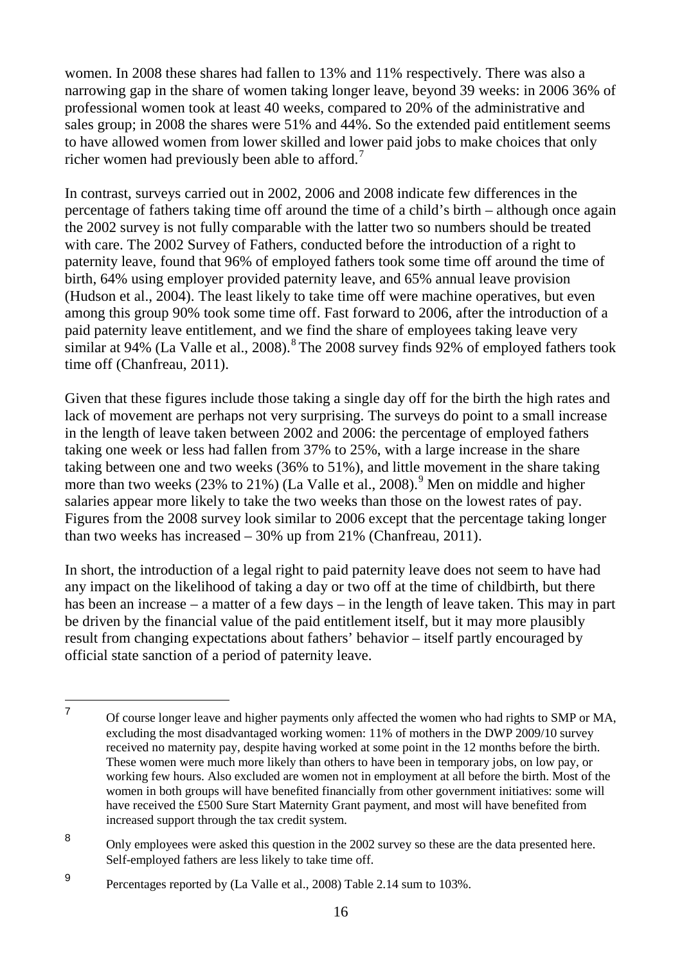women. In 2008 these shares had fallen to 13% and 11% respectively. There was also a narrowing gap in the share of women taking longer leave, beyond 39 weeks: in 2006 36% of professional women took at least 40 weeks, compared to 20% of the administrative and sales group; in 2008 the shares were 51% and 44%. So the extended paid entitlement seems to have allowed women from lower skilled and lower paid jobs to make choices that only richer women had previously been able to afford.<sup>[7](#page-19-0)</sup>

In contrast, surveys carried out in 2002, 2006 and 2008 indicate few differences in the percentage of fathers taking time off around the time of a child's birth – although once again the 2002 survey is not fully comparable with the latter two so numbers should be treated with care. The 2002 Survey of Fathers, conducted before the introduction of a right to paternity leave, found that 96% of employed fathers took some time off around the time of birth, 64% using employer provided paternity leave, and 65% annual leave provision (Hudson et al., 2004). The least likely to take time off were machine operatives, but even among this group 90% took some time off. Fast forward to 2006, after the introduction of a paid paternity leave entitlement, and we find the share of employees taking leave very similar at 94% (La Valle et al., 200[8](#page-19-1)).<sup>8</sup> The 2008 survey finds 92% of employed fathers took time off (Chanfreau, 2011).

Given that these figures include those taking a single day off for the birth the high rates and lack of movement are perhaps not very surprising. The surveys do point to a small increase in the length of leave taken between 2002 and 2006: the percentage of employed fathers taking one week or less had fallen from 37% to 25%, with a large increase in the share taking between one and two weeks (36% to 51%), and little movement in the share taking more than two weeks  $(23\%$  to  $21\%)$  (La Valle et al., 2008).<sup>[9](#page-19-2)</sup> Men on middle and higher salaries appear more likely to take the two weeks than those on the lowest rates of pay. Figures from the 2008 survey look similar to 2006 except that the percentage taking longer than two weeks has increased – 30% up from 21% (Chanfreau, 2011).

In short, the introduction of a legal right to paid paternity leave does not seem to have had any impact on the likelihood of taking a day or two off at the time of childbirth, but there has been an increase – a matter of a few days – in the length of leave taken. This may in part be driven by the financial value of the paid entitlement itself, but it may more plausibly result from changing expectations about fathers' behavior – itself partly encouraged by official state sanction of a period of paternity leave.

<span id="page-19-1"></span><sup>8</sup> Only employees were asked this question in the 2002 survey so these are the data presented here. Self-employed fathers are less likely to take time off.

<span id="page-19-0"></span><sup>7</sup> Of course longer leave and higher payments only affected the women who had rights to SMP or MA, excluding the most disadvantaged working women: 11% of mothers in the DWP 2009/10 survey received no maternity pay, despite having worked at some point in the 12 months before the birth. These women were much more likely than others to have been in temporary jobs, on low pay, or working few hours. Also excluded are women not in employment at all before the birth. Most of the women in both groups will have benefited financially from other government initiatives: some will have received the £500 Sure Start Maternity Grant payment, and most will have benefited from increased support through the tax credit system.  $\overline{7}$ 

<span id="page-19-2"></span><sup>9</sup> Percentages reported by (La Valle et al., 2008) Table 2.14 sum to 103%.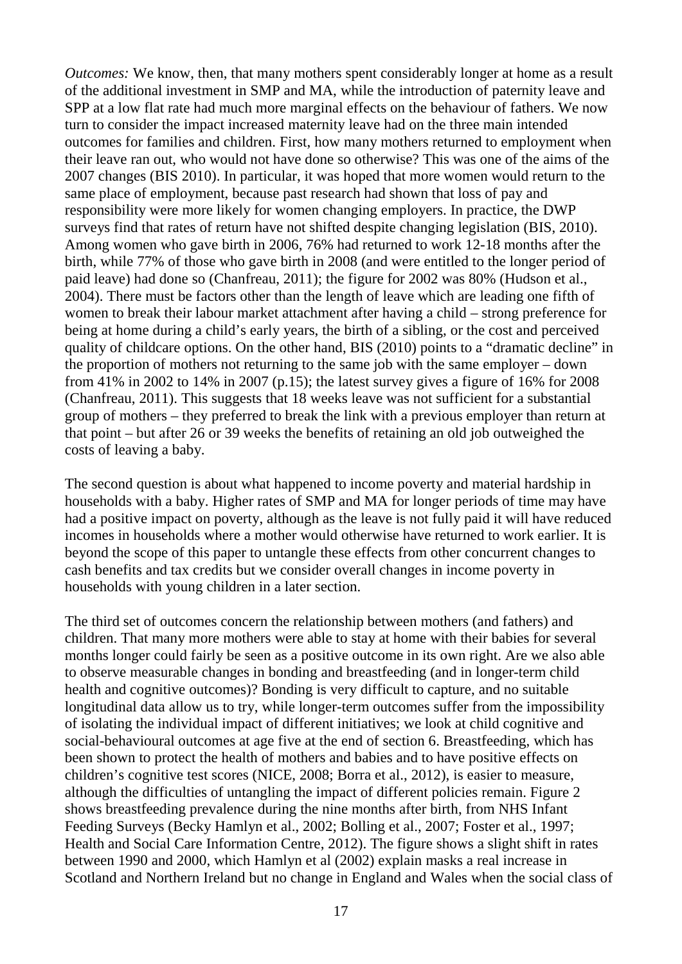*Outcomes:* We know, then, that many mothers spent considerably longer at home as a result of the additional investment in SMP and MA, while the introduction of paternity leave and SPP at a low flat rate had much more marginal effects on the behaviour of fathers. We now turn to consider the impact increased maternity leave had on the three main intended outcomes for families and children. First, how many mothers returned to employment when their leave ran out, who would not have done so otherwise? This was one of the aims of the 2007 changes (BIS 2010). In particular, it was hoped that more women would return to the same place of employment, because past research had shown that loss of pay and responsibility were more likely for women changing employers. In practice, the DWP surveys find that rates of return have not shifted despite changing legislation (BIS, 2010). Among women who gave birth in 2006, 76% had returned to work 12-18 months after the birth, while 77% of those who gave birth in 2008 (and were entitled to the longer period of paid leave) had done so (Chanfreau, 2011); the figure for 2002 was 80% (Hudson et al., 2004). There must be factors other than the length of leave which are leading one fifth of women to break their labour market attachment after having a child – strong preference for being at home during a child's early years, the birth of a sibling, or the cost and perceived quality of childcare options. On the other hand, BIS (2010) points to a "dramatic decline" in the proportion of mothers not returning to the same job with the same employer – down from 41% in 2002 to 14% in 2007 (p.15); the latest survey gives a figure of 16% for 2008 (Chanfreau, 2011). This suggests that 18 weeks leave was not sufficient for a substantial group of mothers – they preferred to break the link with a previous employer than return at that point – but after 26 or 39 weeks the benefits of retaining an old job outweighed the costs of leaving a baby.

The second question is about what happened to income poverty and material hardship in households with a baby. Higher rates of SMP and MA for longer periods of time may have had a positive impact on poverty, although as the leave is not fully paid it will have reduced incomes in households where a mother would otherwise have returned to work earlier. It is beyond the scope of this paper to untangle these effects from other concurrent changes to cash benefits and tax credits but we consider overall changes in income poverty in households with young children in a later section.

The third set of outcomes concern the relationship between mothers (and fathers) and children. That many more mothers were able to stay at home with their babies for several months longer could fairly be seen as a positive outcome in its own right. Are we also able to observe measurable changes in bonding and breastfeeding (and in longer-term child health and cognitive outcomes)? Bonding is very difficult to capture, and no suitable longitudinal data allow us to try, while longer-term outcomes suffer from the impossibility of isolating the individual impact of different initiatives; we look at child cognitive and social-behavioural outcomes at age five at the end of section 6. Breastfeeding, which has been shown to protect the health of mothers and babies and to have positive effects on children's cognitive test scores (NICE, 2008; Borra et al., 2012), is easier to measure, although the difficulties of untangling the impact of different policies remain. Figure 2 shows breastfeeding prevalence during the nine months after birth, from NHS Infant Feeding Surveys (Becky Hamlyn et al., 2002; Bolling et al., 2007; Foster et al., 1997; Health and Social Care Information Centre, 2012). The figure shows a slight shift in rates between 1990 and 2000, which Hamlyn et al (2002) explain masks a real increase in Scotland and Northern Ireland but no change in England and Wales when the social class of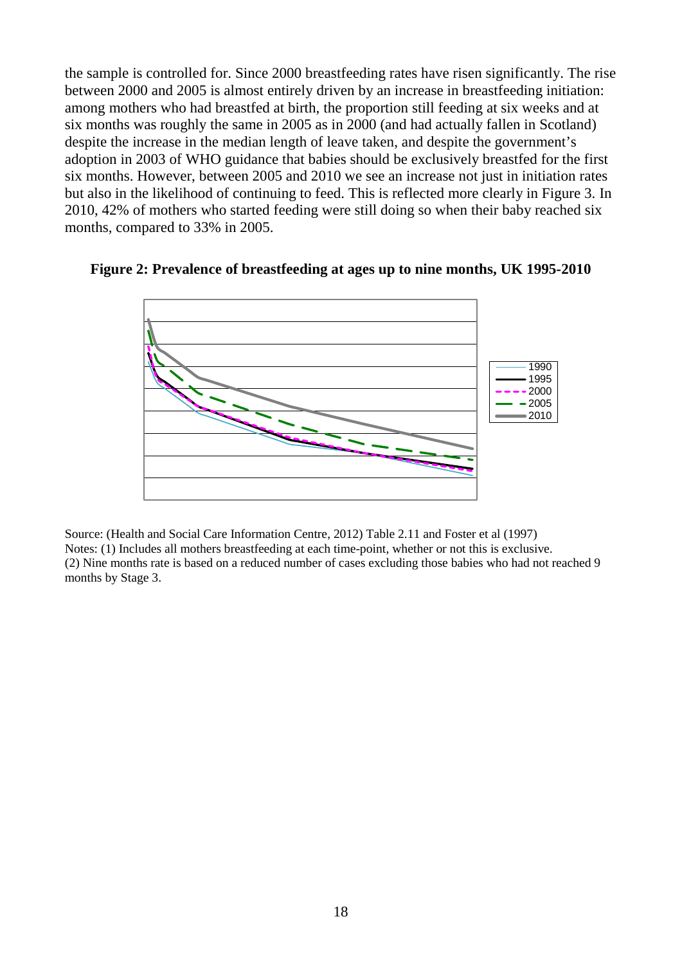the sample is controlled for. Since 2000 breastfeeding rates have risen significantly. The rise between 2000 and 2005 is almost entirely driven by an increase in breastfeeding initiation: among mothers who had breastfed at birth, the proportion still feeding at six weeks and at six months was roughly the same in 2005 as in 2000 (and had actually fallen in Scotland) despite the increase in the median length of leave taken, and despite the government's adoption in 2003 of WHO guidance that babies should be exclusively breastfed for the first six months. However, between 2005 and 2010 we see an increase not just in initiation rates but also in the likelihood of continuing to feed. This is reflected more clearly in Figure 3. In 2010, 42% of mothers who started feeding were still doing so when their baby reached six months, compared to 33% in 2005.

#### **Figure 2: Prevalence of breastfeeding at ages up to nine months, UK 1995-2010**



Source: (Health and Social Care Information Centre, 2012) Table 2.11 and Foster et al (1997) Notes: (1) Includes all mothers breastfeeding at each time-point, whether or not this is exclusive. (2) Nine months rate is based on a reduced number of cases excluding those babies who had not reached 9 months by Stage 3.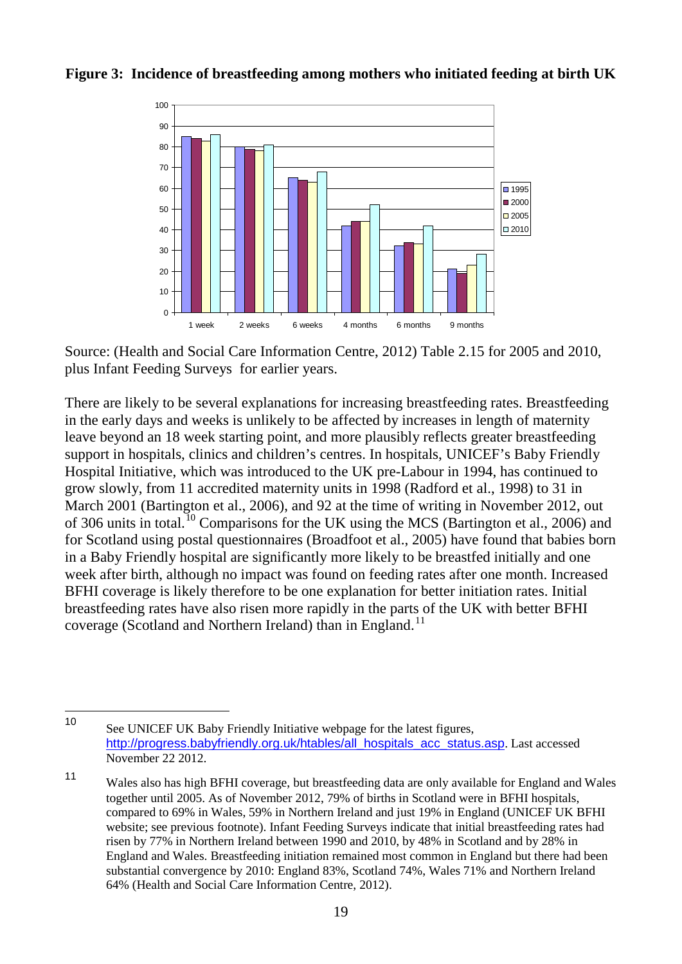

**Figure 3: Incidence of breastfeeding among mothers who initiated feeding at birth UK**

Source: (Health and Social Care Information Centre, 2012) Table 2.15 for 2005 and 2010, plus Infant Feeding Surveys for earlier years.

There are likely to be several explanations for increasing breastfeeding rates. Breastfeeding in the early days and weeks is unlikely to be affected by increases in length of maternity leave beyond an 18 week starting point, and more plausibly reflects greater breastfeeding support in hospitals, clinics and children's centres. In hospitals, UNICEF's Baby Friendly Hospital Initiative, which was introduced to the UK pre-Labour in 1994, has continued to grow slowly, from 11 accredited maternity units in 1998 (Radford et al., 1998) to 31 in March 2001 (Bartington et al., 2006), and 92 at the time of writing in November 2012, out of 306 units in total.<sup>[10](#page-22-0)</sup> Comparisons for the UK using the MCS (Bartington et al., 2006) and for Scotland using postal questionnaires (Broadfoot et al., 2005) have found that babies born in a Baby Friendly hospital are significantly more likely to be breastfed initially and one week after birth, although no impact was found on feeding rates after one month. Increased BFHI coverage is likely therefore to be one explanation for better initiation rates. Initial breastfeeding rates have also risen more rapidly in the parts of the UK with better BFHI coverage (Scotland and Northern Ireland) than in England.<sup>[11](#page-22-1)</sup>

<span id="page-22-0"></span>See UNICEF UK Baby Friendly Initiative webpage for the latest figures, [http://progress.babyfriendly.org.uk/htables/all\\_hospitals\\_acc\\_status.asp](http://progress.babyfriendly.org.uk/htables/all_hospitals_acc_status.asp). Last accessed November 22 2012.  $10$ 

<span id="page-22-1"></span><sup>11</sup> Wales also has high BFHI coverage, but breastfeeding data are only available for England and Wales together until 2005. As of November 2012, 79% of births in Scotland were in BFHI hospitals, compared to 69% in Wales, 59% in Northern Ireland and just 19% in England (UNICEF UK BFHI website; see previous footnote). Infant Feeding Surveys indicate that initial breastfeeding rates had risen by 77% in Northern Ireland between 1990 and 2010, by 48% in Scotland and by 28% in England and Wales. Breastfeeding initiation remained most common in England but there had been substantial convergence by 2010: England 83%, Scotland 74%, Wales 71% and Northern Ireland 64% (Health and Social Care Information Centre, 2012).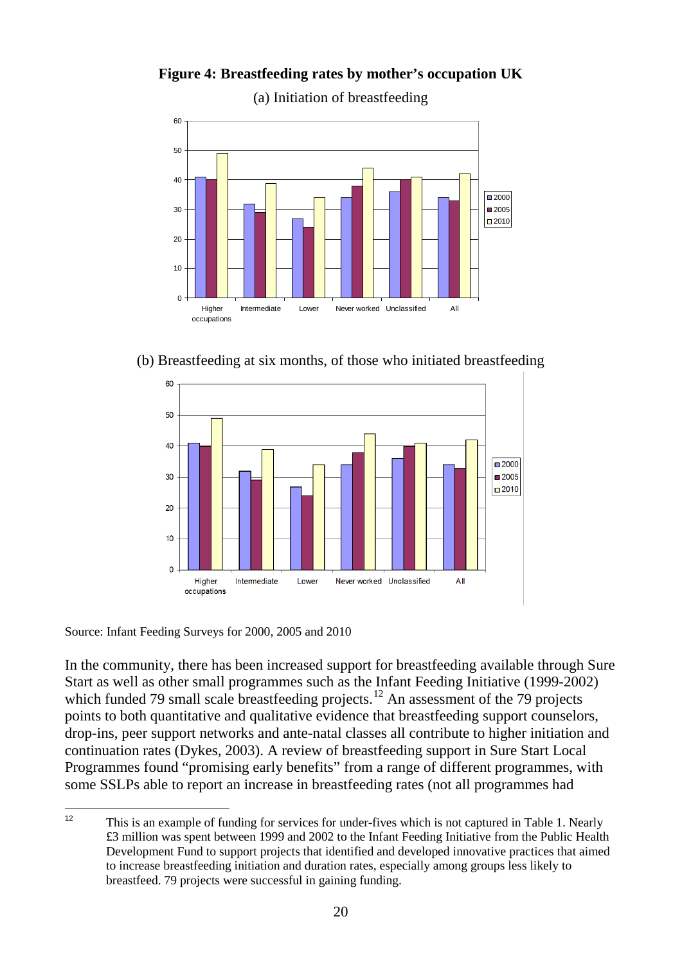(a) Initiation of breastfeeding  $\Omega$ 10 20 30 40 50 60 Higher occupations Intermediate Lower Never worked Unclassified All  $2000$ ■2005  $\Box$ 2010

**Figure 4: Breastfeeding rates by mother's occupation UK**

(b) Breastfeeding at six months, of those who initiated breastfeeding



Source: Infant Feeding Surveys for 2000, 2005 and 2010

In the community, there has been increased support for breastfeeding available through Sure Start as well as other small programmes such as the Infant Feeding Initiative (1999-2002) which funded 79 small scale breastfeeding projects.<sup>[12](#page-23-0)</sup> An assessment of the 79 projects points to both quantitative and qualitative evidence that breastfeeding support counselors, drop-ins, peer support networks and ante-natal classes all contribute to higher initiation and continuation rates (Dykes, 2003). A review of breastfeeding support in Sure Start Local Programmes found "promising early benefits" from a range of different programmes, with some SSLPs able to report an increase in breastfeeding rates (not all programmes had

<span id="page-23-0"></span><sup>12</sup> This is an example of funding for services for under-fives which is not captured in Table 1. Nearly £3 million was spent between 1999 and 2002 to the Infant Feeding Initiative from the Public Health Development Fund to support projects that identified and developed innovative practices that aimed to increase breastfeeding initiation and duration rates, especially among groups less likely to breastfeed. 79 projects were successful in gaining funding.  $12$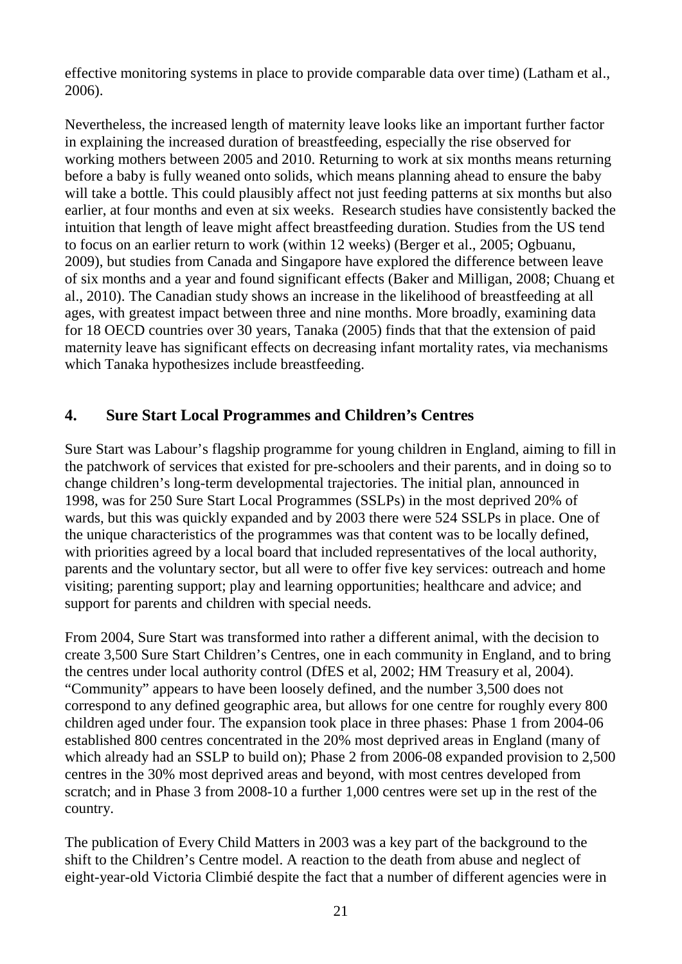effective monitoring systems in place to provide comparable data over time) (Latham et al., 2006).

Nevertheless, the increased length of maternity leave looks like an important further factor in explaining the increased duration of breastfeeding, especially the rise observed for working mothers between 2005 and 2010. Returning to work at six months means returning before a baby is fully weaned onto solids, which means planning ahead to ensure the baby will take a bottle. This could plausibly affect not just feeding patterns at six months but also earlier, at four months and even at six weeks. Research studies have consistently backed the intuition that length of leave might affect breastfeeding duration. Studies from the US tend to focus on an earlier return to work (within 12 weeks) (Berger et al., 2005; Ogbuanu, 2009), but studies from Canada and Singapore have explored the difference between leave of six months and a year and found significant effects (Baker and Milligan, 2008; Chuang et al., 2010). The Canadian study shows an increase in the likelihood of breastfeeding at all ages, with greatest impact between three and nine months. More broadly, examining data for 18 OECD countries over 30 years, Tanaka (2005) finds that that the extension of paid maternity leave has significant effects on decreasing infant mortality rates, via mechanisms which Tanaka hypothesizes include breastfeeding.

# <span id="page-24-0"></span>**4. Sure Start Local Programmes and Children's Centres**

Sure Start was Labour's flagship programme for young children in England, aiming to fill in the patchwork of services that existed for pre-schoolers and their parents, and in doing so to change children's long-term developmental trajectories. The initial plan, announced in 1998, was for 250 Sure Start Local Programmes (SSLPs) in the most deprived 20% of wards, but this was quickly expanded and by 2003 there were 524 SSLPs in place. One of the unique characteristics of the programmes was that content was to be locally defined, with priorities agreed by a local board that included representatives of the local authority, parents and the voluntary sector, but all were to offer five key services: outreach and home visiting; parenting support; play and learning opportunities; healthcare and advice; and support for parents and children with special needs.

From 2004, Sure Start was transformed into rather a different animal, with the decision to create 3,500 Sure Start Children's Centres, one in each community in England, and to bring the centres under local authority control (DfES et al, 2002; HM Treasury et al, 2004). "Community" appears to have been loosely defined, and the number 3,500 does not correspond to any defined geographic area, but allows for one centre for roughly every 800 children aged under four. The expansion took place in three phases: Phase 1 from 2004-06 established 800 centres concentrated in the 20% most deprived areas in England (many of which already had an SSLP to build on); Phase 2 from 2006-08 expanded provision to 2,500 centres in the 30% most deprived areas and beyond, with most centres developed from scratch; and in Phase 3 from 2008-10 a further 1,000 centres were set up in the rest of the country.

The publication of Every Child Matters in 2003 was a key part of the background to the shift to the Children's Centre model. A reaction to the death from abuse and neglect of eight-year-old Victoria Climbié despite the fact that a number of different agencies were in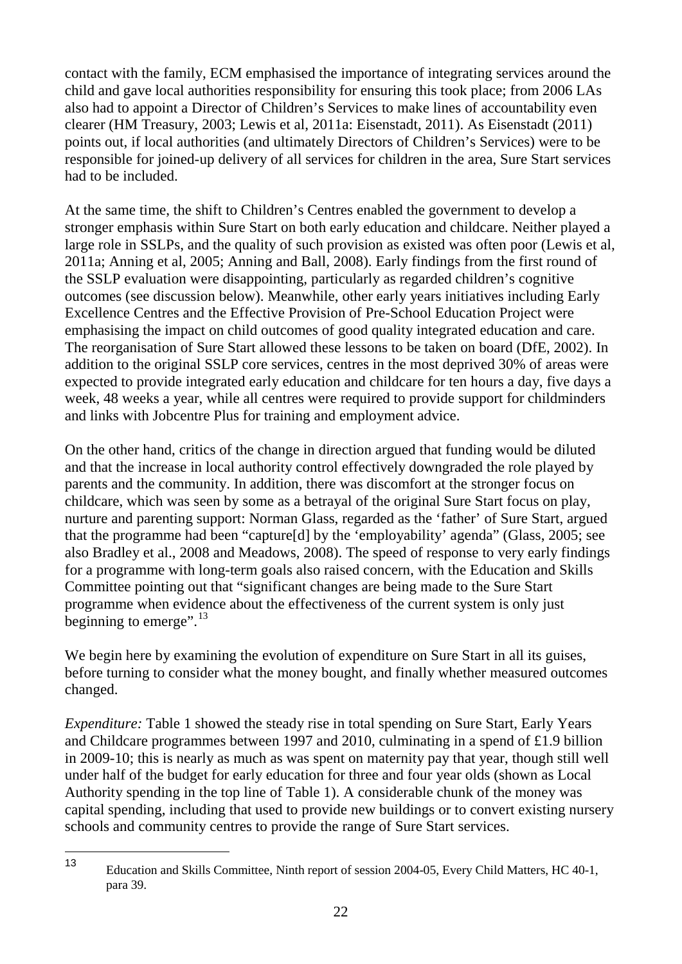contact with the family, ECM emphasised the importance of integrating services around the child and gave local authorities responsibility for ensuring this took place; from 2006 LAs also had to appoint a Director of Children's Services to make lines of accountability even clearer (HM Treasury, 2003; Lewis et al, 2011a: Eisenstadt, 2011). As Eisenstadt (2011) points out, if local authorities (and ultimately Directors of Children's Services) were to be responsible for joined-up delivery of all services for children in the area, Sure Start services had to be included.

At the same time, the shift to Children's Centres enabled the government to develop a stronger emphasis within Sure Start on both early education and childcare. Neither played a large role in SSLPs, and the quality of such provision as existed was often poor (Lewis et al, 2011a; Anning et al, 2005; Anning and Ball, 2008). Early findings from the first round of the SSLP evaluation were disappointing, particularly as regarded children's cognitive outcomes (see discussion below). Meanwhile, other early years initiatives including Early Excellence Centres and the Effective Provision of Pre-School Education Project were emphasising the impact on child outcomes of good quality integrated education and care. The reorganisation of Sure Start allowed these lessons to be taken on board (DfE, 2002). In addition to the original SSLP core services, centres in the most deprived 30% of areas were expected to provide integrated early education and childcare for ten hours a day, five days a week, 48 weeks a year, while all centres were required to provide support for childminders and links with Jobcentre Plus for training and employment advice.

On the other hand, critics of the change in direction argued that funding would be diluted and that the increase in local authority control effectively downgraded the role played by parents and the community. In addition, there was discomfort at the stronger focus on childcare, which was seen by some as a betrayal of the original Sure Start focus on play, nurture and parenting support: Norman Glass, regarded as the 'father' of Sure Start, argued that the programme had been "capture[d] by the 'employability' agenda" (Glass, 2005; see also Bradley et al., 2008 and Meadows, 2008). The speed of response to very early findings for a programme with long-term goals also raised concern, with the Education and Skills Committee pointing out that "significant changes are being made to the Sure Start programme when evidence about the effectiveness of the current system is only just beginning to emerge". $^{13}$  $^{13}$  $^{13}$ 

We begin here by examining the evolution of expenditure on Sure Start in all its guises, before turning to consider what the money bought, and finally whether measured outcomes changed.

*Expenditure:* Table 1 showed the steady rise in total spending on Sure Start, Early Years and Childcare programmes between 1997 and 2010, culminating in a spend of £1.9 billion in 2009-10; this is nearly as much as was spent on maternity pay that year, though still well under half of the budget for early education for three and four year olds (shown as Local Authority spending in the top line of Table 1). A considerable chunk of the money was capital spending, including that used to provide new buildings or to convert existing nursery schools and community centres to provide the range of Sure Start services.

<span id="page-25-0"></span><sup>13</sup> Education and Skills Committee, Ninth report of session 2004-05, Every Child Matters, HC 40-1, para 39. 13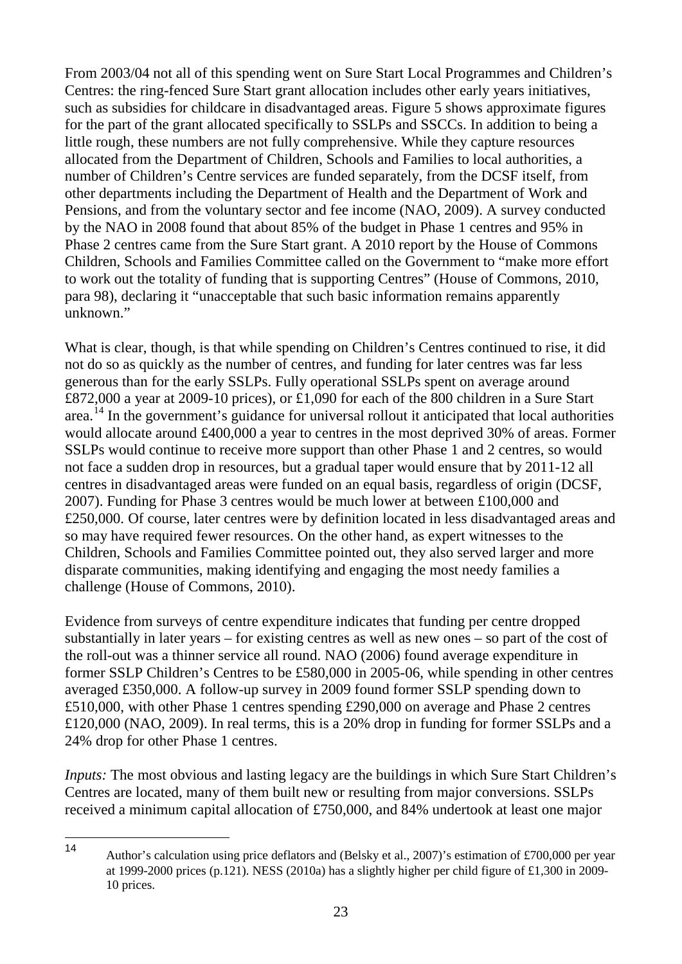From 2003/04 not all of this spending went on Sure Start Local Programmes and Children's Centres: the ring-fenced Sure Start grant allocation includes other early years initiatives, such as subsidies for childcare in disadvantaged areas. Figure 5 shows approximate figures for the part of the grant allocated specifically to SSLPs and SSCCs. In addition to being a little rough, these numbers are not fully comprehensive. While they capture resources allocated from the Department of Children, Schools and Families to local authorities, a number of Children's Centre services are funded separately, from the DCSF itself, from other departments including the Department of Health and the Department of Work and Pensions, and from the voluntary sector and fee income (NAO, 2009). A survey conducted by the NAO in 2008 found that about 85% of the budget in Phase 1 centres and 95% in Phase 2 centres came from the Sure Start grant. A 2010 report by the House of Commons Children, Schools and Families Committee called on the Government to "make more effort to work out the totality of funding that is supporting Centres" (House of Commons, 2010, para 98), declaring it "unacceptable that such basic information remains apparently unknown."

What is clear, though, is that while spending on Children's Centres continued to rise, it did not do so as quickly as the number of centres, and funding for later centres was far less generous than for the early SSLPs. Fully operational SSLPs spent on average around £872,000 a year at 2009-10 prices), or £1,090 for each of the 800 children in a Sure Start area.[14](#page-26-0) In the government's guidance for universal rollout it anticipated that local authorities would allocate around £400,000 a year to centres in the most deprived 30% of areas. Former SSLPs would continue to receive more support than other Phase 1 and 2 centres, so would not face a sudden drop in resources, but a gradual taper would ensure that by 2011-12 all centres in disadvantaged areas were funded on an equal basis, regardless of origin (DCSF, 2007). Funding for Phase 3 centres would be much lower at between £100,000 and £250,000. Of course, later centres were by definition located in less disadvantaged areas and so may have required fewer resources. On the other hand, as expert witnesses to the Children, Schools and Families Committee pointed out, they also served larger and more disparate communities, making identifying and engaging the most needy families a challenge (House of Commons, 2010).

Evidence from surveys of centre expenditure indicates that funding per centre dropped substantially in later years – for existing centres as well as new ones – so part of the cost of the roll-out was a thinner service all round. NAO (2006) found average expenditure in former SSLP Children's Centres to be £580,000 in 2005-06, while spending in other centres averaged £350,000. A follow-up survey in 2009 found former SSLP spending down to £510,000, with other Phase 1 centres spending £290,000 on average and Phase 2 centres £120,000 (NAO, 2009). In real terms, this is a 20% drop in funding for former SSLPs and a 24% drop for other Phase 1 centres.

*Inputs:* The most obvious and lasting legacy are the buildings in which Sure Start Children's Centres are located, many of them built new or resulting from major conversions. SSLPs received a minimum capital allocation of £750,000, and 84% undertook at least one major

<span id="page-26-0"></span>Author's calculation using price deflators and (Belsky et al., 2007)'s estimation of £700,000 per year at 1999-2000 prices (p.121). NESS (2010a) has a slightly higher per child figure of £1,300 in 2009-10 prices.  $14$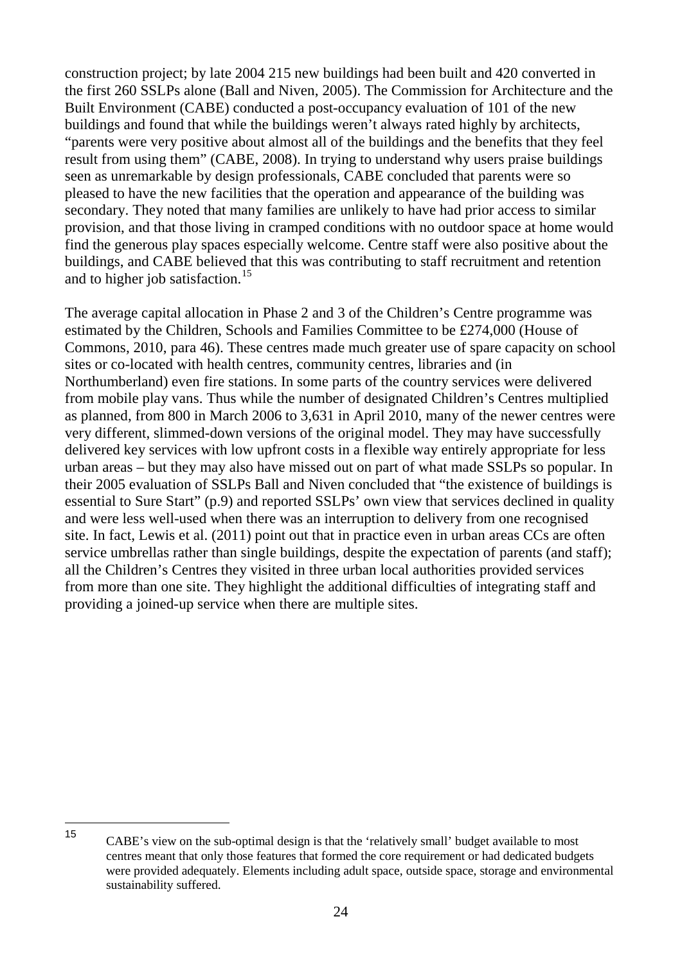construction project; by late 2004 215 new buildings had been built and 420 converted in the first 260 SSLPs alone (Ball and Niven, 2005). The Commission for Architecture and the Built Environment (CABE) conducted a post-occupancy evaluation of 101 of the new buildings and found that while the buildings weren't always rated highly by architects, "parents were very positive about almost all of the buildings and the benefits that they feel result from using them" (CABE, 2008). In trying to understand why users praise buildings seen as unremarkable by design professionals, CABE concluded that parents were so pleased to have the new facilities that the operation and appearance of the building was secondary. They noted that many families are unlikely to have had prior access to similar provision, and that those living in cramped conditions with no outdoor space at home would find the generous play spaces especially welcome. Centre staff were also positive about the buildings, and CABE believed that this was contributing to staff recruitment and retention and to higher job satisfaction.<sup>[15](#page-27-0)</sup>

The average capital allocation in Phase 2 and 3 of the Children's Centre programme was estimated by the Children, Schools and Families Committee to be £274,000 (House of Commons, 2010, para 46). These centres made much greater use of spare capacity on school sites or co-located with health centres, community centres, libraries and (in Northumberland) even fire stations. In some parts of the country services were delivered from mobile play vans. Thus while the number of designated Children's Centres multiplied as planned, from 800 in March 2006 to 3,631 in April 2010, many of the newer centres were very different, slimmed-down versions of the original model. They may have successfully delivered key services with low upfront costs in a flexible way entirely appropriate for less urban areas – but they may also have missed out on part of what made SSLPs so popular. In their 2005 evaluation of SSLPs Ball and Niven concluded that "the existence of buildings is essential to Sure Start" (p.9) and reported SSLPs' own view that services declined in quality and were less well-used when there was an interruption to delivery from one recognised site. In fact, Lewis et al. (2011) point out that in practice even in urban areas CCs are often service umbrellas rather than single buildings, despite the expectation of parents (and staff); all the Children's Centres they visited in three urban local authorities provided services from more than one site. They highlight the additional difficulties of integrating staff and providing a joined-up service when there are multiple sites.

<span id="page-27-0"></span><sup>15</sup> CABE's view on the sub-optimal design is that the 'relatively small' budget available to most centres meant that only those features that formed the core requirement or had dedicated budgets were provided adequately. Elements including adult space, outside space, storage and environmental sustainability suffered. 15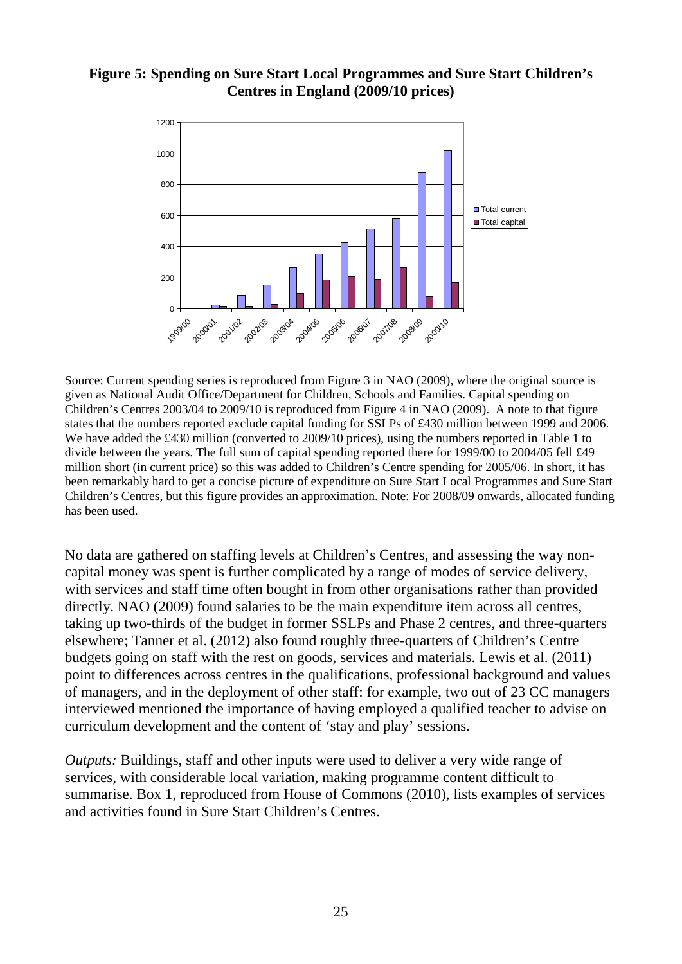#### **Figure 5: Spending on Sure Start Local Programmes and Sure Start Children's Centres in England (2009/10 prices)**



Source: Current spending series is reproduced from Figure 3 in NAO (2009), where the original source is given as National Audit Office/Department for Children, Schools and Families. Capital spending on Children's Centres 2003/04 to 2009/10 is reproduced from Figure 4 in NAO (2009). A note to that figure states that the numbers reported exclude capital funding for SSLPs of £430 million between 1999 and 2006. We have added the £430 million (converted to 2009/10 prices), using the numbers reported in Table 1 to divide between the years. The full sum of capital spending reported there for 1999/00 to 2004/05 fell £49 million short (in current price) so this was added to Children's Centre spending for 2005/06. In short, it has been remarkably hard to get a concise picture of expenditure on Sure Start Local Programmes and Sure Start Children's Centres, but this figure provides an approximation. Note: For 2008/09 onwards, allocated funding has been used.

No data are gathered on staffing levels at Children's Centres, and assessing the way noncapital money was spent is further complicated by a range of modes of service delivery, with services and staff time often bought in from other organisations rather than provided directly. NAO (2009) found salaries to be the main expenditure item across all centres, taking up two-thirds of the budget in former SSLPs and Phase 2 centres, and three-quarters elsewhere; Tanner et al. (2012) also found roughly three-quarters of Children's Centre budgets going on staff with the rest on goods, services and materials. Lewis et al. (2011) point to differences across centres in the qualifications, professional background and values of managers, and in the deployment of other staff: for example, two out of 23 CC managers interviewed mentioned the importance of having employed a qualified teacher to advise on curriculum development and the content of 'stay and play' sessions.

*Outputs:* Buildings, staff and other inputs were used to deliver a very wide range of services, with considerable local variation, making programme content difficult to summarise. Box 1, reproduced from House of Commons (2010), lists examples of services and activities found in Sure Start Children's Centres.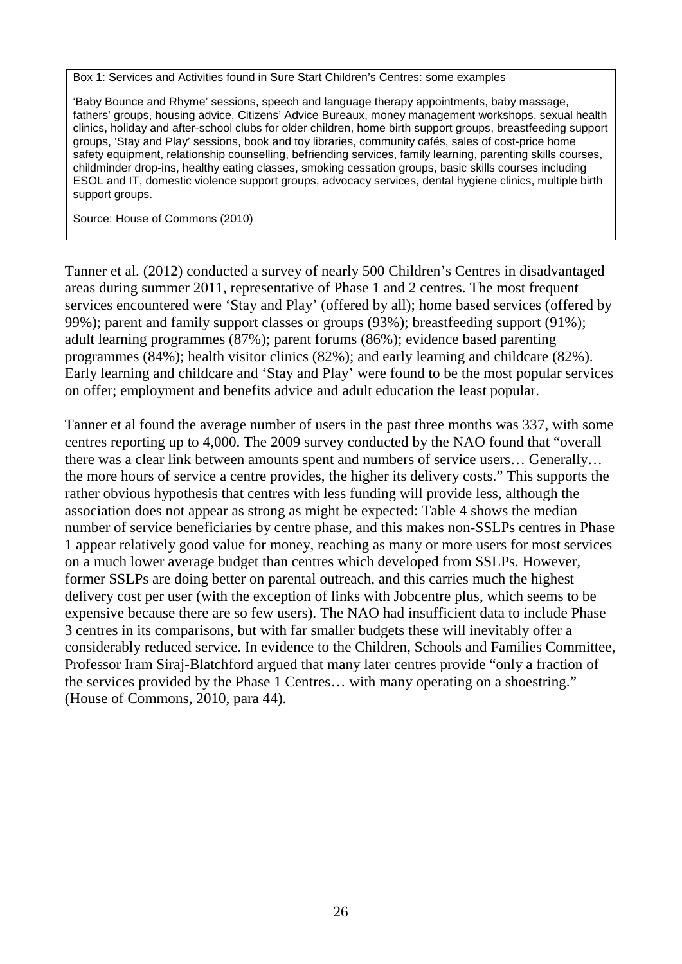Box 1: Services and Activities found in Sure Start Children's Centres: some examples

'Baby Bounce and Rhyme' sessions, speech and language therapy appointments, baby massage, fathers' groups, housing advice, Citizens' Advice Bureaux, money management workshops, sexual health clinics, holiday and after-school clubs for older children, home birth support groups, breastfeeding support groups, 'Stay and Play' sessions, book and toy libraries, community cafés, sales of cost-price home safety equipment, relationship counselling, befriending services, family learning, parenting skills courses, childminder drop-ins, healthy eating classes, smoking cessation groups, basic skills courses including ESOL and IT, domestic violence support groups, advocacy services, dental hygiene clinics, multiple birth support groups.

Source: House of Commons (2010)

Tanner et al. (2012) conducted a survey of nearly 500 Children's Centres in disadvantaged areas during summer 2011, representative of Phase 1 and 2 centres. The most frequent services encountered were 'Stay and Play' (offered by all); home based services (offered by 99%); parent and family support classes or groups (93%); breastfeeding support (91%); adult learning programmes (87%); parent forums (86%); evidence based parenting programmes (84%); health visitor clinics (82%); and early learning and childcare (82%). Early learning and childcare and 'Stay and Play' were found to be the most popular services on offer; employment and benefits advice and adult education the least popular.

Tanner et al found the average number of users in the past three months was 337, with some centres reporting up to 4,000. The 2009 survey conducted by the NAO found that "overall there was a clear link between amounts spent and numbers of service users… Generally… the more hours of service a centre provides, the higher its delivery costs." This supports the rather obvious hypothesis that centres with less funding will provide less, although the association does not appear as strong as might be expected: Table 4 shows the median number of service beneficiaries by centre phase, and this makes non-SSLPs centres in Phase 1 appear relatively good value for money, reaching as many or more users for most services on a much lower average budget than centres which developed from SSLPs. However, former SSLPs are doing better on parental outreach, and this carries much the highest delivery cost per user (with the exception of links with Jobcentre plus, which seems to be expensive because there are so few users). The NAO had insufficient data to include Phase 3 centres in its comparisons, but with far smaller budgets these will inevitably offer a considerably reduced service. In evidence to the Children, Schools and Families Committee, Professor Iram Siraj-Blatchford argued that many later centres provide "only a fraction of the services provided by the Phase 1 Centres… with many operating on a shoestring." (House of Commons, 2010, para 44).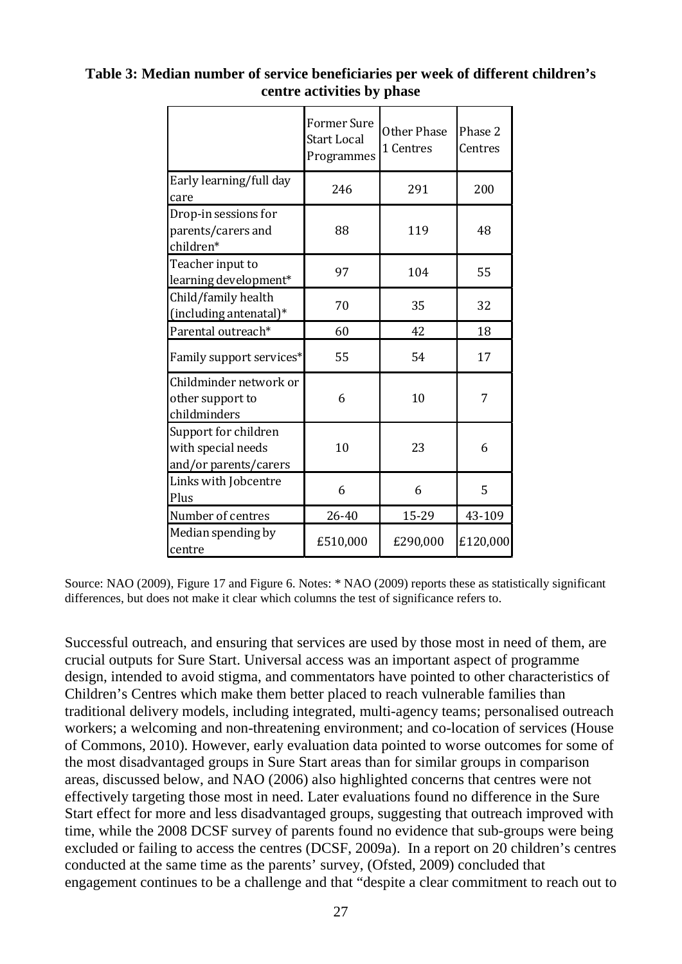|                                                                     | <b>Former Sure</b><br><b>Start Local</b><br>Programmes | Other Phase<br>1 Centres | Phase 2<br>Centres |
|---------------------------------------------------------------------|--------------------------------------------------------|--------------------------|--------------------|
| Early learning/full day<br>care                                     | 246                                                    | 291                      | 200                |
| Drop-in sessions for<br>parents/carers and<br>children*             | 88                                                     | 119                      | 48                 |
| Teacher input to<br>learning development*                           | 97                                                     | 104                      | 55                 |
| Child/family health<br>(including antenatal)*                       | 70                                                     | 35                       | 32                 |
| Parental outreach*                                                  | 60                                                     | 42                       | 18                 |
| Family support services*                                            | 55                                                     | 54                       | 17                 |
| Childminder network or<br>other support to<br>childminders          | 6                                                      | 10                       | 7                  |
| Support for children<br>with special needs<br>and/or parents/carers | 10                                                     | 23                       | 6                  |
| Links with Jobcentre<br>Plus                                        | 6                                                      | 6                        | 5                  |
| Number of centres                                                   | 26-40                                                  | 15-29                    | 43-109             |
| Median spending by<br>centre                                        | £510,000                                               | £290,000                 | £120,000           |

## **Table 3: Median number of service beneficiaries per week of different children's centre activities by phase**

Source: NAO (2009), Figure 17 and Figure 6. Notes: \* NAO (2009) reports these as statistically significant differences, but does not make it clear which columns the test of significance refers to.

Successful outreach, and ensuring that services are used by those most in need of them, are crucial outputs for Sure Start. Universal access was an important aspect of programme design, intended to avoid stigma, and commentators have pointed to other characteristics of Children's Centres which make them better placed to reach vulnerable families than traditional delivery models, including integrated, multi-agency teams; personalised outreach workers; a welcoming and non-threatening environment; and co-location of services (House of Commons, 2010). However, early evaluation data pointed to worse outcomes for some of the most disadvantaged groups in Sure Start areas than for similar groups in comparison areas, discussed below, and NAO (2006) also highlighted concerns that centres were not effectively targeting those most in need. Later evaluations found no difference in the Sure Start effect for more and less disadvantaged groups, suggesting that outreach improved with time, while the 2008 DCSF survey of parents found no evidence that sub-groups were being excluded or failing to access the centres (DCSF, 2009a). In a report on 20 children's centres conducted at the same time as the parents' survey, (Ofsted, 2009) concluded that engagement continues to be a challenge and that "despite a clear commitment to reach out to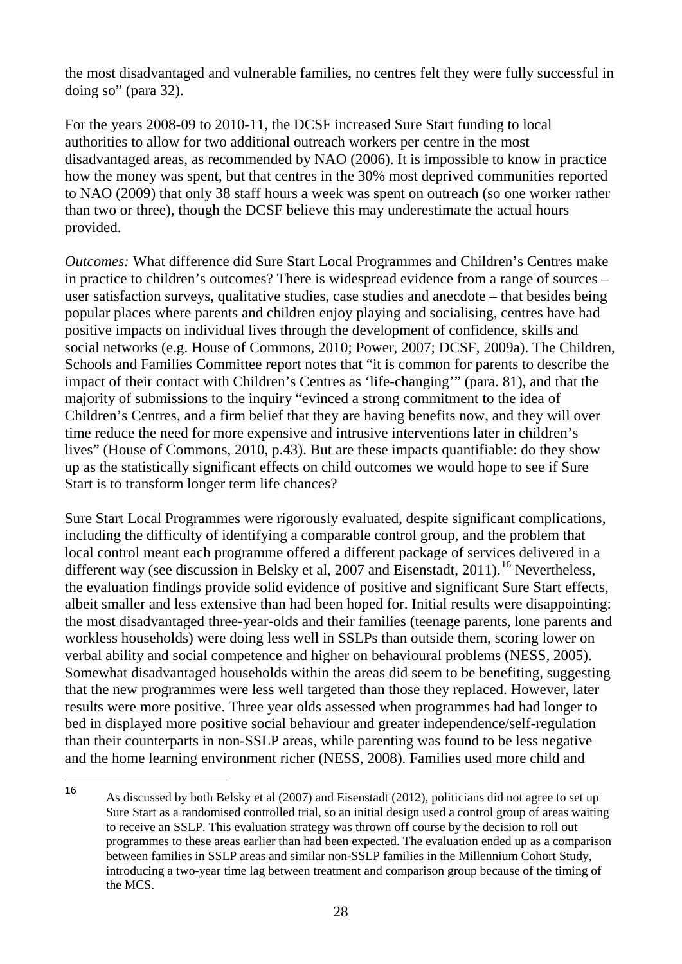the most disadvantaged and vulnerable families, no centres felt they were fully successful in doing so" (para 32).

For the years 2008-09 to 2010-11, the DCSF increased Sure Start funding to local authorities to allow for two additional outreach workers per centre in the most disadvantaged areas, as recommended by NAO (2006). It is impossible to know in practice how the money was spent, but that centres in the 30% most deprived communities reported to NAO (2009) that only 38 staff hours a week was spent on outreach (so one worker rather than two or three), though the DCSF believe this may underestimate the actual hours provided.

*Outcomes:* What difference did Sure Start Local Programmes and Children's Centres make in practice to children's outcomes? There is widespread evidence from a range of sources – user satisfaction surveys, qualitative studies, case studies and anecdote – that besides being popular places where parents and children enjoy playing and socialising, centres have had positive impacts on individual lives through the development of confidence, skills and social networks (e.g. House of Commons, 2010; Power, 2007; DCSF, 2009a). The Children, Schools and Families Committee report notes that "it is common for parents to describe the impact of their contact with Children's Centres as 'life-changing'" (para. 81), and that the majority of submissions to the inquiry "evinced a strong commitment to the idea of Children's Centres, and a firm belief that they are having benefits now, and they will over time reduce the need for more expensive and intrusive interventions later in children's lives" (House of Commons, 2010, p.43). But are these impacts quantifiable: do they show up as the statistically significant effects on child outcomes we would hope to see if Sure Start is to transform longer term life chances?

Sure Start Local Programmes were rigorously evaluated, despite significant complications, including the difficulty of identifying a comparable control group, and the problem that local control meant each programme offered a different package of services delivered in a different way (see discussion in Belsky et al, 2007 and Eisenstadt, 2011).<sup>[16](#page-31-0)</sup> Nevertheless, the evaluation findings provide solid evidence of positive and significant Sure Start effects, albeit smaller and less extensive than had been hoped for. Initial results were disappointing: the most disadvantaged three-year-olds and their families (teenage parents, lone parents and workless households) were doing less well in SSLPs than outside them, scoring lower on verbal ability and social competence and higher on behavioural problems (NESS, 2005). Somewhat disadvantaged households within the areas did seem to be benefiting, suggesting that the new programmes were less well targeted than those they replaced. However, later results were more positive. Three year olds assessed when programmes had had longer to bed in displayed more positive social behaviour and greater independence/self-regulation than their counterparts in non-SSLP areas, while parenting was found to be less negative and the home learning environment richer (NESS, 2008). Families used more child and

<span id="page-31-0"></span><sup>16</sup> As discussed by both Belsky et al (2007) and Eisenstadt (2012), politicians did not agree to set up Sure Start as a randomised controlled trial, so an initial design used a control group of areas waiting to receive an SSLP. This evaluation strategy was thrown off course by the decision to roll out programmes to these areas earlier than had been expected. The evaluation ended up as a comparison between families in SSLP areas and similar non-SSLP families in the Millennium Cohort Study, introducing a two-year time lag between treatment and comparison group because of the timing of the MCS. 16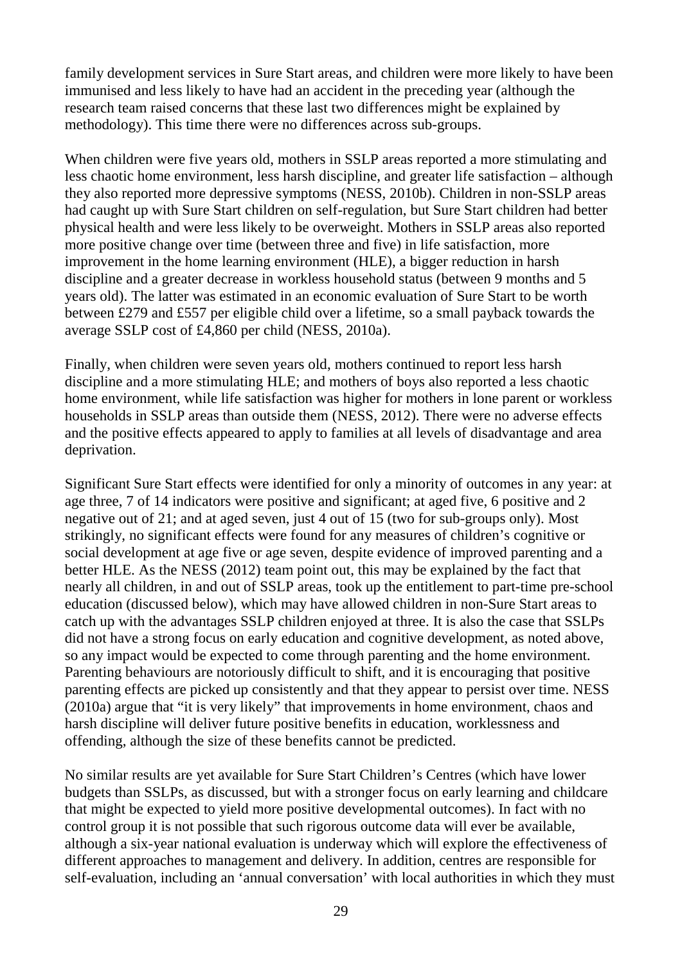family development services in Sure Start areas, and children were more likely to have been immunised and less likely to have had an accident in the preceding year (although the research team raised concerns that these last two differences might be explained by methodology). This time there were no differences across sub-groups.

When children were five years old, mothers in SSLP areas reported a more stimulating and less chaotic home environment, less harsh discipline, and greater life satisfaction – although they also reported more depressive symptoms (NESS, 2010b). Children in non-SSLP areas had caught up with Sure Start children on self-regulation, but Sure Start children had better physical health and were less likely to be overweight. Mothers in SSLP areas also reported more positive change over time (between three and five) in life satisfaction, more improvement in the home learning environment (HLE), a bigger reduction in harsh discipline and a greater decrease in workless household status (between 9 months and 5 years old). The latter was estimated in an economic evaluation of Sure Start to be worth between £279 and £557 per eligible child over a lifetime, so a small payback towards the average SSLP cost of £4,860 per child (NESS, 2010a).

Finally, when children were seven years old, mothers continued to report less harsh discipline and a more stimulating HLE; and mothers of boys also reported a less chaotic home environment, while life satisfaction was higher for mothers in lone parent or workless households in SSLP areas than outside them (NESS, 2012). There were no adverse effects and the positive effects appeared to apply to families at all levels of disadvantage and area deprivation.

Significant Sure Start effects were identified for only a minority of outcomes in any year: at age three, 7 of 14 indicators were positive and significant; at aged five, 6 positive and 2 negative out of 21; and at aged seven, just 4 out of 15 (two for sub-groups only). Most strikingly, no significant effects were found for any measures of children's cognitive or social development at age five or age seven, despite evidence of improved parenting and a better HLE. As the NESS (2012) team point out, this may be explained by the fact that nearly all children, in and out of SSLP areas, took up the entitlement to part-time pre-school education (discussed below), which may have allowed children in non-Sure Start areas to catch up with the advantages SSLP children enjoyed at three. It is also the case that SSLPs did not have a strong focus on early education and cognitive development, as noted above, so any impact would be expected to come through parenting and the home environment. Parenting behaviours are notoriously difficult to shift, and it is encouraging that positive parenting effects are picked up consistently and that they appear to persist over time. NESS (2010a) argue that "it is very likely" that improvements in home environment, chaos and harsh discipline will deliver future positive benefits in education, worklessness and offending, although the size of these benefits cannot be predicted.

No similar results are yet available for Sure Start Children's Centres (which have lower budgets than SSLPs, as discussed, but with a stronger focus on early learning and childcare that might be expected to yield more positive developmental outcomes). In fact with no control group it is not possible that such rigorous outcome data will ever be available, although a six-year national evaluation is underway which will explore the effectiveness of different approaches to management and delivery. In addition, centres are responsible for self-evaluation, including an 'annual conversation' with local authorities in which they must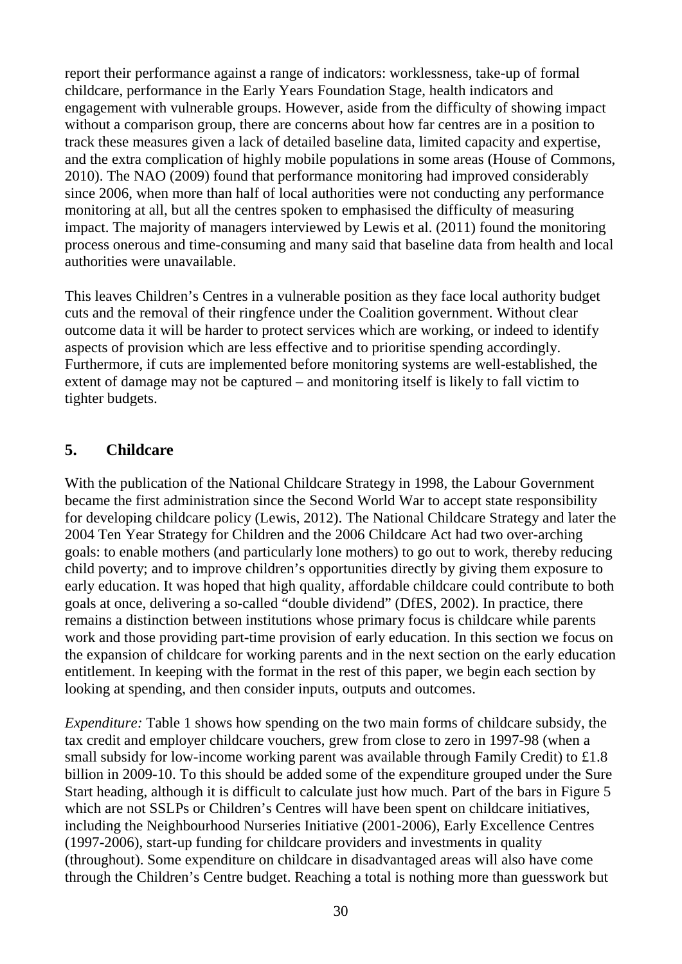report their performance against a range of indicators: worklessness, take-up of formal childcare, performance in the Early Years Foundation Stage, health indicators and engagement with vulnerable groups. However, aside from the difficulty of showing impact without a comparison group, there are concerns about how far centres are in a position to track these measures given a lack of detailed baseline data, limited capacity and expertise, and the extra complication of highly mobile populations in some areas (House of Commons, 2010). The NAO (2009) found that performance monitoring had improved considerably since 2006, when more than half of local authorities were not conducting any performance monitoring at all, but all the centres spoken to emphasised the difficulty of measuring impact. The majority of managers interviewed by Lewis et al. (2011) found the monitoring process onerous and time-consuming and many said that baseline data from health and local authorities were unavailable.

This leaves Children's Centres in a vulnerable position as they face local authority budget cuts and the removal of their ringfence under the Coalition government. Without clear outcome data it will be harder to protect services which are working, or indeed to identify aspects of provision which are less effective and to prioritise spending accordingly. Furthermore, if cuts are implemented before monitoring systems are well-established, the extent of damage may not be captured – and monitoring itself is likely to fall victim to tighter budgets.

# <span id="page-33-0"></span>**5. Childcare**

With the publication of the National Childcare Strategy in 1998, the Labour Government became the first administration since the Second World War to accept state responsibility for developing childcare policy (Lewis, 2012). The National Childcare Strategy and later the 2004 Ten Year Strategy for Children and the 2006 Childcare Act had two over-arching goals: to enable mothers (and particularly lone mothers) to go out to work, thereby reducing child poverty; and to improve children's opportunities directly by giving them exposure to early education. It was hoped that high quality, affordable childcare could contribute to both goals at once, delivering a so-called "double dividend" (DfES, 2002). In practice, there remains a distinction between institutions whose primary focus is childcare while parents work and those providing part-time provision of early education. In this section we focus on the expansion of childcare for working parents and in the next section on the early education entitlement. In keeping with the format in the rest of this paper, we begin each section by looking at spending, and then consider inputs, outputs and outcomes.

*Expenditure:* Table 1 shows how spending on the two main forms of childcare subsidy, the tax credit and employer childcare vouchers, grew from close to zero in 1997-98 (when a small subsidy for low-income working parent was available through Family Credit) to £1.8 billion in 2009-10. To this should be added some of the expenditure grouped under the Sure Start heading, although it is difficult to calculate just how much. Part of the bars in Figure 5 which are not SSLPs or Children's Centres will have been spent on childcare initiatives, including the Neighbourhood Nurseries Initiative (2001-2006), Early Excellence Centres (1997-2006), start-up funding for childcare providers and investments in quality (throughout). Some expenditure on childcare in disadvantaged areas will also have come through the Children's Centre budget. Reaching a total is nothing more than guesswork but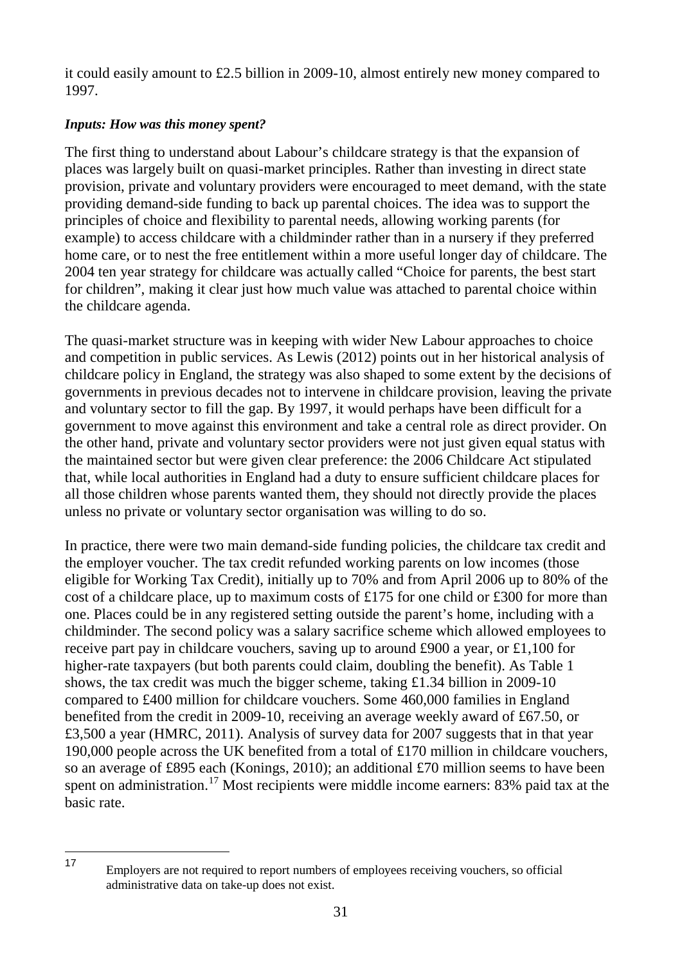it could easily amount to £2.5 billion in 2009-10, almost entirely new money compared to 1997.

## *Inputs: How was this money spent?*

The first thing to understand about Labour's childcare strategy is that the expansion of places was largely built on quasi-market principles. Rather than investing in direct state provision, private and voluntary providers were encouraged to meet demand, with the state providing demand-side funding to back up parental choices. The idea was to support the principles of choice and flexibility to parental needs, allowing working parents (for example) to access childcare with a childminder rather than in a nursery if they preferred home care, or to nest the free entitlement within a more useful longer day of childcare. The 2004 ten year strategy for childcare was actually called "Choice for parents, the best start for children", making it clear just how much value was attached to parental choice within the childcare agenda.

The quasi-market structure was in keeping with wider New Labour approaches to choice and competition in public services. As Lewis (2012) points out in her historical analysis of childcare policy in England, the strategy was also shaped to some extent by the decisions of governments in previous decades not to intervene in childcare provision, leaving the private and voluntary sector to fill the gap. By 1997, it would perhaps have been difficult for a government to move against this environment and take a central role as direct provider. On the other hand, private and voluntary sector providers were not just given equal status with the maintained sector but were given clear preference: the 2006 Childcare Act stipulated that, while local authorities in England had a duty to ensure sufficient childcare places for all those children whose parents wanted them, they should not directly provide the places unless no private or voluntary sector organisation was willing to do so.

In practice, there were two main demand-side funding policies, the childcare tax credit and the employer voucher. The tax credit refunded working parents on low incomes (those eligible for Working Tax Credit), initially up to 70% and from April 2006 up to 80% of the cost of a childcare place, up to maximum costs of £175 for one child or £300 for more than one. Places could be in any registered setting outside the parent's home, including with a childminder. The second policy was a salary sacrifice scheme which allowed employees to receive part pay in childcare vouchers, saving up to around £900 a year, or £1,100 for higher-rate taxpayers (but both parents could claim, doubling the benefit). As Table 1 shows, the tax credit was much the bigger scheme, taking £1.34 billion in 2009-10 compared to £400 million for childcare vouchers. Some 460,000 families in England benefited from the credit in 2009-10, receiving an average weekly award of £67.50, or £3,500 a year (HMRC, 2011). Analysis of survey data for 2007 suggests that in that year 190,000 people across the UK benefited from a total of £170 million in childcare vouchers, so an average of £895 each (Konings, 2010); an additional £70 million seems to have been spent on administration.<sup>[17](#page-34-0)</sup> Most recipients were middle income earners: 83% paid tax at the basic rate.

<span id="page-34-0"></span>Employers are not required to report numbers of employees receiving vouchers, so official administrative data on take-up does not exist. 17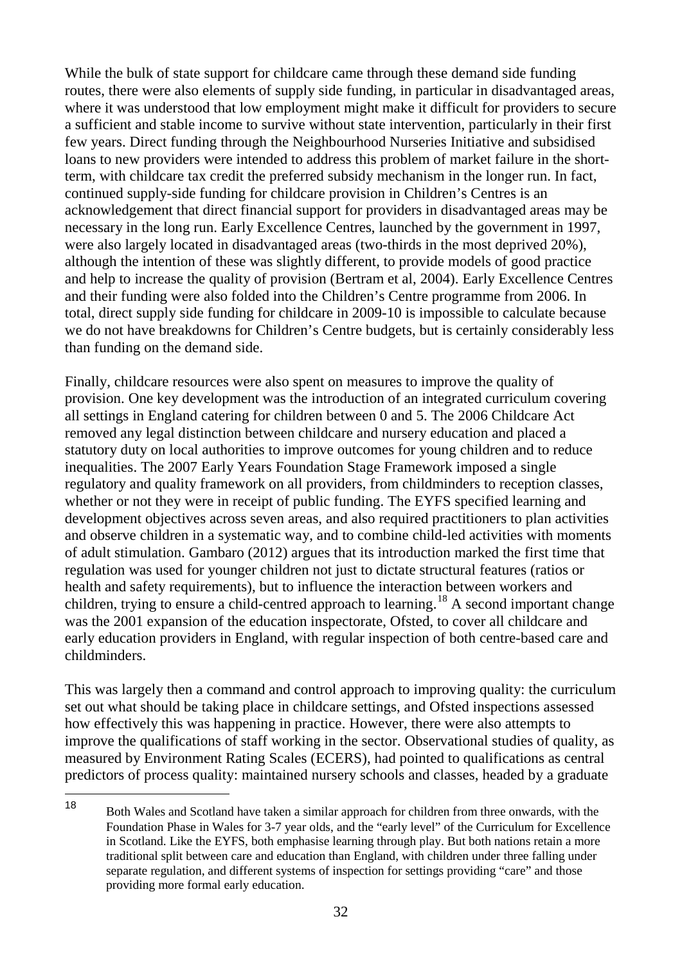While the bulk of state support for childcare came through these demand side funding routes, there were also elements of supply side funding, in particular in disadvantaged areas, where it was understood that low employment might make it difficult for providers to secure a sufficient and stable income to survive without state intervention, particularly in their first few years. Direct funding through the Neighbourhood Nurseries Initiative and subsidised loans to new providers were intended to address this problem of market failure in the shortterm, with childcare tax credit the preferred subsidy mechanism in the longer run. In fact, continued supply-side funding for childcare provision in Children's Centres is an acknowledgement that direct financial support for providers in disadvantaged areas may be necessary in the long run. Early Excellence Centres, launched by the government in 1997, were also largely located in disadvantaged areas (two-thirds in the most deprived 20%), although the intention of these was slightly different, to provide models of good practice and help to increase the quality of provision (Bertram et al, 2004). Early Excellence Centres and their funding were also folded into the Children's Centre programme from 2006. In total, direct supply side funding for childcare in 2009-10 is impossible to calculate because we do not have breakdowns for Children's Centre budgets, but is certainly considerably less than funding on the demand side.

Finally, childcare resources were also spent on measures to improve the quality of provision. One key development was the introduction of an integrated curriculum covering all settings in England catering for children between 0 and 5. The 2006 Childcare Act removed any legal distinction between childcare and nursery education and placed a statutory duty on local authorities to improve outcomes for young children and to reduce inequalities. The 2007 Early Years Foundation Stage Framework imposed a single regulatory and quality framework on all providers, from childminders to reception classes, whether or not they were in receipt of public funding. The EYFS specified learning and development objectives across seven areas, and also required practitioners to plan activities and observe children in a systematic way, and to combine child-led activities with moments of adult stimulation. Gambaro (2012) argues that its introduction marked the first time that regulation was used for younger children not just to dictate structural features (ratios or health and safety requirements), but to influence the interaction between workers and children, trying to ensure a child-centred approach to learning.<sup>[18](#page-35-0)</sup> A second important change was the 2001 expansion of the education inspectorate, Ofsted, to cover all childcare and early education providers in England, with regular inspection of both centre-based care and childminders.

This was largely then a command and control approach to improving quality: the curriculum set out what should be taking place in childcare settings, and Ofsted inspections assessed how effectively this was happening in practice. However, there were also attempts to improve the qualifications of staff working in the sector. Observational studies of quality, as measured by Environment Rating Scales (ECERS), had pointed to qualifications as central predictors of process quality: maintained nursery schools and classes, headed by a graduate

<span id="page-35-0"></span><sup>18</sup> Both Wales and Scotland have taken a similar approach for children from three onwards, with the Foundation Phase in Wales for 3-7 year olds, and the "early level" of the Curriculum for Excellence in Scotland. Like the EYFS, both emphasise learning through play. But both nations retain a more traditional split between care and education than England, with children under three falling under separate regulation, and different systems of inspection for settings providing "care" and those providing more formal early education. 18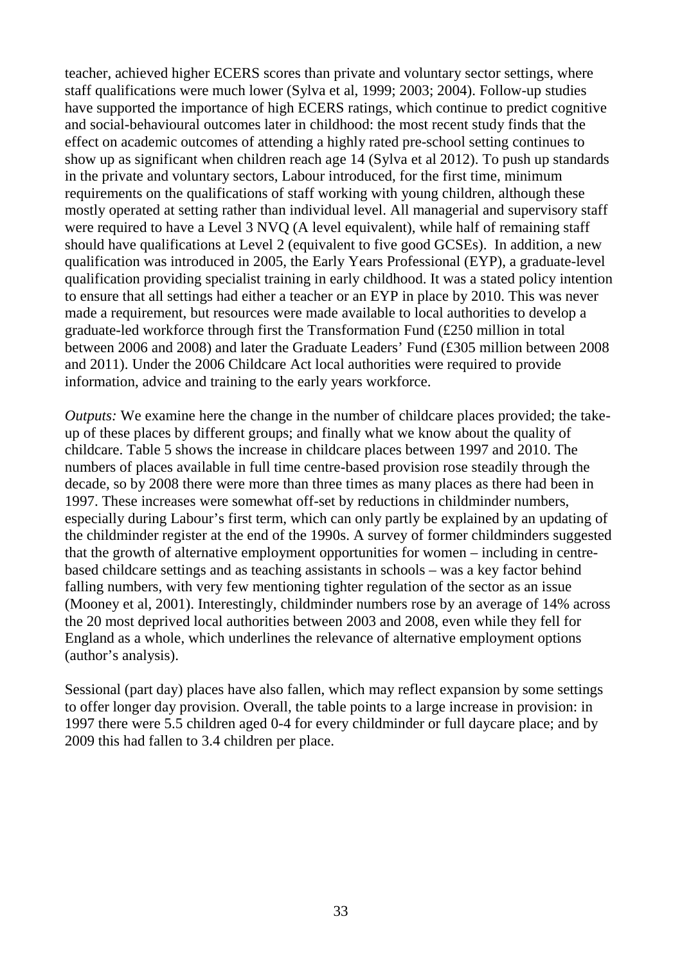teacher, achieved higher ECERS scores than private and voluntary sector settings, where staff qualifications were much lower (Sylva et al, 1999; 2003; 2004). Follow-up studies have supported the importance of high ECERS ratings, which continue to predict cognitive and social-behavioural outcomes later in childhood: the most recent study finds that the effect on academic outcomes of attending a highly rated pre-school setting continues to show up as significant when children reach age 14 (Sylva et al 2012). To push up standards in the private and voluntary sectors, Labour introduced, for the first time, minimum requirements on the qualifications of staff working with young children, although these mostly operated at setting rather than individual level. All managerial and supervisory staff were required to have a Level 3 NVQ (A level equivalent), while half of remaining staff should have qualifications at Level 2 (equivalent to five good GCSEs). In addition, a new qualification was introduced in 2005, the Early Years Professional (EYP), a graduate-level qualification providing specialist training in early childhood. It was a stated policy intention to ensure that all settings had either a teacher or an EYP in place by 2010. This was never made a requirement, but resources were made available to local authorities to develop a graduate-led workforce through first the Transformation Fund (£250 million in total between 2006 and 2008) and later the Graduate Leaders' Fund (£305 million between 2008 and 2011). Under the 2006 Childcare Act local authorities were required to provide information, advice and training to the early years workforce.

*Outputs:* We examine here the change in the number of childcare places provided; the takeup of these places by different groups; and finally what we know about the quality of childcare. Table 5 shows the increase in childcare places between 1997 and 2010. The numbers of places available in full time centre-based provision rose steadily through the decade, so by 2008 there were more than three times as many places as there had been in 1997. These increases were somewhat off-set by reductions in childminder numbers, especially during Labour's first term, which can only partly be explained by an updating of the childminder register at the end of the 1990s. A survey of former childminders suggested that the growth of alternative employment opportunities for women – including in centrebased childcare settings and as teaching assistants in schools – was a key factor behind falling numbers, with very few mentioning tighter regulation of the sector as an issue (Mooney et al, 2001). Interestingly, childminder numbers rose by an average of 14% across the 20 most deprived local authorities between 2003 and 2008, even while they fell for England as a whole, which underlines the relevance of alternative employment options (author's analysis).

Sessional (part day) places have also fallen, which may reflect expansion by some settings to offer longer day provision. Overall, the table points to a large increase in provision: in 1997 there were 5.5 children aged 0-4 for every childminder or full daycare place; and by 2009 this had fallen to 3.4 children per place.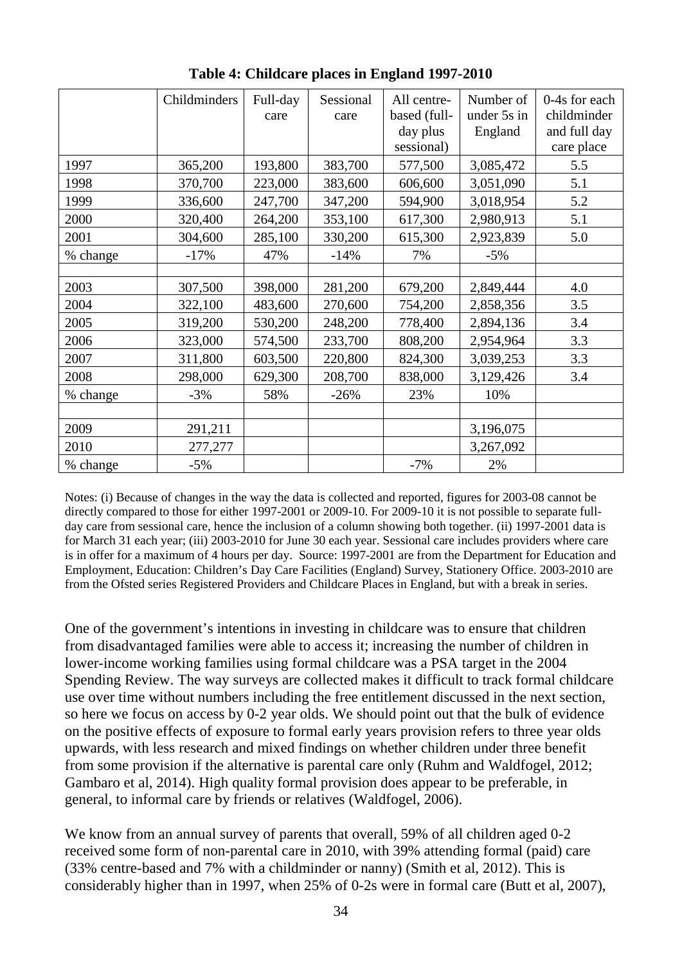|          | Childminders | Full-day<br>care | Sessional<br>care | All centre-<br>based (full-<br>day plus<br>sessional) | Number of<br>under 5s in<br>England | 0-4s for each<br>childminder<br>and full day<br>care place |
|----------|--------------|------------------|-------------------|-------------------------------------------------------|-------------------------------------|------------------------------------------------------------|
| 1997     | 365,200      | 193,800          | 383,700           | 577,500                                               | 3,085,472                           | 5.5                                                        |
| 1998     | 370,700      | 223,000          | 383,600           | 606,600                                               | 3,051,090                           | 5.1                                                        |
| 1999     | 336,600      | 247,700          | 347,200           | 594,900                                               | 3,018,954                           | 5.2                                                        |
| 2000     | 320,400      | 264,200          | 353,100           | 617,300                                               | 2,980,913                           | 5.1                                                        |
| 2001     | 304,600      | 285,100          | 330,200           | 615,300                                               | 2,923,839                           | 5.0                                                        |
| % change | $-17%$       | 47%              | $-14%$            | 7%                                                    | $-5%$                               |                                                            |
|          |              |                  |                   |                                                       |                                     |                                                            |
| 2003     | 307,500      | 398,000          | 281,200           | 679,200                                               | 2,849,444                           | 4.0                                                        |
| 2004     | 322,100      | 483,600          | 270,600           | 754,200                                               | 2,858,356                           | 3.5                                                        |
| 2005     | 319,200      | 530,200          | 248,200           | 778,400                                               | 2,894,136                           | 3.4                                                        |
| 2006     | 323,000      | 574,500          | 233,700           | 808,200                                               | 2,954,964                           | 3.3                                                        |
| 2007     | 311,800      | 603,500          | 220,800           | 824,300                                               | 3,039,253                           | 3.3                                                        |
| 2008     | 298,000      | 629,300          | 208,700           | 838,000                                               | 3,129,426                           | 3.4                                                        |
| % change | $-3%$        | 58%              | $-26%$            | 23%                                                   | 10%                                 |                                                            |
|          |              |                  |                   |                                                       |                                     |                                                            |
| 2009     | 291,211      |                  |                   |                                                       | 3,196,075                           |                                                            |
| 2010     | 277,277      |                  |                   |                                                       | 3,267,092                           |                                                            |
| % change | $-5%$        |                  |                   | $-7%$                                                 | 2%                                  |                                                            |

**Table 4: Childcare places in England 1997-2010**

Notes: (i) Because of changes in the way the data is collected and reported, figures for 2003-08 cannot be directly compared to those for either 1997-2001 or 2009-10. For 2009-10 it is not possible to separate fullday care from sessional care, hence the inclusion of a column showing both together. (ii) 1997-2001 data is for March 31 each year; (iii) 2003-2010 for June 30 each year. Sessional care includes providers where care is in offer for a maximum of 4 hours per day. Source: 1997-2001 are from the Department for Education and Employment, Education: Children's Day Care Facilities (England) Survey, Stationery Office. 2003-2010 are from the Ofsted series Registered Providers and Childcare Places in England, but with a break in series.

One of the government's intentions in investing in childcare was to ensure that children from disadvantaged families were able to access it; increasing the number of children in lower-income working families using formal childcare was a PSA target in the 2004 Spending Review. The way surveys are collected makes it difficult to track formal childcare use over time without numbers including the free entitlement discussed in the next section, so here we focus on access by 0-2 year olds. We should point out that the bulk of evidence on the positive effects of exposure to formal early years provision refers to three year olds upwards, with less research and mixed findings on whether children under three benefit from some provision if the alternative is parental care only (Ruhm and Waldfogel, 2012; Gambaro et al, 2014). High quality formal provision does appear to be preferable, in general, to informal care by friends or relatives (Waldfogel, 2006).

We know from an annual survey of parents that overall, 59% of all children aged 0-2 received some form of non-parental care in 2010, with 39% attending formal (paid) care (33% centre-based and 7% with a childminder or nanny) (Smith et al, 2012). This is considerably higher than in 1997, when 25% of 0-2s were in formal care (Butt et al, 2007),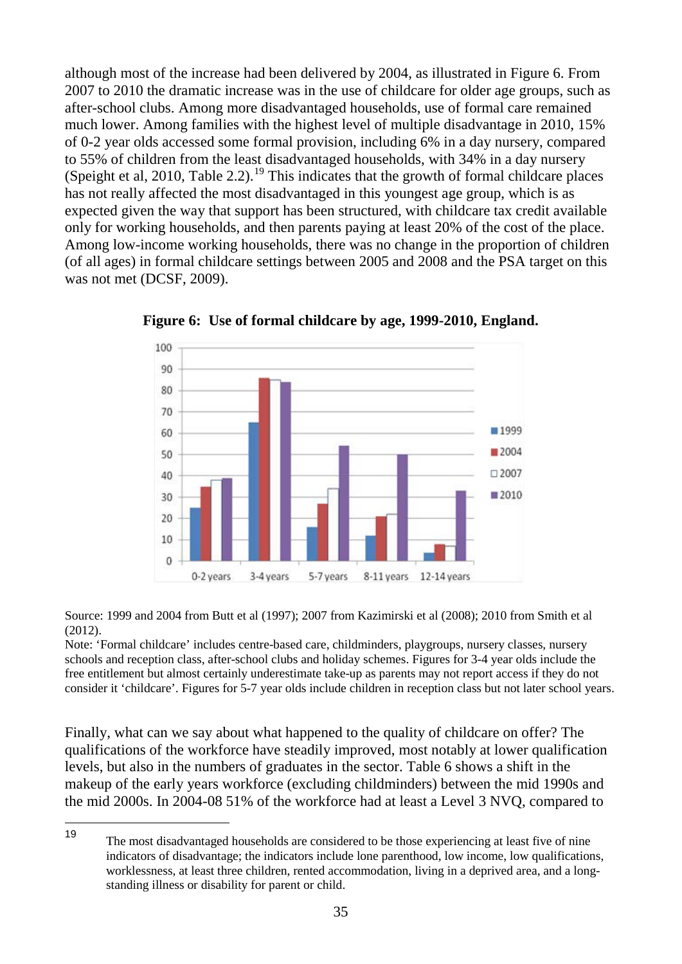although most of the increase had been delivered by 2004, as illustrated in Figure 6. From 2007 to 2010 the dramatic increase was in the use of childcare for older age groups, such as after-school clubs. Among more disadvantaged households, use of formal care remained much lower. Among families with the highest level of multiple disadvantage in 2010, 15% of 0-2 year olds accessed some formal provision, including 6% in a day nursery, compared to 55% of children from the least disadvantaged households, with 34% in a day nursery (Speight et al, 2010, Table 2.2).<sup>[19](#page-38-0)</sup> This indicates that the growth of formal childcare places has not really affected the most disadvantaged in this youngest age group, which is as expected given the way that support has been structured, with childcare tax credit available only for working households, and then parents paying at least 20% of the cost of the place. Among low-income working households, there was no change in the proportion of children (of all ages) in formal childcare settings between 2005 and 2008 and the PSA target on this was not met (DCSF, 2009).



**Figure 6: Use of formal childcare by age, 1999-2010, England.**

Source: 1999 and 2004 from Butt et al (1997); 2007 from Kazimirski et al (2008); 2010 from Smith et al (2012).

Note: 'Formal childcare' includes centre-based care, childminders, playgroups, nursery classes, nursery schools and reception class, after-school clubs and holiday schemes. Figures for 3-4 year olds include the free entitlement but almost certainly underestimate take-up as parents may not report access if they do not consider it 'childcare'. Figures for 5-7 year olds include children in reception class but not later school years.

Finally, what can we say about what happened to the quality of childcare on offer? The qualifications of the workforce have steadily improved, most notably at lower qualification levels, but also in the numbers of graduates in the sector. Table 6 shows a shift in the makeup of the early years workforce (excluding childminders) between the mid 1990s and the mid 2000s. In 2004-08 51% of the workforce had at least a Level 3 NVQ, compared to

<span id="page-38-0"></span><sup>19</sup> The most disadvantaged households are considered to be those experiencing at least five of nine indicators of disadvantage; the indicators include lone parenthood, low income, low qualifications, worklessness, at least three children, rented accommodation, living in a deprived area, and a longstanding illness or disability for parent or child. 19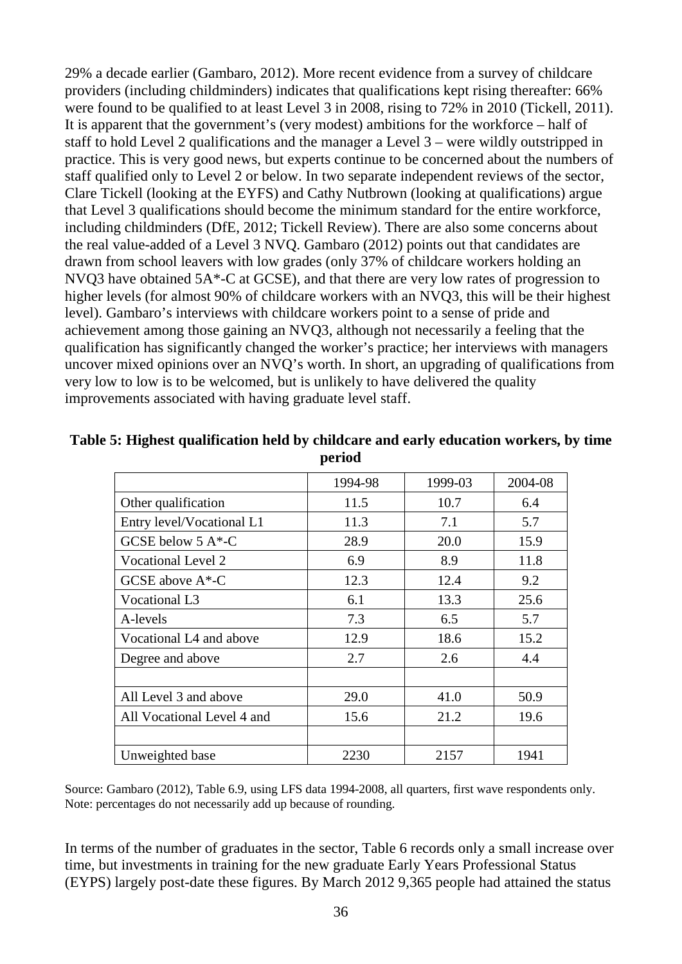29% a decade earlier (Gambaro, 2012). More recent evidence from a survey of childcare providers (including childminders) indicates that qualifications kept rising thereafter: 66% were found to be qualified to at least Level 3 in 2008, rising to 72% in 2010 (Tickell, 2011). It is apparent that the government's (very modest) ambitions for the workforce – half of staff to hold Level 2 qualifications and the manager a Level 3 – were wildly outstripped in practice. This is very good news, but experts continue to be concerned about the numbers of staff qualified only to Level 2 or below. In two separate independent reviews of the sector, Clare Tickell (looking at the EYFS) and Cathy Nutbrown (looking at qualifications) argue that Level 3 qualifications should become the minimum standard for the entire workforce, including childminders (DfE, 2012; Tickell Review). There are also some concerns about the real value-added of a Level 3 NVQ. Gambaro (2012) points out that candidates are drawn from school leavers with low grades (only 37% of childcare workers holding an NVQ3 have obtained 5A\*-C at GCSE), and that there are very low rates of progression to higher levels (for almost 90% of childcare workers with an NVQ3, this will be their highest level). Gambaro's interviews with childcare workers point to a sense of pride and achievement among those gaining an NVQ3, although not necessarily a feeling that the qualification has significantly changed the worker's practice; her interviews with managers uncover mixed opinions over an NVQ's worth. In short, an upgrading of qualifications from very low to low is to be welcomed, but is unlikely to have delivered the quality improvements associated with having graduate level staff.

|                            | 1994-98 | 1999-03 | 2004-08 |
|----------------------------|---------|---------|---------|
| Other qualification        | 11.5    | 10.7    | 6.4     |
| Entry level/Vocational L1  | 11.3    | 7.1     | 5.7     |
| GCSE below $5 A*-C$        | 28.9    | 20.0    | 15.9    |
| <b>Vocational Level 2</b>  | 6.9     | 8.9     | 11.8    |
| GCSE above $A^*$ -C        | 12.3    | 12.4    | 9.2     |
| Vocational L3              | 6.1     | 13.3    | 25.6    |
| A-levels                   | 7.3     | 6.5     | 5.7     |
| Vocational L4 and above    | 12.9    | 18.6    | 15.2    |
| Degree and above           | 2.7     | 2.6     | 4.4     |
|                            |         |         |         |
| All Level 3 and above      | 29.0    | 41.0    | 50.9    |
| All Vocational Level 4 and | 15.6    | 21.2    | 19.6    |
|                            |         |         |         |
| Unweighted base            | 2230    | 2157    | 1941    |

| Table 5: Highest qualification held by childcare and early education workers, by time |
|---------------------------------------------------------------------------------------|
| period                                                                                |

Source: Gambaro (2012), Table 6.9, using LFS data 1994-2008, all quarters, first wave respondents only. Note: percentages do not necessarily add up because of rounding.

In terms of the number of graduates in the sector, Table 6 records only a small increase over time, but investments in training for the new graduate Early Years Professional Status (EYPS) largely post-date these figures. By March 2012 9,365 people had attained the status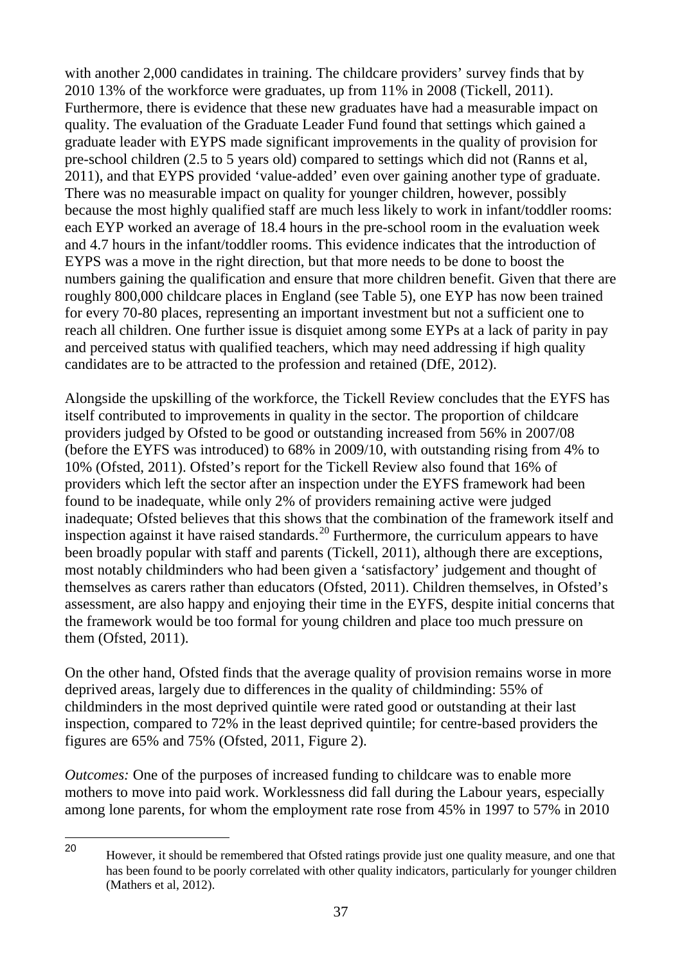with another 2,000 candidates in training. The childcare providers' survey finds that by 2010 13% of the workforce were graduates, up from 11% in 2008 (Tickell, 2011). Furthermore, there is evidence that these new graduates have had a measurable impact on quality. The evaluation of the Graduate Leader Fund found that settings which gained a graduate leader with EYPS made significant improvements in the quality of provision for pre-school children (2.5 to 5 years old) compared to settings which did not (Ranns et al, 2011), and that EYPS provided 'value-added' even over gaining another type of graduate. There was no measurable impact on quality for younger children, however, possibly because the most highly qualified staff are much less likely to work in infant/toddler rooms: each EYP worked an average of 18.4 hours in the pre-school room in the evaluation week and 4.7 hours in the infant/toddler rooms. This evidence indicates that the introduction of EYPS was a move in the right direction, but that more needs to be done to boost the numbers gaining the qualification and ensure that more children benefit. Given that there are roughly 800,000 childcare places in England (see Table 5), one EYP has now been trained for every 70-80 places, representing an important investment but not a sufficient one to reach all children. One further issue is disquiet among some EYPs at a lack of parity in pay and perceived status with qualified teachers, which may need addressing if high quality candidates are to be attracted to the profession and retained (DfE, 2012).

Alongside the upskilling of the workforce, the Tickell Review concludes that the EYFS has itself contributed to improvements in quality in the sector. The proportion of childcare providers judged by Ofsted to be good or outstanding increased from 56% in 2007/08 (before the EYFS was introduced) to 68% in 2009/10, with outstanding rising from 4% to 10% (Ofsted, 2011). Ofsted's report for the Tickell Review also found that 16% of providers which left the sector after an inspection under the EYFS framework had been found to be inadequate, while only 2% of providers remaining active were judged inadequate; Ofsted believes that this shows that the combination of the framework itself and inspection against it have raised standards.<sup>[20](#page-40-0)</sup> Furthermore, the curriculum appears to have been broadly popular with staff and parents (Tickell, 2011), although there are exceptions, most notably childminders who had been given a 'satisfactory' judgement and thought of themselves as carers rather than educators (Ofsted, 2011). Children themselves, in Ofsted's assessment, are also happy and enjoying their time in the EYFS, despite initial concerns that the framework would be too formal for young children and place too much pressure on them (Ofsted, 2011).

On the other hand, Ofsted finds that the average quality of provision remains worse in more deprived areas, largely due to differences in the quality of childminding: 55% of childminders in the most deprived quintile were rated good or outstanding at their last inspection, compared to 72% in the least deprived quintile; for centre-based providers the figures are 65% and 75% (Ofsted, 2011, Figure 2).

*Outcomes:* One of the purposes of increased funding to childcare was to enable more mothers to move into paid work. Worklessness did fall during the Labour years, especially among lone parents, for whom the employment rate rose from 45% in 1997 to 57% in 2010

<span id="page-40-0"></span><sup>20</sup> However, it should be remembered that Ofsted ratings provide just one quality measure, and one that has been found to be poorly correlated with other quality indicators, particularly for younger children (Mathers et al, 2012). 20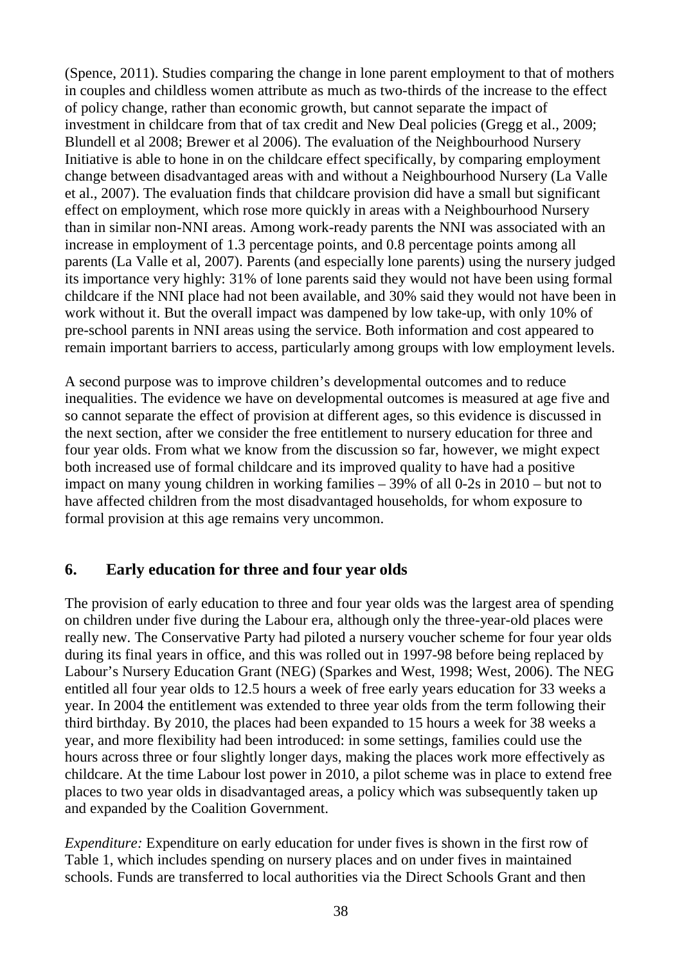(Spence, 2011). Studies comparing the change in lone parent employment to that of mothers in couples and childless women attribute as much as two-thirds of the increase to the effect of policy change, rather than economic growth, but cannot separate the impact of investment in childcare from that of tax credit and New Deal policies (Gregg et al., 2009; Blundell et al 2008; Brewer et al 2006). The evaluation of the Neighbourhood Nursery Initiative is able to hone in on the childcare effect specifically, by comparing employment change between disadvantaged areas with and without a Neighbourhood Nursery (La Valle et al., 2007). The evaluation finds that childcare provision did have a small but significant effect on employment, which rose more quickly in areas with a Neighbourhood Nursery than in similar non-NNI areas. Among work-ready parents the NNI was associated with an increase in employment of 1.3 percentage points, and 0.8 percentage points among all parents (La Valle et al, 2007). Parents (and especially lone parents) using the nursery judged its importance very highly: 31% of lone parents said they would not have been using formal childcare if the NNI place had not been available, and 30% said they would not have been in work without it. But the overall impact was dampened by low take-up, with only 10% of pre-school parents in NNI areas using the service. Both information and cost appeared to remain important barriers to access, particularly among groups with low employment levels.

A second purpose was to improve children's developmental outcomes and to reduce inequalities. The evidence we have on developmental outcomes is measured at age five and so cannot separate the effect of provision at different ages, so this evidence is discussed in the next section, after we consider the free entitlement to nursery education for three and four year olds. From what we know from the discussion so far, however, we might expect both increased use of formal childcare and its improved quality to have had a positive impact on many young children in working families – 39% of all 0-2s in 2010 – but not to have affected children from the most disadvantaged households, for whom exposure to formal provision at this age remains very uncommon.

## **6. Early education for three and four year olds**

The provision of early education to three and four year olds was the largest area of spending on children under five during the Labour era, although only the three-year-old places were really new. The Conservative Party had piloted a nursery voucher scheme for four year olds during its final years in office, and this was rolled out in 1997-98 before being replaced by Labour's Nursery Education Grant (NEG) (Sparkes and West, 1998; West, 2006). The NEG entitled all four year olds to 12.5 hours a week of free early years education for 33 weeks a year. In 2004 the entitlement was extended to three year olds from the term following their third birthday. By 2010, the places had been expanded to 15 hours a week for 38 weeks a year, and more flexibility had been introduced: in some settings, families could use the hours across three or four slightly longer days, making the places work more effectively as childcare. At the time Labour lost power in 2010, a pilot scheme was in place to extend free places to two year olds in disadvantaged areas, a policy which was subsequently taken up and expanded by the Coalition Government.

*Expenditure:* Expenditure on early education for under fives is shown in the first row of Table 1, which includes spending on nursery places and on under fives in maintained schools. Funds are transferred to local authorities via the Direct Schools Grant and then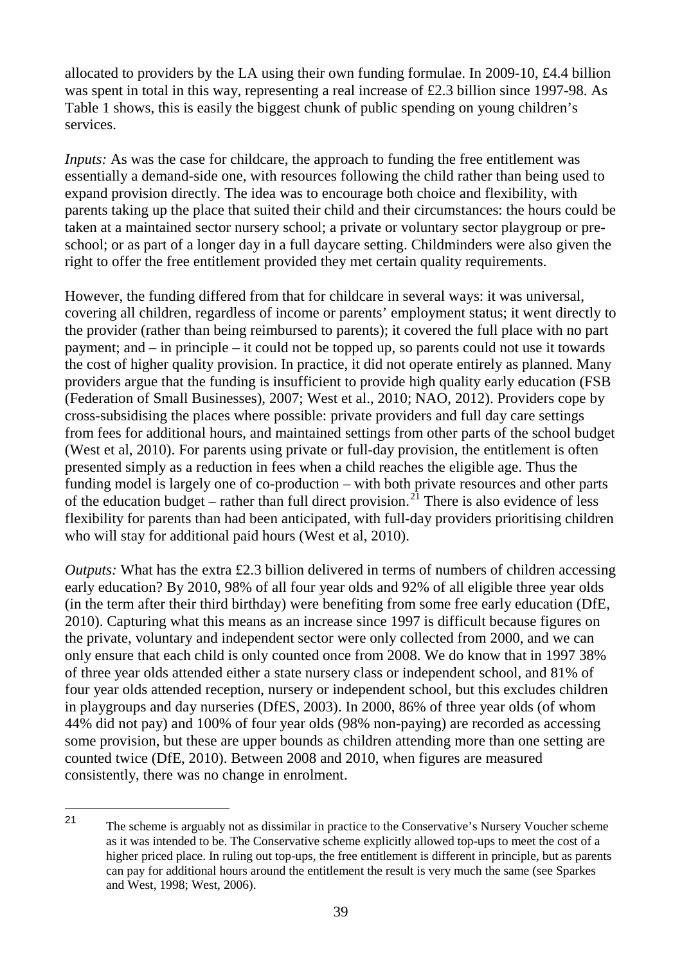allocated to providers by the LA using their own funding formulae. In 2009-10, £4.4 billion was spent in total in this way, representing a real increase of £2.3 billion since 1997-98. As Table 1 shows, this is easily the biggest chunk of public spending on young children's services.

*Inputs:* As was the case for childcare, the approach to funding the free entitlement was essentially a demand-side one, with resources following the child rather than being used to expand provision directly. The idea was to encourage both choice and flexibility, with parents taking up the place that suited their child and their circumstances: the hours could be taken at a maintained sector nursery school; a private or voluntary sector playgroup or preschool; or as part of a longer day in a full daycare setting. Childminders were also given the right to offer the free entitlement provided they met certain quality requirements.

However, the funding differed from that for childcare in several ways: it was universal, covering all children, regardless of income or parents' employment status; it went directly to the provider (rather than being reimbursed to parents); it covered the full place with no part payment; and – in principle – it could not be topped up, so parents could not use it towards the cost of higher quality provision. In practice, it did not operate entirely as planned. Many providers argue that the funding is insufficient to provide high quality early education (FSB (Federation of Small Businesses), 2007; West et al., 2010; NAO, 2012). Providers cope by cross-subsidising the places where possible: private providers and full day care settings from fees for additional hours, and maintained settings from other parts of the school budget (West et al, 2010). For parents using private or full-day provision, the entitlement is often presented simply as a reduction in fees when a child reaches the eligible age. Thus the funding model is largely one of co-production – with both private resources and other parts of the education budget – rather than full direct provision.<sup>[21](#page-42-0)</sup> There is also evidence of less flexibility for parents than had been anticipated, with full-day providers prioritising children who will stay for additional paid hours (West et al, 2010).

*Outputs:* What has the extra £2.3 billion delivered in terms of numbers of children accessing early education? By 2010, 98% of all four year olds and 92% of all eligible three year olds (in the term after their third birthday) were benefiting from some free early education (DfE, 2010). Capturing what this means as an increase since 1997 is difficult because figures on the private, voluntary and independent sector were only collected from 2000, and we can only ensure that each child is only counted once from 2008. We do know that in 1997 38% of three year olds attended either a state nursery class or independent school, and 81% of four year olds attended reception, nursery or independent school, but this excludes children in playgroups and day nurseries (DfES, 2003). In 2000, 86% of three year olds (of whom 44% did not pay) and 100% of four year olds (98% non-paying) are recorded as accessing some provision, but these are upper bounds as children attending more than one setting are counted twice (DfE, 2010). Between 2008 and 2010, when figures are measured consistently, there was no change in enrolment.

<span id="page-42-0"></span>The scheme is arguably not as dissimilar in practice to the Conservative's Nursery Voucher scheme as it was intended to be. The Conservative scheme explicitly allowed top-ups to meet the cost of a higher priced place. In ruling out top-ups, the free entitlement is different in principle, but as parents can pay for additional hours around the entitlement the result is very much the same (see Sparkes and West, 1998; West, 2006).  $21$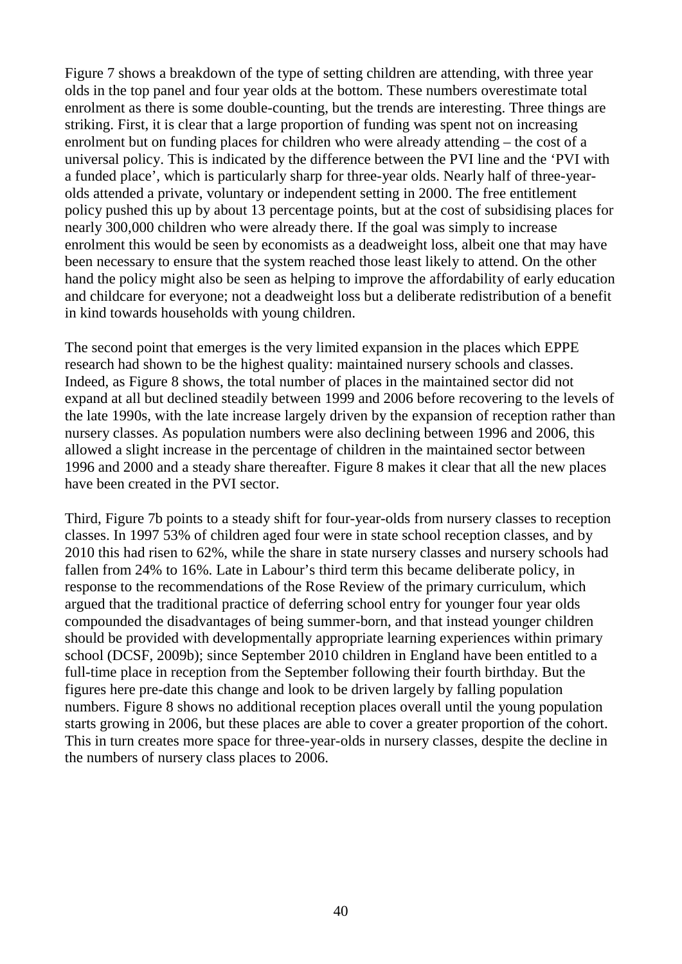Figure 7 shows a breakdown of the type of setting children are attending, with three year olds in the top panel and four year olds at the bottom. These numbers overestimate total enrolment as there is some double-counting, but the trends are interesting. Three things are striking. First, it is clear that a large proportion of funding was spent not on increasing enrolment but on funding places for children who were already attending – the cost of a universal policy. This is indicated by the difference between the PVI line and the 'PVI with a funded place', which is particularly sharp for three-year olds. Nearly half of three-yearolds attended a private, voluntary or independent setting in 2000. The free entitlement policy pushed this up by about 13 percentage points, but at the cost of subsidising places for nearly 300,000 children who were already there. If the goal was simply to increase enrolment this would be seen by economists as a deadweight loss, albeit one that may have been necessary to ensure that the system reached those least likely to attend. On the other hand the policy might also be seen as helping to improve the affordability of early education and childcare for everyone; not a deadweight loss but a deliberate redistribution of a benefit in kind towards households with young children.

The second point that emerges is the very limited expansion in the places which EPPE research had shown to be the highest quality: maintained nursery schools and classes. Indeed, as Figure 8 shows, the total number of places in the maintained sector did not expand at all but declined steadily between 1999 and 2006 before recovering to the levels of the late 1990s, with the late increase largely driven by the expansion of reception rather than nursery classes. As population numbers were also declining between 1996 and 2006, this allowed a slight increase in the percentage of children in the maintained sector between 1996 and 2000 and a steady share thereafter. Figure 8 makes it clear that all the new places have been created in the PVI sector.

Third, Figure 7b points to a steady shift for four-year-olds from nursery classes to reception classes. In 1997 53% of children aged four were in state school reception classes, and by 2010 this had risen to 62%, while the share in state nursery classes and nursery schools had fallen from 24% to 16%. Late in Labour's third term this became deliberate policy, in response to the recommendations of the Rose Review of the primary curriculum, which argued that the traditional practice of deferring school entry for younger four year olds compounded the disadvantages of being summer-born, and that instead younger children should be provided with developmentally appropriate learning experiences within primary school (DCSF, 2009b); since September 2010 children in England have been entitled to a full-time place in reception from the September following their fourth birthday. But the figures here pre-date this change and look to be driven largely by falling population numbers. Figure 8 shows no additional reception places overall until the young population starts growing in 2006, but these places are able to cover a greater proportion of the cohort. This in turn creates more space for three-year-olds in nursery classes, despite the decline in the numbers of nursery class places to 2006.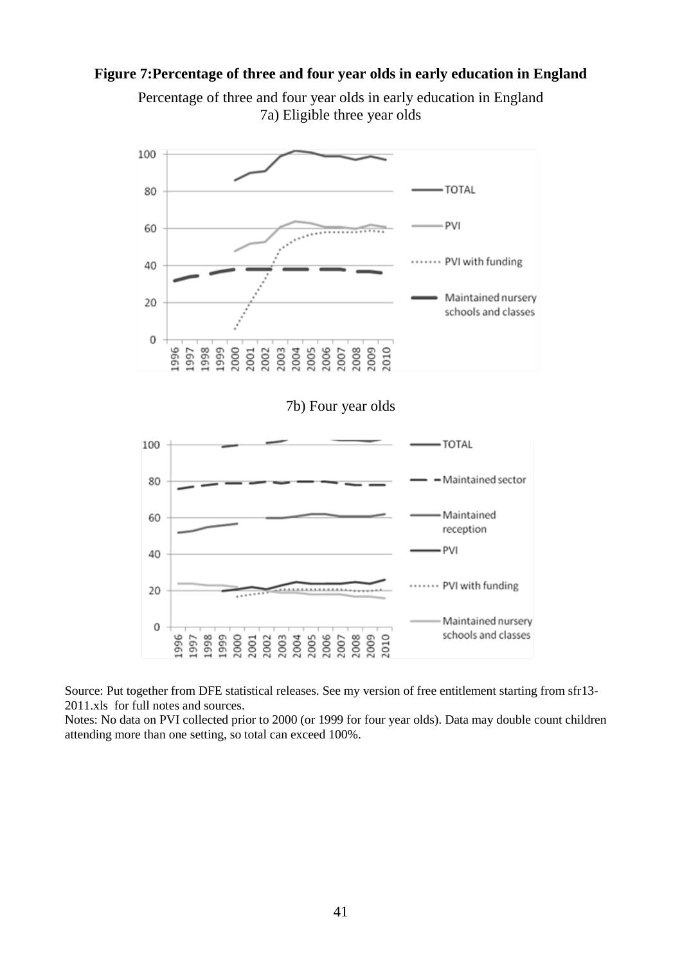#### **Figure 7:Percentage of three and four year olds in early education in England**





Source: Put together from DFE statistical releases. See my version of free entitlement starting from sfr13- 2011.xls for full notes and sources.

Notes: No data on PVI collected prior to 2000 (or 1999 for four year olds). Data may double count children attending more than one setting, so total can exceed 100%.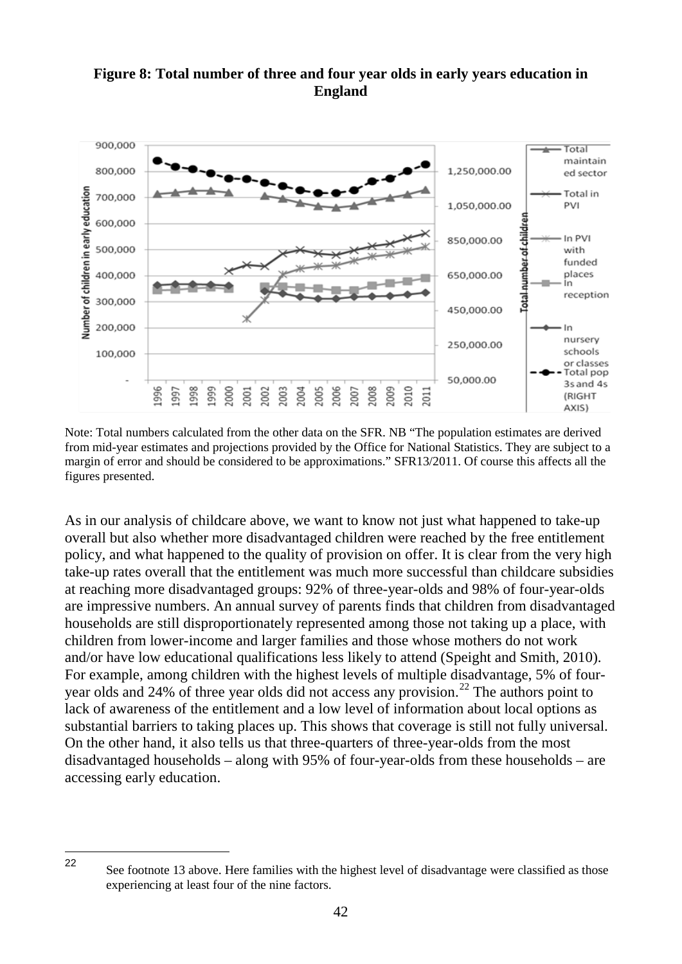## **Figure 8: Total number of three and four year olds in early years education in England**



Note: Total numbers calculated from the other data on the SFR. NB "The population estimates are derived from mid-year estimates and projections provided by the Office for National Statistics. They are subject to a margin of error and should be considered to be approximations." SFR13/2011. Of course this affects all the figures presented.

As in our analysis of childcare above, we want to know not just what happened to take-up overall but also whether more disadvantaged children were reached by the free entitlement policy, and what happened to the quality of provision on offer. It is clear from the very high take-up rates overall that the entitlement was much more successful than childcare subsidies at reaching more disadvantaged groups: 92% of three-year-olds and 98% of four-year-olds are impressive numbers. An annual survey of parents finds that children from disadvantaged households are still disproportionately represented among those not taking up a place, with children from lower-income and larger families and those whose mothers do not work and/or have low educational qualifications less likely to attend (Speight and Smith, 2010). For example, among children with the highest levels of multiple disadvantage, 5% of four-year olds and 24% of three year olds did not access any provision.<sup>[22](#page-45-0)</sup> The authors point to lack of awareness of the entitlement and a low level of information about local options as substantial barriers to taking places up. This shows that coverage is still not fully universal. On the other hand, it also tells us that three-quarters of three-year-olds from the most disadvantaged households – along with 95% of four-year-olds from these households – are accessing early education.

<span id="page-45-0"></span>See footnote 13 above. Here families with the highest level of disadvantage were classified as those experiencing at least four of the nine factors. 22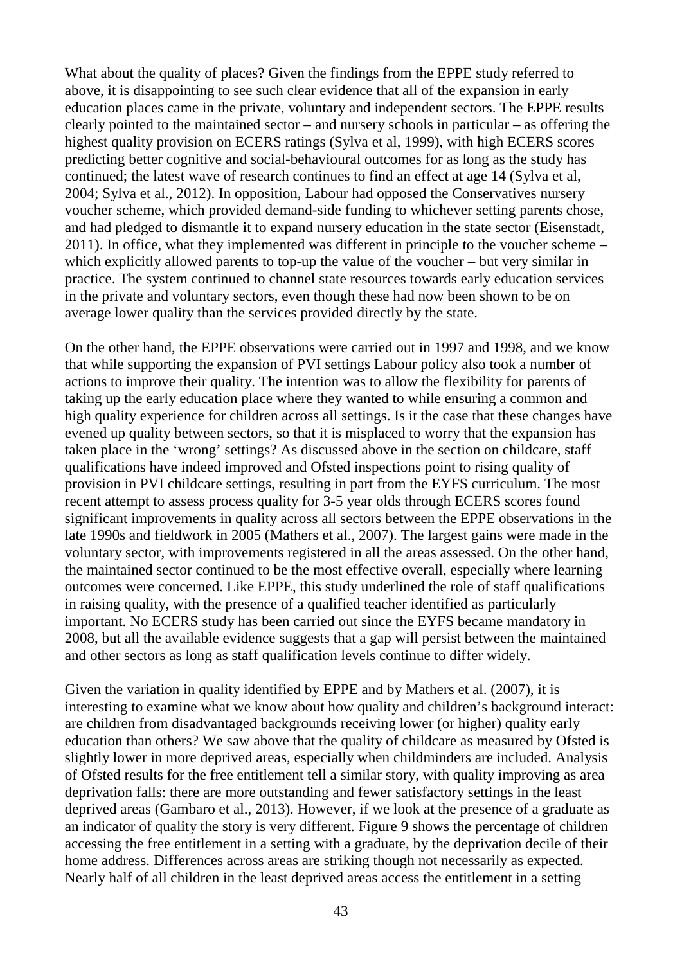What about the quality of places? Given the findings from the EPPE study referred to above, it is disappointing to see such clear evidence that all of the expansion in early education places came in the private, voluntary and independent sectors. The EPPE results clearly pointed to the maintained sector – and nursery schools in particular – as offering the highest quality provision on ECERS ratings (Sylva et al, 1999), with high ECERS scores predicting better cognitive and social-behavioural outcomes for as long as the study has continued; the latest wave of research continues to find an effect at age 14 (Sylva et al, 2004; Sylva et al., 2012). In opposition, Labour had opposed the Conservatives nursery voucher scheme, which provided demand-side funding to whichever setting parents chose, and had pledged to dismantle it to expand nursery education in the state sector (Eisenstadt, 2011). In office, what they implemented was different in principle to the voucher scheme – which explicitly allowed parents to top-up the value of the voucher – but very similar in practice. The system continued to channel state resources towards early education services in the private and voluntary sectors, even though these had now been shown to be on average lower quality than the services provided directly by the state.

On the other hand, the EPPE observations were carried out in 1997 and 1998, and we know that while supporting the expansion of PVI settings Labour policy also took a number of actions to improve their quality. The intention was to allow the flexibility for parents of taking up the early education place where they wanted to while ensuring a common and high quality experience for children across all settings. Is it the case that these changes have evened up quality between sectors, so that it is misplaced to worry that the expansion has taken place in the 'wrong' settings? As discussed above in the section on childcare, staff qualifications have indeed improved and Ofsted inspections point to rising quality of provision in PVI childcare settings, resulting in part from the EYFS curriculum. The most recent attempt to assess process quality for 3-5 year olds through ECERS scores found significant improvements in quality across all sectors between the EPPE observations in the late 1990s and fieldwork in 2005 (Mathers et al., 2007). The largest gains were made in the voluntary sector, with improvements registered in all the areas assessed. On the other hand, the maintained sector continued to be the most effective overall, especially where learning outcomes were concerned. Like EPPE, this study underlined the role of staff qualifications in raising quality, with the presence of a qualified teacher identified as particularly important. No ECERS study has been carried out since the EYFS became mandatory in 2008, but all the available evidence suggests that a gap will persist between the maintained and other sectors as long as staff qualification levels continue to differ widely.

Given the variation in quality identified by EPPE and by Mathers et al. (2007), it is interesting to examine what we know about how quality and children's background interact: are children from disadvantaged backgrounds receiving lower (or higher) quality early education than others? We saw above that the quality of childcare as measured by Ofsted is slightly lower in more deprived areas, especially when childminders are included. Analysis of Ofsted results for the free entitlement tell a similar story, with quality improving as area deprivation falls: there are more outstanding and fewer satisfactory settings in the least deprived areas (Gambaro et al., 2013). However, if we look at the presence of a graduate as an indicator of quality the story is very different. Figure 9 shows the percentage of children accessing the free entitlement in a setting with a graduate, by the deprivation decile of their home address. Differences across areas are striking though not necessarily as expected. Nearly half of all children in the least deprived areas access the entitlement in a setting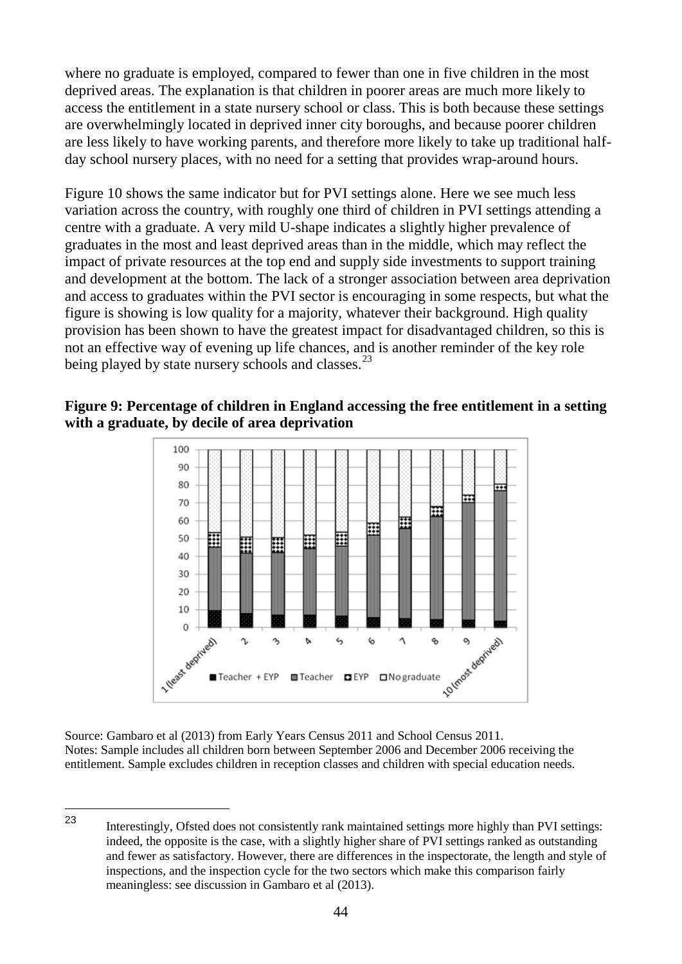where no graduate is employed, compared to fewer than one in five children in the most deprived areas. The explanation is that children in poorer areas are much more likely to access the entitlement in a state nursery school or class. This is both because these settings are overwhelmingly located in deprived inner city boroughs, and because poorer children are less likely to have working parents, and therefore more likely to take up traditional halfday school nursery places, with no need for a setting that provides wrap-around hours.

Figure 10 shows the same indicator but for PVI settings alone. Here we see much less variation across the country, with roughly one third of children in PVI settings attending a centre with a graduate. A very mild U-shape indicates a slightly higher prevalence of graduates in the most and least deprived areas than in the middle, which may reflect the impact of private resources at the top end and supply side investments to support training and development at the bottom. The lack of a stronger association between area deprivation and access to graduates within the PVI sector is encouraging in some respects, but what the figure is showing is low quality for a majority, whatever their background. High quality provision has been shown to have the greatest impact for disadvantaged children, so this is not an effective way of evening up life chances, and is another reminder of the key role being played by state nursery schools and classes.<sup>[23](#page-47-0)</sup>





Source: Gambaro et al (2013) from Early Years Census 2011 and School Census 2011. Notes: Sample includes all children born between September 2006 and December 2006 receiving the entitlement. Sample excludes children in reception classes and children with special education needs.

<span id="page-47-0"></span>Interestingly, Ofsted does not consistently rank maintained settings more highly than PVI settings: indeed, the opposite is the case, with a slightly higher share of PVI settings ranked as outstanding and fewer as satisfactory. However, there are differences in the inspectorate, the length and style of inspections, and the inspection cycle for the two sectors which make this comparison fairly meaningless: see discussion in Gambaro et al (2013). 23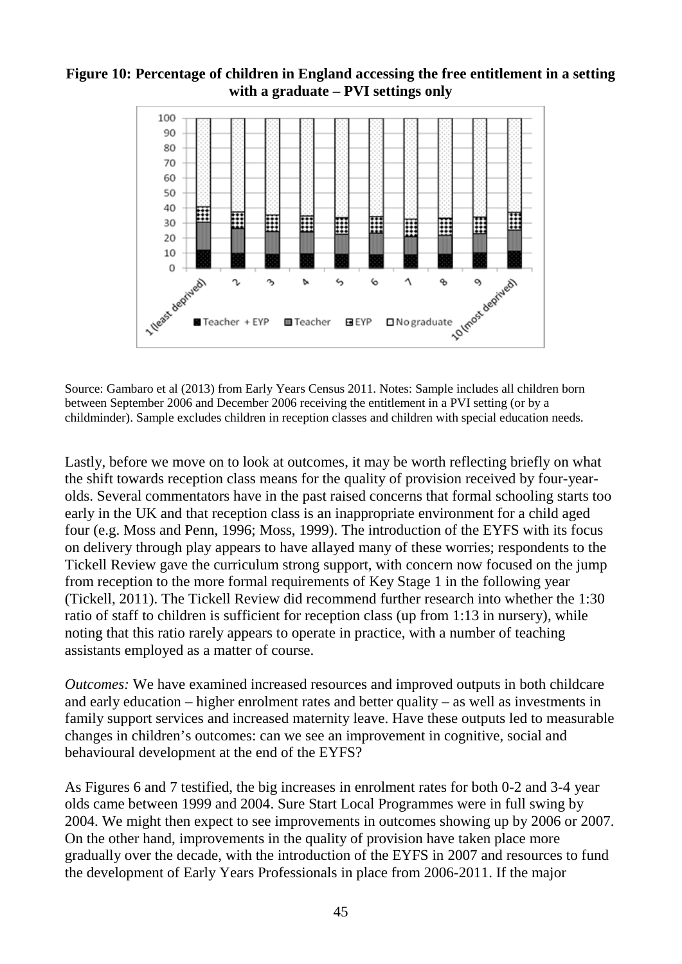#### **Figure 10: Percentage of children in England accessing the free entitlement in a setting with a graduate – PVI settings only**



Source: Gambaro et al (2013) from Early Years Census 2011. Notes: Sample includes all children born between September 2006 and December 2006 receiving the entitlement in a PVI setting (or by a childminder). Sample excludes children in reception classes and children with special education needs.

Lastly, before we move on to look at outcomes, it may be worth reflecting briefly on what the shift towards reception class means for the quality of provision received by four-yearolds. Several commentators have in the past raised concerns that formal schooling starts too early in the UK and that reception class is an inappropriate environment for a child aged four (e.g. Moss and Penn, 1996; Moss, 1999). The introduction of the EYFS with its focus on delivery through play appears to have allayed many of these worries; respondents to the Tickell Review gave the curriculum strong support, with concern now focused on the jump from reception to the more formal requirements of Key Stage 1 in the following year (Tickell, 2011). The Tickell Review did recommend further research into whether the 1:30 ratio of staff to children is sufficient for reception class (up from 1:13 in nursery), while noting that this ratio rarely appears to operate in practice, with a number of teaching assistants employed as a matter of course.

*Outcomes:* We have examined increased resources and improved outputs in both childcare and early education – higher enrolment rates and better quality – as well as investments in family support services and increased maternity leave. Have these outputs led to measurable changes in children's outcomes: can we see an improvement in cognitive, social and behavioural development at the end of the EYFS?

As Figures 6 and 7 testified, the big increases in enrolment rates for both 0-2 and 3-4 year olds came between 1999 and 2004. Sure Start Local Programmes were in full swing by 2004. We might then expect to see improvements in outcomes showing up by 2006 or 2007. On the other hand, improvements in the quality of provision have taken place more gradually over the decade, with the introduction of the EYFS in 2007 and resources to fund the development of Early Years Professionals in place from 2006-2011. If the major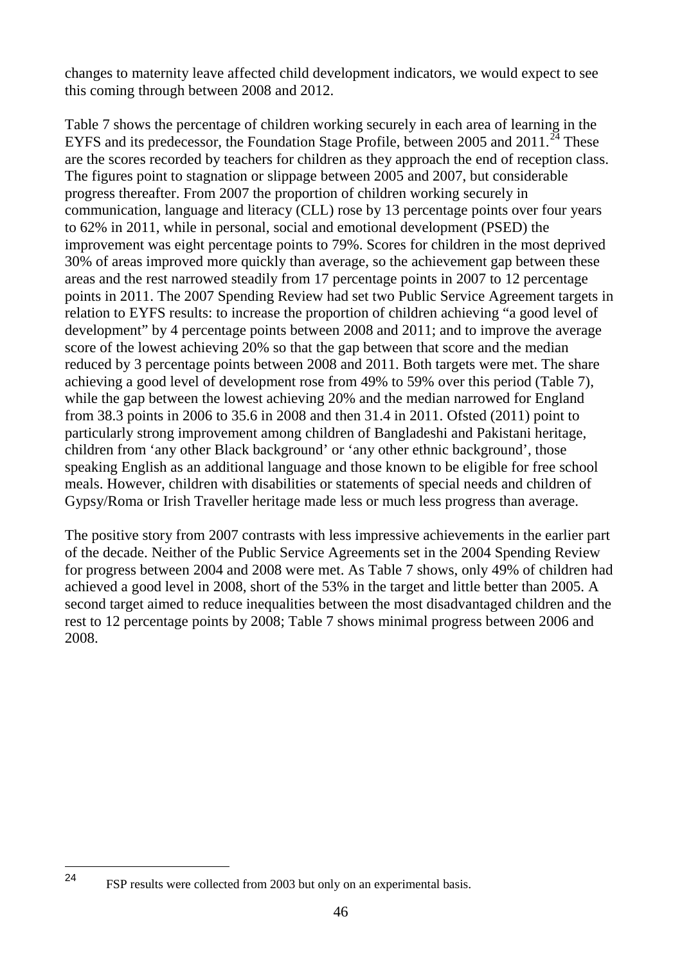changes to maternity leave affected child development indicators, we would expect to see this coming through between 2008 and 2012.

Table 7 shows the percentage of children working securely in each area of learning in the EYFS and its predecessor, the Foundation Stage Profile, between 2005 and  $2011.^{24}$  $2011.^{24}$  $2011.^{24}$  These are the scores recorded by teachers for children as they approach the end of reception class. The figures point to stagnation or slippage between 2005 and 2007, but considerable progress thereafter. From 2007 the proportion of children working securely in communication, language and literacy (CLL) rose by 13 percentage points over four years to 62% in 2011, while in personal, social and emotional development (PSED) the improvement was eight percentage points to 79%. Scores for children in the most deprived 30% of areas improved more quickly than average, so the achievement gap between these areas and the rest narrowed steadily from 17 percentage points in 2007 to 12 percentage points in 2011. The 2007 Spending Review had set two Public Service Agreement targets in relation to EYFS results: to increase the proportion of children achieving "a good level of development" by 4 percentage points between 2008 and 2011; and to improve the average score of the lowest achieving 20% so that the gap between that score and the median reduced by 3 percentage points between 2008 and 2011. Both targets were met. The share achieving a good level of development rose from 49% to 59% over this period (Table 7), while the gap between the lowest achieving 20% and the median narrowed for England from 38.3 points in 2006 to 35.6 in 2008 and then 31.4 in 2011. Ofsted (2011) point to particularly strong improvement among children of Bangladeshi and Pakistani heritage, children from 'any other Black background' or 'any other ethnic background', those speaking English as an additional language and those known to be eligible for free school meals. However, children with disabilities or statements of special needs and children of Gypsy/Roma or Irish Traveller heritage made less or much less progress than average.

The positive story from 2007 contrasts with less impressive achievements in the earlier part of the decade. Neither of the Public Service Agreements set in the 2004 Spending Review for progress between 2004 and 2008 were met. As Table 7 shows, only 49% of children had achieved a good level in 2008, short of the 53% in the target and little better than 2005. A second target aimed to reduce inequalities between the most disadvantaged children and the rest to 12 percentage points by 2008; Table 7 shows minimal progress between 2006 and 2008.

<span id="page-49-0"></span>FSP results were collected from 2003 but only on an experimental basis. 24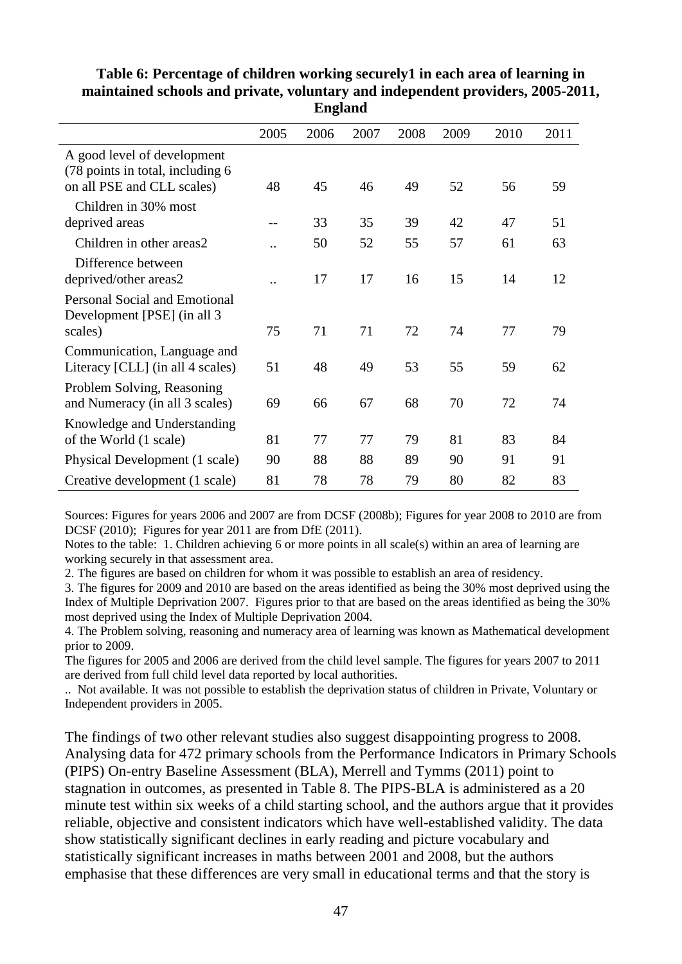|                                                                                               |                      | o    |      |      |      |      |      |
|-----------------------------------------------------------------------------------------------|----------------------|------|------|------|------|------|------|
|                                                                                               | 2005                 | 2006 | 2007 | 2008 | 2009 | 2010 | 2011 |
| A good level of development<br>(78 points in total, including 6<br>on all PSE and CLL scales) | 48                   | 45   | 46   | 49   | 52   | 56   | 59   |
| Children in 30% most<br>deprived areas                                                        |                      | 33   | 35   | 39   | 42   | 47   | 51   |
| Children in other areas2                                                                      |                      | 50   | 52   | 55   | 57   | 61   | 63   |
| Difference between<br>deprived/other areas2                                                   | $\ddot{\phantom{0}}$ | 17   | 17   | 16   | 15   | 14   | 12   |
| <b>Personal Social and Emotional</b><br>Development [PSE] (in all 3<br>scales)                | 75                   | 71   | 71   | 72   | 74   | 77   | 79   |
| Communication, Language and<br>Literacy [CLL] (in all 4 scales)                               | 51                   | 48   | 49   | 53   | 55   | 59   | 62   |
| Problem Solving, Reasoning<br>and Numeracy (in all 3 scales)                                  | 69                   | 66   | 67   | 68   | 70   | 72   | 74   |
| Knowledge and Understanding<br>of the World (1 scale)                                         | 81                   | 77   | 77   | 79   | 81   | 83   | 84   |
| Physical Development (1 scale)                                                                | 90                   | 88   | 88   | 89   | 90   | 91   | 91   |
| Creative development (1 scale)                                                                | 81                   | 78   | 78   | 79   | 80   | 82   | 83   |

**Table 6: Percentage of children working securely1 in each area of learning in maintained schools and private, voluntary and independent providers, 2005-2011, England**

Sources: Figures for years 2006 and 2007 are from DCSF (2008b); Figures for year 2008 to 2010 are from DCSF (2010); Figures for year 2011 are from DfE (2011).

Notes to the table: 1. Children achieving 6 or more points in all scale(s) within an area of learning are working securely in that assessment area.

2. The figures are based on children for whom it was possible to establish an area of residency.

3. The figures for 2009 and 2010 are based on the areas identified as being the 30% most deprived using the Index of Multiple Deprivation 2007. Figures prior to that are based on the areas identified as being the 30% most deprived using the Index of Multiple Deprivation 2004.

4. The Problem solving, reasoning and numeracy area of learning was known as Mathematical development prior to 2009.

The figures for 2005 and 2006 are derived from the child level sample. The figures for years 2007 to 2011 are derived from full child level data reported by local authorities.

.. Not available. It was not possible to establish the deprivation status of children in Private, Voluntary or Independent providers in 2005.

The findings of two other relevant studies also suggest disappointing progress to 2008. Analysing data for 472 primary schools from the Performance Indicators in Primary Schools (PIPS) On-entry Baseline Assessment (BLA), Merrell and Tymms (2011) point to stagnation in outcomes, as presented in Table 8. The PIPS-BLA is administered as a 20 minute test within six weeks of a child starting school, and the authors argue that it provides reliable, objective and consistent indicators which have well-established validity. The data show statistically significant declines in early reading and picture vocabulary and statistically significant increases in maths between 2001 and 2008, but the authors emphasise that these differences are very small in educational terms and that the story is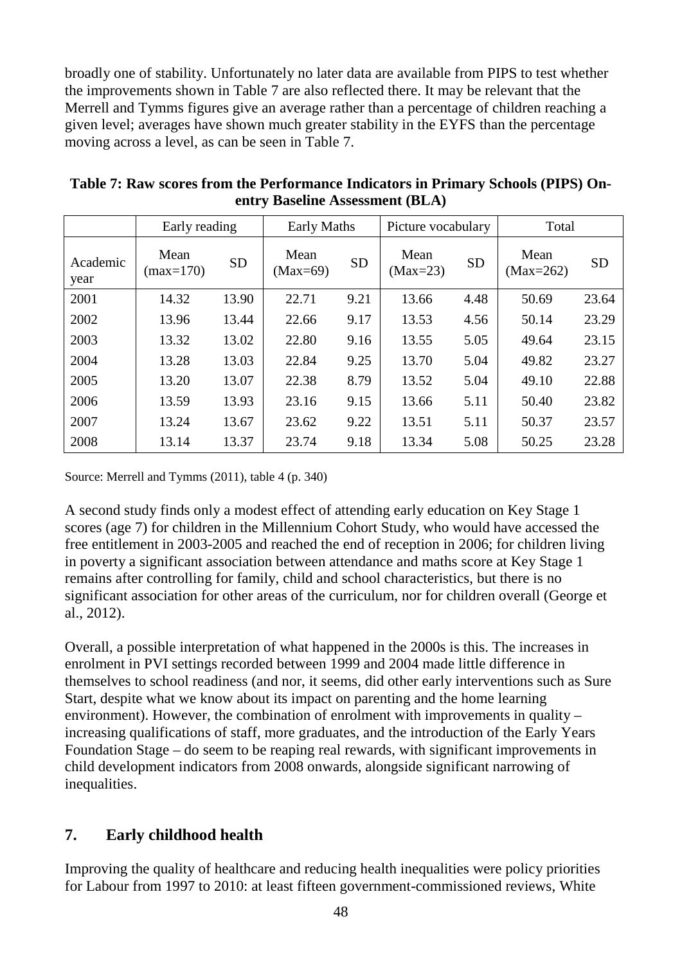broadly one of stability. Unfortunately no later data are available from PIPS to test whether the improvements shown in Table 7 are also reflected there. It may be relevant that the Merrell and Tymms figures give an average rather than a percentage of children reaching a given level; averages have shown much greater stability in the EYFS than the percentage moving across a level, as can be seen in Table 7.

|                  | Early reading       |           | <b>Early Maths</b> |           | Picture vocabulary |           | Total               |           |
|------------------|---------------------|-----------|--------------------|-----------|--------------------|-----------|---------------------|-----------|
| Academic<br>year | Mean<br>$(max=170)$ | <b>SD</b> | Mean<br>$(Max=69)$ | <b>SD</b> | Mean<br>$(Max=23)$ | <b>SD</b> | Mean<br>$(Max=262)$ | <b>SD</b> |
| 2001             | 14.32               | 13.90     | 22.71              | 9.21      | 13.66              | 4.48      | 50.69               | 23.64     |
| 2002             | 13.96               | 13.44     | 22.66              | 9.17      | 13.53              | 4.56      | 50.14               | 23.29     |
| 2003             | 13.32               | 13.02     | 22.80              | 9.16      | 13.55              | 5.05      | 49.64               | 23.15     |
| 2004             | 13.28               | 13.03     | 22.84              | 9.25      | 13.70              | 5.04      | 49.82               | 23.27     |
| 2005             | 13.20               | 13.07     | 22.38              | 8.79      | 13.52              | 5.04      | 49.10               | 22.88     |
| 2006             | 13.59               | 13.93     | 23.16              | 9.15      | 13.66              | 5.11      | 50.40               | 23.82     |
| 2007             | 13.24               | 13.67     | 23.62              | 9.22      | 13.51              | 5.11      | 50.37               | 23.57     |
| 2008             | 13.14               | 13.37     | 23.74              | 9.18      | 13.34              | 5.08      | 50.25               | 23.28     |

**Table 7: Raw scores from the Performance Indicators in Primary Schools (PIPS) Onentry Baseline Assessment (BLA)**

Source: Merrell and Tymms (2011), table 4 (p. 340)

A second study finds only a modest effect of attending early education on Key Stage 1 scores (age 7) for children in the Millennium Cohort Study, who would have accessed the free entitlement in 2003-2005 and reached the end of reception in 2006; for children living in poverty a significant association between attendance and maths score at Key Stage 1 remains after controlling for family, child and school characteristics, but there is no significant association for other areas of the curriculum, nor for children overall (George et al., 2012).

Overall, a possible interpretation of what happened in the 2000s is this. The increases in enrolment in PVI settings recorded between 1999 and 2004 made little difference in themselves to school readiness (and nor, it seems, did other early interventions such as Sure Start, despite what we know about its impact on parenting and the home learning environment). However, the combination of enrolment with improvements in quality – increasing qualifications of staff, more graduates, and the introduction of the Early Years Foundation Stage – do seem to be reaping real rewards, with significant improvements in child development indicators from 2008 onwards, alongside significant narrowing of inequalities.

# **7. Early childhood health**

Improving the quality of healthcare and reducing health inequalities were policy priorities for Labour from 1997 to 2010: at least fifteen government-commissioned reviews, White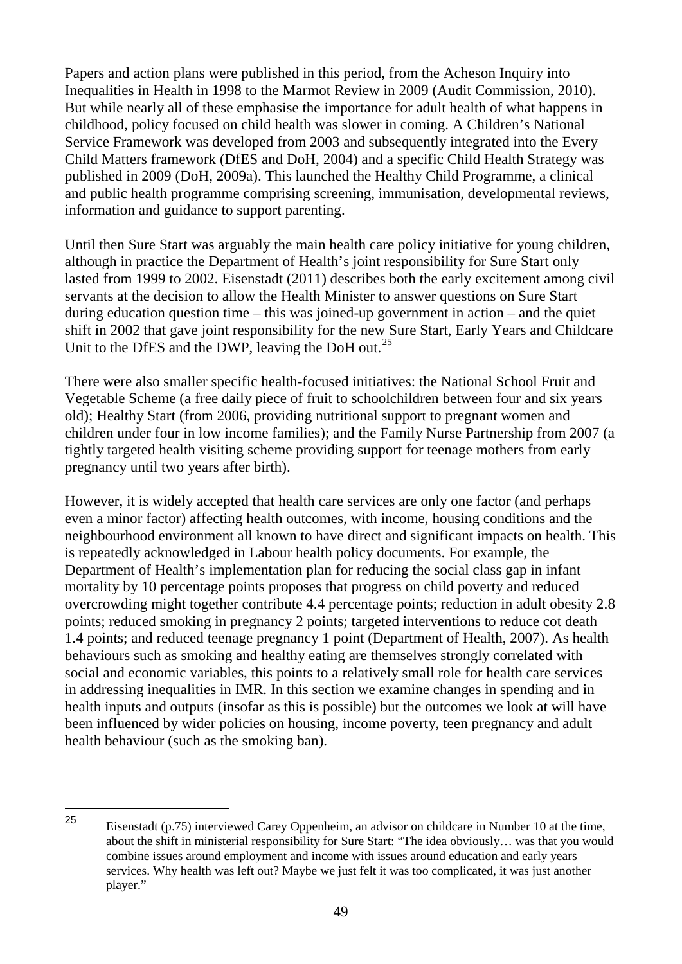Papers and action plans were published in this period, from the Acheson Inquiry into Inequalities in Health in 1998 to the Marmot Review in 2009 (Audit Commission, 2010). But while nearly all of these emphasise the importance for adult health of what happens in childhood, policy focused on child health was slower in coming. A Children's National Service Framework was developed from 2003 and subsequently integrated into the Every Child Matters framework (DfES and DoH, 2004) and a specific Child Health Strategy was published in 2009 (DoH, 2009a). This launched the Healthy Child Programme, a clinical and public health programme comprising screening, immunisation, developmental reviews, information and guidance to support parenting.

Until then Sure Start was arguably the main health care policy initiative for young children, although in practice the Department of Health's joint responsibility for Sure Start only lasted from 1999 to 2002. Eisenstadt (2011) describes both the early excitement among civil servants at the decision to allow the Health Minister to answer questions on Sure Start during education question time – this was joined-up government in action – and the quiet shift in 2002 that gave joint responsibility for the new Sure Start, Early Years and Childcare Unit to the DfES and the DWP, leaving the DoH out.<sup>[25](#page-52-0)</sup>

There were also smaller specific health-focused initiatives: the National School Fruit and Vegetable Scheme (a free daily piece of fruit to schoolchildren between four and six years old); Healthy Start (from 2006, providing nutritional support to pregnant women and children under four in low income families); and the Family Nurse Partnership from 2007 (a tightly targeted health visiting scheme providing support for teenage mothers from early pregnancy until two years after birth).

However, it is widely accepted that health care services are only one factor (and perhaps even a minor factor) affecting health outcomes, with income, housing conditions and the neighbourhood environment all known to have direct and significant impacts on health. This is repeatedly acknowledged in Labour health policy documents. For example, the Department of Health's implementation plan for reducing the social class gap in infant mortality by 10 percentage points proposes that progress on child poverty and reduced overcrowding might together contribute 4.4 percentage points; reduction in adult obesity 2.8 points; reduced smoking in pregnancy 2 points; targeted interventions to reduce cot death 1.4 points; and reduced teenage pregnancy 1 point (Department of Health, 2007). As health behaviours such as smoking and healthy eating are themselves strongly correlated with social and economic variables, this points to a relatively small role for health care services in addressing inequalities in IMR. In this section we examine changes in spending and in health inputs and outputs (insofar as this is possible) but the outcomes we look at will have been influenced by wider policies on housing, income poverty, teen pregnancy and adult health behaviour (such as the smoking ban).

<span id="page-52-0"></span><sup>25</sup> Eisenstadt (p.75) interviewed Carey Oppenheim, an advisor on childcare in Number 10 at the time, about the shift in ministerial responsibility for Sure Start: "The idea obviously… was that you would combine issues around employment and income with issues around education and early years services. Why health was left out? Maybe we just felt it was too complicated, it was just another player." 25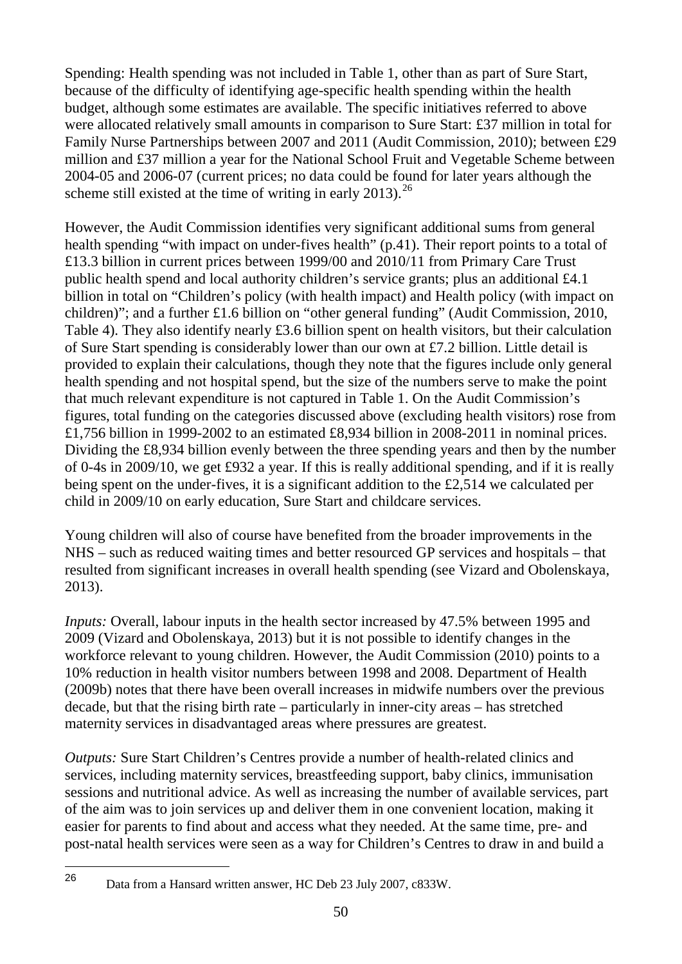Spending: Health spending was not included in Table 1, other than as part of Sure Start, because of the difficulty of identifying age-specific health spending within the health budget, although some estimates are available. The specific initiatives referred to above were allocated relatively small amounts in comparison to Sure Start: £37 million in total for Family Nurse Partnerships between 2007 and 2011 (Audit Commission, 2010); between £29 million and £37 million a year for the National School Fruit and Vegetable Scheme between 2004-05 and 2006-07 (current prices; no data could be found for later years although the scheme still existed at the time of writing in early 2013).<sup>[26](#page-53-0)</sup>

However, the Audit Commission identifies very significant additional sums from general health spending "with impact on under-fives health" (p.41). Their report points to a total of £13.3 billion in current prices between 1999/00 and 2010/11 from Primary Care Trust public health spend and local authority children's service grants; plus an additional £4.1 billion in total on "Children's policy (with health impact) and Health policy (with impact on children)"; and a further £1.6 billion on "other general funding" (Audit Commission, 2010, Table 4). They also identify nearly £3.6 billion spent on health visitors, but their calculation of Sure Start spending is considerably lower than our own at £7.2 billion. Little detail is provided to explain their calculations, though they note that the figures include only general health spending and not hospital spend, but the size of the numbers serve to make the point that much relevant expenditure is not captured in Table 1. On the Audit Commission's figures, total funding on the categories discussed above (excluding health visitors) rose from £1,756 billion in 1999-2002 to an estimated £8,934 billion in 2008-2011 in nominal prices. Dividing the £8,934 billion evenly between the three spending years and then by the number of 0-4s in 2009/10, we get £932 a year. If this is really additional spending, and if it is really being spent on the under-fives, it is a significant addition to the £2,514 we calculated per child in 2009/10 on early education, Sure Start and childcare services.

Young children will also of course have benefited from the broader improvements in the NHS – such as reduced waiting times and better resourced GP services and hospitals – that resulted from significant increases in overall health spending (see Vizard and Obolenskaya, 2013).

*Inputs:* Overall, labour inputs in the health sector increased by 47.5% between 1995 and 2009 (Vizard and Obolenskaya, 2013) but it is not possible to identify changes in the workforce relevant to young children. However, the Audit Commission (2010) points to a 10% reduction in health visitor numbers between 1998 and 2008. Department of Health (2009b) notes that there have been overall increases in midwife numbers over the previous decade, but that the rising birth rate – particularly in inner-city areas – has stretched maternity services in disadvantaged areas where pressures are greatest.

*Outputs:* Sure Start Children's Centres provide a number of health-related clinics and services, including maternity services, breastfeeding support, baby clinics, immunisation sessions and nutritional advice. As well as increasing the number of available services, part of the aim was to join services up and deliver them in one convenient location, making it easier for parents to find about and access what they needed. At the same time, pre- and post-natal health services were seen as a way for Children's Centres to draw in and build a

<span id="page-53-0"></span>26

<sup>26</sup> Data from a Hansard written answer, HC Deb 23 July 2007, c833W.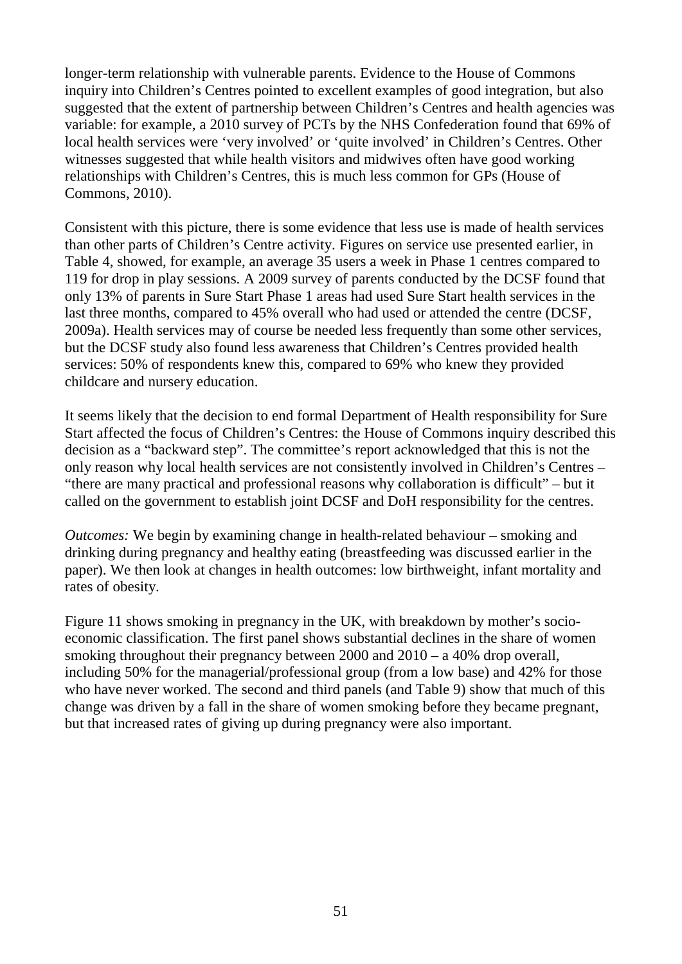longer-term relationship with vulnerable parents. Evidence to the House of Commons inquiry into Children's Centres pointed to excellent examples of good integration, but also suggested that the extent of partnership between Children's Centres and health agencies was variable: for example, a 2010 survey of PCTs by the NHS Confederation found that 69% of local health services were 'very involved' or 'quite involved' in Children's Centres. Other witnesses suggested that while health visitors and midwives often have good working relationships with Children's Centres, this is much less common for GPs (House of Commons, 2010).

Consistent with this picture, there is some evidence that less use is made of health services than other parts of Children's Centre activity. Figures on service use presented earlier, in Table 4, showed, for example, an average 35 users a week in Phase 1 centres compared to 119 for drop in play sessions. A 2009 survey of parents conducted by the DCSF found that only 13% of parents in Sure Start Phase 1 areas had used Sure Start health services in the last three months, compared to 45% overall who had used or attended the centre (DCSF, 2009a). Health services may of course be needed less frequently than some other services, but the DCSF study also found less awareness that Children's Centres provided health services: 50% of respondents knew this, compared to 69% who knew they provided childcare and nursery education.

It seems likely that the decision to end formal Department of Health responsibility for Sure Start affected the focus of Children's Centres: the House of Commons inquiry described this decision as a "backward step". The committee's report acknowledged that this is not the only reason why local health services are not consistently involved in Children's Centres – "there are many practical and professional reasons why collaboration is difficult" – but it called on the government to establish joint DCSF and DoH responsibility for the centres.

*Outcomes:* We begin by examining change in health-related behaviour – smoking and drinking during pregnancy and healthy eating (breastfeeding was discussed earlier in the paper). We then look at changes in health outcomes: low birthweight, infant mortality and rates of obesity.

Figure 11 shows smoking in pregnancy in the UK, with breakdown by mother's socioeconomic classification. The first panel shows substantial declines in the share of women smoking throughout their pregnancy between 2000 and 2010 – a 40% drop overall, including 50% for the managerial/professional group (from a low base) and 42% for those who have never worked. The second and third panels (and Table 9) show that much of this change was driven by a fall in the share of women smoking before they became pregnant, but that increased rates of giving up during pregnancy were also important.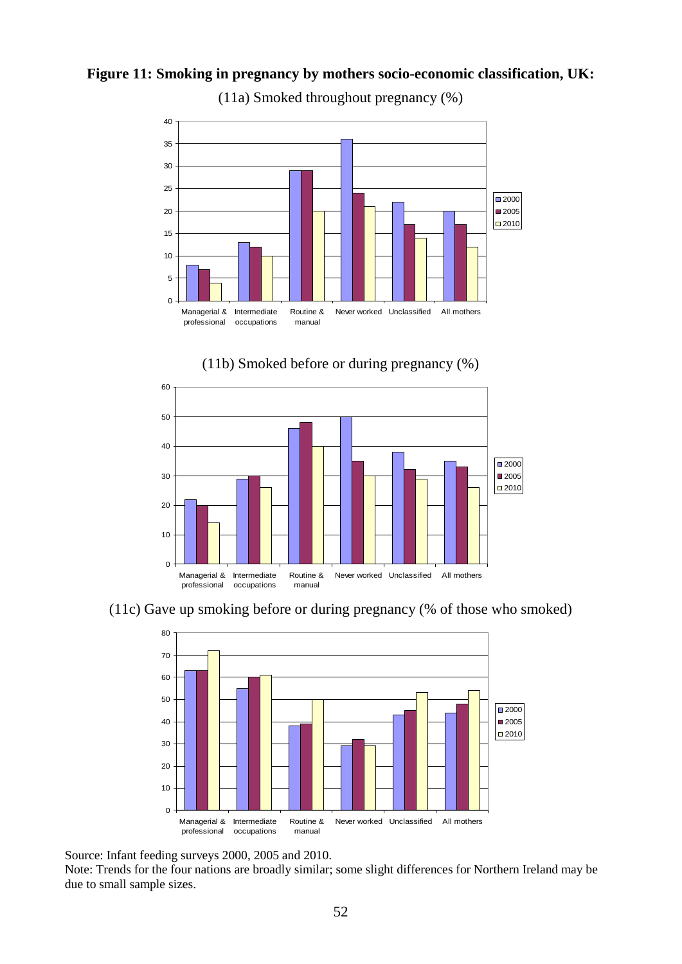## **Figure 11: Smoking in pregnancy by mothers socio-economic classification, UK:**



(11a) Smoked throughout pregnancy (%)





(11c) Gave up smoking before or during pregnancy (% of those who smoked)



Source: Infant feeding surveys 2000, 2005 and 2010.

Note: Trends for the four nations are broadly similar; some slight differences for Northern Ireland may be due to small sample sizes.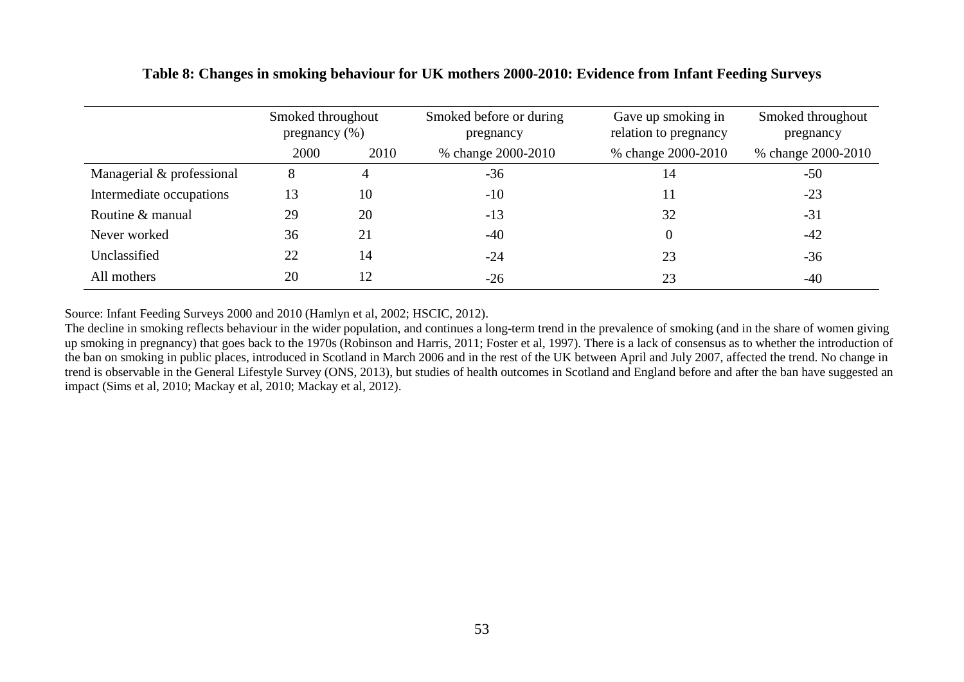|                           | Smoked throughout<br>pregnancy $(\%)$ |      | Smoked before or during<br>pregnancy | Gave up smoking in<br>relation to pregnancy | Smoked throughout<br>pregnancy |
|---------------------------|---------------------------------------|------|--------------------------------------|---------------------------------------------|--------------------------------|
|                           | 2000                                  | 2010 | % change 2000-2010                   | % change 2000-2010                          | % change 2000-2010             |
| Managerial & professional | 8                                     | 4    | $-36$                                | 14                                          | $-50$                          |
| Intermediate occupations  | 13                                    | 10   | $-10$                                |                                             | $-23$                          |
| Routine & manual          | 29                                    | 20   | $-13$                                | 32                                          | $-31$                          |
| Never worked              | 36                                    | 21   | $-40$                                |                                             | $-42$                          |
| Unclassified              | 22                                    | 14   | $-24$                                | 23                                          | $-36$                          |
| All mothers               | 20                                    | 12   | $-26$                                | 23                                          | $-40$                          |

#### **Table 8: Changes in smoking behaviour for UK mothers 2000-2010: Evidence from Infant Feeding Surveys**

Source: Infant Feeding Surveys 2000 and 2010 (Hamlyn et al, 2002; HSCIC, 2012).

The decline in smoking reflects behaviour in the wider population, and continues a long-term trend in the prevalence of smoking (and in the share of women giving up smoking in pregnancy) that goes back to the 1970s (Robinson and Harris, 2011; Foster et al, 1997). There is a lack of consensus as to whether the introduction of the ban on smoking in public places, introduced in Scotland in March 2006 and in the rest of the UK between April and July 2007, affected the trend. No change in trend is observable in the General Lifestyle Survey (ONS, 2013), but studies of health outcomes in Scotland and England before and after the ban have suggested an impact (Sims et al, 2010; Mackay et al, 2010; Mackay et al, 2012).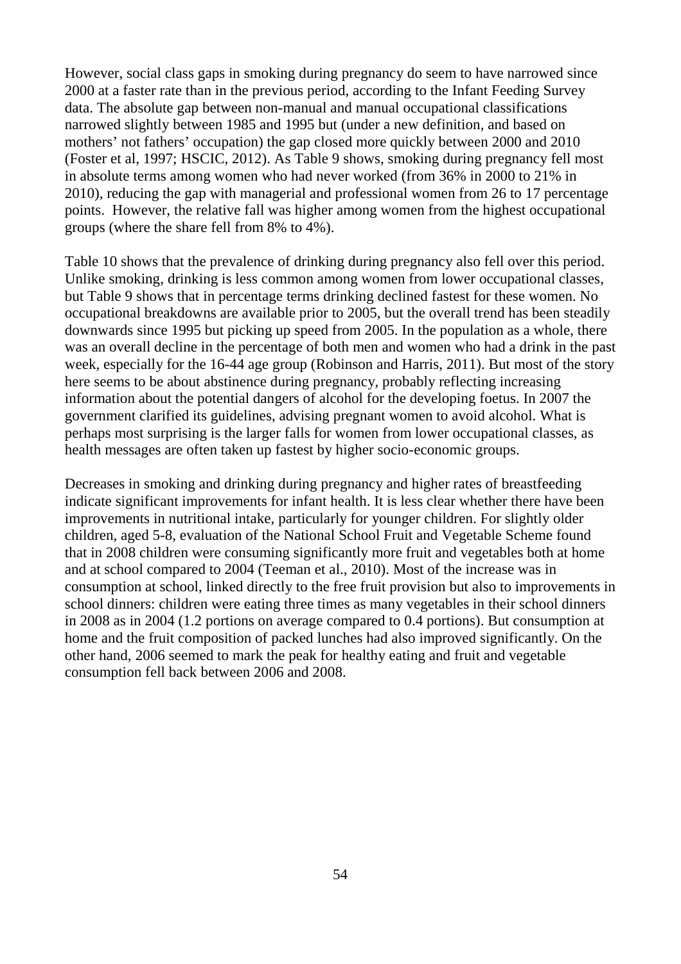However, social class gaps in smoking during pregnancy do seem to have narrowed since 2000 at a faster rate than in the previous period, according to the Infant Feeding Survey data. The absolute gap between non-manual and manual occupational classifications narrowed slightly between 1985 and 1995 but (under a new definition, and based on mothers' not fathers' occupation) the gap closed more quickly between 2000 and 2010 (Foster et al, 1997; HSCIC, 2012). As Table 9 shows, smoking during pregnancy fell most in absolute terms among women who had never worked (from 36% in 2000 to 21% in 2010), reducing the gap with managerial and professional women from 26 to 17 percentage points. However, the relative fall was higher among women from the highest occupational groups (where the share fell from 8% to 4%).

Table 10 shows that the prevalence of drinking during pregnancy also fell over this period. Unlike smoking, drinking is less common among women from lower occupational classes, but Table 9 shows that in percentage terms drinking declined fastest for these women. No occupational breakdowns are available prior to 2005, but the overall trend has been steadily downwards since 1995 but picking up speed from 2005. In the population as a whole, there was an overall decline in the percentage of both men and women who had a drink in the past week, especially for the 16-44 age group (Robinson and Harris, 2011). But most of the story here seems to be about abstinence during pregnancy, probably reflecting increasing information about the potential dangers of alcohol for the developing foetus. In 2007 the government clarified its guidelines, advising pregnant women to avoid alcohol. What is perhaps most surprising is the larger falls for women from lower occupational classes, as health messages are often taken up fastest by higher socio-economic groups.

Decreases in smoking and drinking during pregnancy and higher rates of breastfeeding indicate significant improvements for infant health. It is less clear whether there have been improvements in nutritional intake, particularly for younger children. For slightly older children, aged 5-8, evaluation of the National School Fruit and Vegetable Scheme found that in 2008 children were consuming significantly more fruit and vegetables both at home and at school compared to 2004 (Teeman et al., 2010). Most of the increase was in consumption at school, linked directly to the free fruit provision but also to improvements in school dinners: children were eating three times as many vegetables in their school dinners in 2008 as in 2004 (1.2 portions on average compared to 0.4 portions). But consumption at home and the fruit composition of packed lunches had also improved significantly. On the other hand, 2006 seemed to mark the peak for healthy eating and fruit and vegetable consumption fell back between 2006 and 2008.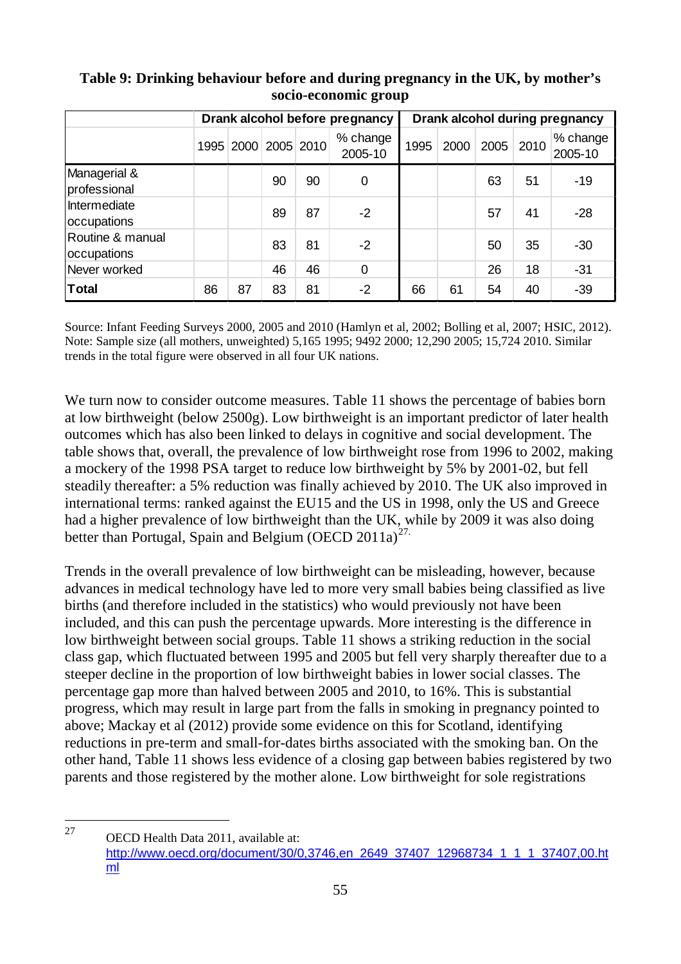|                                 | Drank alcohol before pregnancy |    |    |                     |                     |      | Drank alcohol during pregnancy |      |      |                     |
|---------------------------------|--------------------------------|----|----|---------------------|---------------------|------|--------------------------------|------|------|---------------------|
|                                 |                                |    |    | 1995 2000 2005 2010 | % change<br>2005-10 | 1995 | 2000                           | 2005 | 2010 | % change<br>2005-10 |
| Managerial &<br>professional    |                                |    | 90 | 90                  | 0                   |      |                                | 63   | 51   | -19                 |
| Intermediate<br>occupations     |                                |    | 89 | 87                  | $-2$                |      |                                | 57   | 41   | $-28$               |
| Routine & manual<br>occupations |                                |    | 83 | 81                  | $-2$                |      |                                | 50   | 35   | -30                 |
| Never worked                    |                                |    | 46 | 46                  | $\overline{0}$      |      |                                | 26   | 18   | $-31$               |
| <b>Total</b>                    | 86                             | 87 | 83 | 81                  | $-2$                | 66   | 61                             | 54   | 40   | $-39$               |

## **Table 9: Drinking behaviour before and during pregnancy in the UK, by mother's socio-economic group**

Source: Infant Feeding Surveys 2000, 2005 and 2010 (Hamlyn et al, 2002; Bolling et al, 2007; HSIC, 2012). Note: Sample size (all mothers, unweighted) 5,165 1995; 9492 2000; 12,290 2005; 15,724 2010. Similar trends in the total figure were observed in all four UK nations.

We turn now to consider outcome measures. Table 11 shows the percentage of babies born at low birthweight (below 2500g). Low birthweight is an important predictor of later health outcomes which has also been linked to delays in cognitive and social development. The table shows that, overall, the prevalence of low birthweight rose from 1996 to 2002, making a mockery of the 1998 PSA target to reduce low birthweight by 5% by 2001-02, but fell steadily thereafter: a 5% reduction was finally achieved by 2010. The UK also improved in international terms: ranked against the EU15 and the US in 1998, only the US and Greece had a higher prevalence of low birthweight than the UK, while by 2009 it was also doing better than Portugal, Spain and Belgium (OECD  $2011a^{27}$ .

Trends in the overall prevalence of low birthweight can be misleading, however, because advances in medical technology have led to more very small babies being classified as live births (and therefore included in the statistics) who would previously not have been included, and this can push the percentage upwards. More interesting is the difference in low birthweight between social groups. Table 11 shows a striking reduction in the social class gap, which fluctuated between 1995 and 2005 but fell very sharply thereafter due to a steeper decline in the proportion of low birthweight babies in lower social classes. The percentage gap more than halved between 2005 and 2010, to 16%. This is substantial progress, which may result in large part from the falls in smoking in pregnancy pointed to above; Mackay et al (2012) provide some evidence on this for Scotland, identifying reductions in pre-term and small-for-dates births associated with the smoking ban. On the other hand, Table 11 shows less evidence of a closing gap between babies registered by two parents and those registered by the mother alone. Low birthweight for sole registrations

<span id="page-58-0"></span>OECD Health Data 2011, available at: [http://www.oecd.org/document/30/0,3746,en\\_2649\\_37407\\_12968734\\_1\\_1\\_1\\_37407,00.ht](http://www.oecd.org/document/30/0,3746,en_2649_37407_12968734_1_1_1_37407,00.html) [ml](http://www.oecd.org/document/30/0,3746,en_2649_37407_12968734_1_1_1_37407,00.html) 27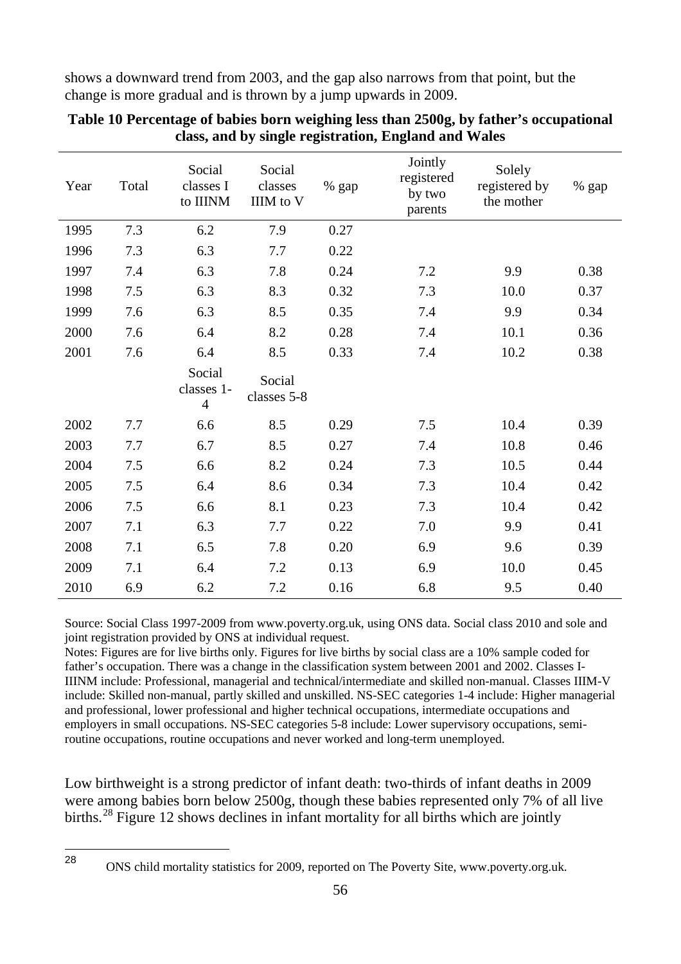shows a downward trend from 2003, and the gap also narrows from that point, but the change is more gradual and is thrown by a jump upwards in 2009.

| Year | Total | Social<br>classes I<br>to IIINM        | Social<br>classes<br>IIIM to V | % gap | Jointly<br>registered<br>by two<br>parents | Solely<br>registered by<br>the mother | % gap |
|------|-------|----------------------------------------|--------------------------------|-------|--------------------------------------------|---------------------------------------|-------|
| 1995 | 7.3   | 6.2                                    | 7.9                            | 0.27  |                                            |                                       |       |
| 1996 | 7.3   | 6.3                                    | 7.7                            | 0.22  |                                            |                                       |       |
| 1997 | 7.4   | 6.3                                    | 7.8                            | 0.24  | 7.2                                        | 9.9                                   | 0.38  |
| 1998 | 7.5   | 6.3                                    | 8.3                            | 0.32  | 7.3                                        | 10.0                                  | 0.37  |
| 1999 | 7.6   | 6.3                                    | 8.5                            | 0.35  | 7.4                                        | 9.9                                   | 0.34  |
| 2000 | 7.6   | 6.4                                    | 8.2                            | 0.28  | 7.4                                        | 10.1                                  | 0.36  |
| 2001 | 7.6   | 6.4                                    | 8.5                            | 0.33  | 7.4                                        | 10.2                                  | 0.38  |
|      |       | Social<br>classes 1-<br>$\overline{4}$ | Social<br>classes 5-8          |       |                                            |                                       |       |
| 2002 | 7.7   | 6.6                                    | 8.5                            | 0.29  | 7.5                                        | 10.4                                  | 0.39  |
| 2003 | 7.7   | 6.7                                    | 8.5                            | 0.27  | 7.4                                        | 10.8                                  | 0.46  |
| 2004 | 7.5   | 6.6                                    | 8.2                            | 0.24  | 7.3                                        | 10.5                                  | 0.44  |
| 2005 | 7.5   | 6.4                                    | 8.6                            | 0.34  | 7.3                                        | 10.4                                  | 0.42  |
| 2006 | 7.5   | 6.6                                    | 8.1                            | 0.23  | 7.3                                        | 10.4                                  | 0.42  |
| 2007 | 7.1   | 6.3                                    | 7.7                            | 0.22  | 7.0                                        | 9.9                                   | 0.41  |
| 2008 | 7.1   | 6.5                                    | 7.8                            | 0.20  | 6.9                                        | 9.6                                   | 0.39  |
| 2009 | 7.1   | 6.4                                    | 7.2                            | 0.13  | 6.9                                        | 10.0                                  | 0.45  |
| 2010 | 6.9   | 6.2                                    | 7.2                            | 0.16  | 6.8                                        | 9.5                                   | 0.40  |

## **Table 10 Percentage of babies born weighing less than 2500g, by father's occupational class, and by single registration, England and Wales**

Source: Social Class 1997-2009 from www.poverty.org.uk, using ONS data. Social class 2010 and sole and joint registration provided by ONS at individual request.

Notes: Figures are for live births only. Figures for live births by social class are a 10% sample coded for father's occupation. There was a change in the classification system between 2001 and 2002. Classes I-IIINM include: Professional, managerial and technical/intermediate and skilled non-manual. Classes IIIM-V include: Skilled non-manual, partly skilled and unskilled. NS-SEC categories 1-4 include: Higher managerial and professional, lower professional and higher technical occupations, intermediate occupations and employers in small occupations. NS-SEC categories 5-8 include: Lower supervisory occupations, semiroutine occupations, routine occupations and never worked and long-term unemployed.

Low birthweight is a strong predictor of infant death: two-thirds of infant deaths in 2009 were among babies born below 2500g, though these babies represented only 7% of all live births.<sup>[28](#page-59-0)</sup> Figure 12 shows declines in infant mortality for all births which are jointly

<span id="page-59-0"></span><sup>28</sup> 

<sup>28</sup> ONS child mortality statistics for 2009, reported on The Poverty Site, www.poverty.org.uk.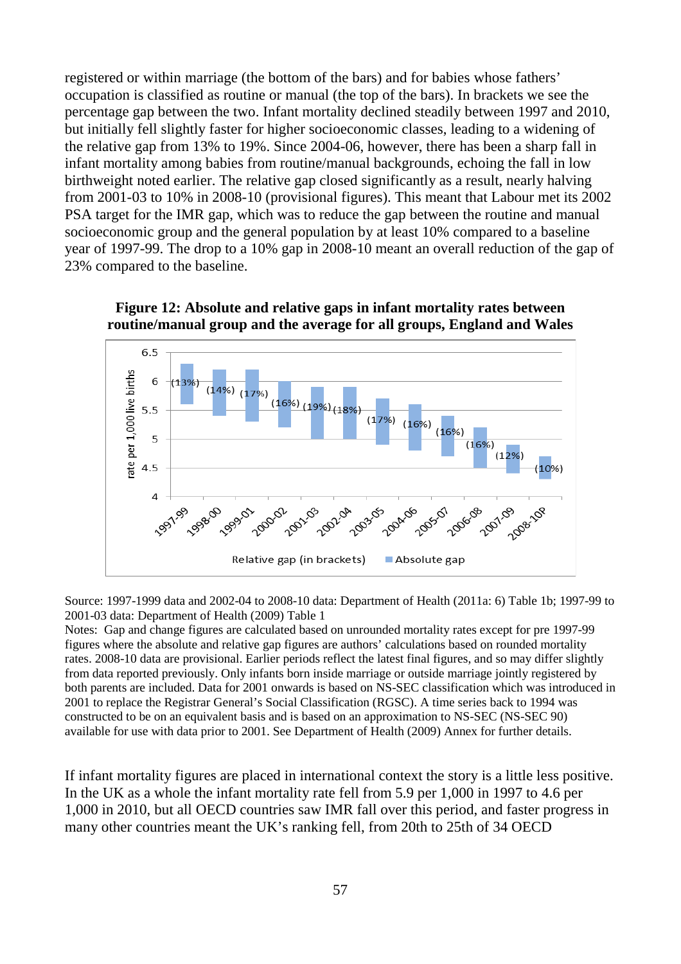registered or within marriage (the bottom of the bars) and for babies whose fathers' occupation is classified as routine or manual (the top of the bars). In brackets we see the percentage gap between the two. Infant mortality declined steadily between 1997 and 2010, but initially fell slightly faster for higher socioeconomic classes, leading to a widening of the relative gap from 13% to 19%. Since 2004-06, however, there has been a sharp fall in infant mortality among babies from routine/manual backgrounds, echoing the fall in low birthweight noted earlier. The relative gap closed significantly as a result, nearly halving from 2001-03 to 10% in 2008-10 (provisional figures). This meant that Labour met its 2002 PSA target for the IMR gap, which was to reduce the gap between the routine and manual socioeconomic group and the general population by at least 10% compared to a baseline year of 1997-99. The drop to a 10% gap in 2008-10 meant an overall reduction of the gap of 23% compared to the baseline.





Source: 1997-1999 data and 2002-04 to 2008-10 data: Department of Health (2011a: 6) Table 1b; 1997-99 to 2001-03 data: Department of Health (2009) Table 1

Notes: Gap and change figures are calculated based on unrounded mortality rates except for pre 1997-99 figures where the absolute and relative gap figures are authors' calculations based on rounded mortality rates. 2008-10 data are provisional. Earlier periods reflect the latest final figures, and so may differ slightly from data reported previously. Only infants born inside marriage or outside marriage jointly registered by both parents are included. Data for 2001 onwards is based on NS-SEC classification which was introduced in 2001 to replace the Registrar General's Social Classification (RGSC). A time series back to 1994 was constructed to be on an equivalent basis and is based on an approximation to NS-SEC (NS-SEC 90) available for use with data prior to 2001. See Department of Health (2009) Annex for further details.

If infant mortality figures are placed in international context the story is a little less positive. In the UK as a whole the infant mortality rate fell from 5.9 per 1,000 in 1997 to 4.6 per 1,000 in 2010, but all OECD countries saw IMR fall over this period, and faster progress in many other countries meant the UK's ranking fell, from 20th to 25th of 34 OECD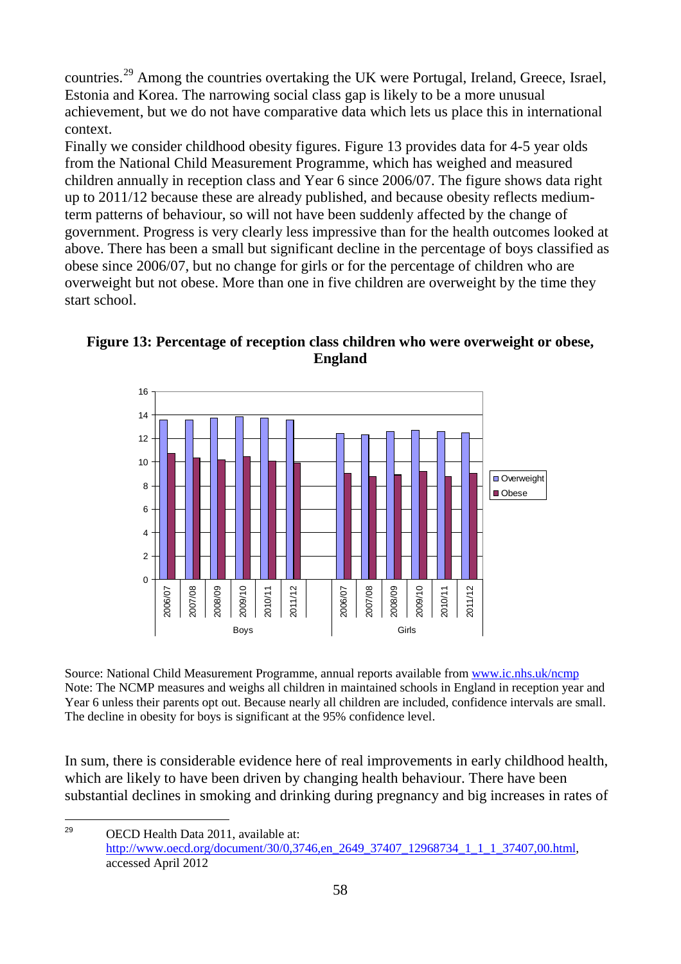countries.[29](#page-61-0) Among the countries overtaking the UK were Portugal, Ireland, Greece, Israel, Estonia and Korea. The narrowing social class gap is likely to be a more unusual achievement, but we do not have comparative data which lets us place this in international context.

Finally we consider childhood obesity figures. Figure 13 provides data for 4-5 year olds from the National Child Measurement Programme, which has weighed and measured children annually in reception class and Year 6 since 2006/07. The figure shows data right up to 2011/12 because these are already published, and because obesity reflects mediumterm patterns of behaviour, so will not have been suddenly affected by the change of government. Progress is very clearly less impressive than for the health outcomes looked at above. There has been a small but significant decline in the percentage of boys classified as obese since 2006/07, but no change for girls or for the percentage of children who are overweight but not obese. More than one in five children are overweight by the time they start school.



**Figure 13: Percentage of reception class children who were overweight or obese, England**

Source: National Child Measurement Programme, annual reports available from [www.ic.nhs.uk/ncmp](http://www.ic.nhs.uk/ncmp) Note: The NCMP measures and weighs all children in maintained schools in England in reception year and Year 6 unless their parents opt out. Because nearly all children are included, confidence intervals are small. The decline in obesity for boys is significant at the 95% confidence level.

In sum, there is considerable evidence here of real improvements in early childhood health, which are likely to have been driven by changing health behaviour. There have been substantial declines in smoking and drinking during pregnancy and big increases in rates of

<span id="page-61-0"></span>OECD Health Data 2011, available at: http://www.oecd.org/document/30/0,3746,en\_2649\_37407\_12968734\_1\_1\_1\_37407,00.html, accessed April 2012 29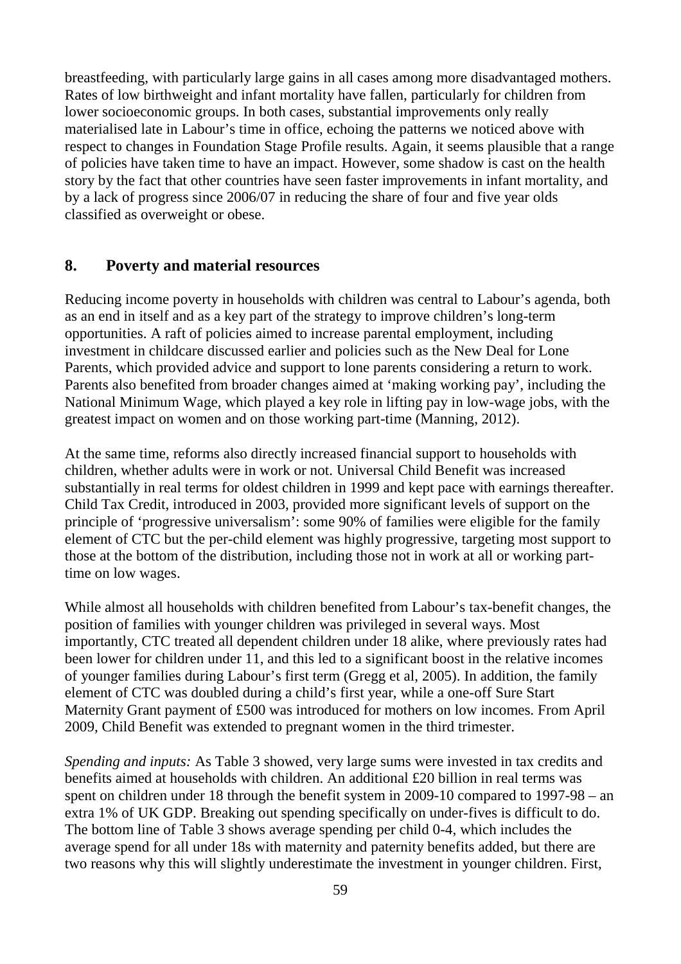breastfeeding, with particularly large gains in all cases among more disadvantaged mothers. Rates of low birthweight and infant mortality have fallen, particularly for children from lower socioeconomic groups. In both cases, substantial improvements only really materialised late in Labour's time in office, echoing the patterns we noticed above with respect to changes in Foundation Stage Profile results. Again, it seems plausible that a range of policies have taken time to have an impact. However, some shadow is cast on the health story by the fact that other countries have seen faster improvements in infant mortality, and by a lack of progress since 2006/07 in reducing the share of four and five year olds classified as overweight or obese.

#### **8. Poverty and material resources**

Reducing income poverty in households with children was central to Labour's agenda, both as an end in itself and as a key part of the strategy to improve children's long-term opportunities. A raft of policies aimed to increase parental employment, including investment in childcare discussed earlier and policies such as the New Deal for Lone Parents, which provided advice and support to lone parents considering a return to work. Parents also benefited from broader changes aimed at 'making working pay', including the National Minimum Wage, which played a key role in lifting pay in low-wage jobs, with the greatest impact on women and on those working part-time (Manning, 2012).

At the same time, reforms also directly increased financial support to households with children, whether adults were in work or not. Universal Child Benefit was increased substantially in real terms for oldest children in 1999 and kept pace with earnings thereafter. Child Tax Credit, introduced in 2003, provided more significant levels of support on the principle of 'progressive universalism': some 90% of families were eligible for the family element of CTC but the per-child element was highly progressive, targeting most support to those at the bottom of the distribution, including those not in work at all or working parttime on low wages.

While almost all households with children benefited from Labour's tax-benefit changes, the position of families with younger children was privileged in several ways. Most importantly, CTC treated all dependent children under 18 alike, where previously rates had been lower for children under 11, and this led to a significant boost in the relative incomes of younger families during Labour's first term (Gregg et al, 2005). In addition, the family element of CTC was doubled during a child's first year, while a one-off Sure Start Maternity Grant payment of £500 was introduced for mothers on low incomes. From April 2009, Child Benefit was extended to pregnant women in the third trimester.

*Spending and inputs:* As Table 3 showed, very large sums were invested in tax credits and benefits aimed at households with children. An additional £20 billion in real terms was spent on children under 18 through the benefit system in 2009-10 compared to 1997-98 – an extra 1% of UK GDP. Breaking out spending specifically on under-fives is difficult to do. The bottom line of Table 3 shows average spending per child 0-4, which includes the average spend for all under 18s with maternity and paternity benefits added, but there are two reasons why this will slightly underestimate the investment in younger children. First,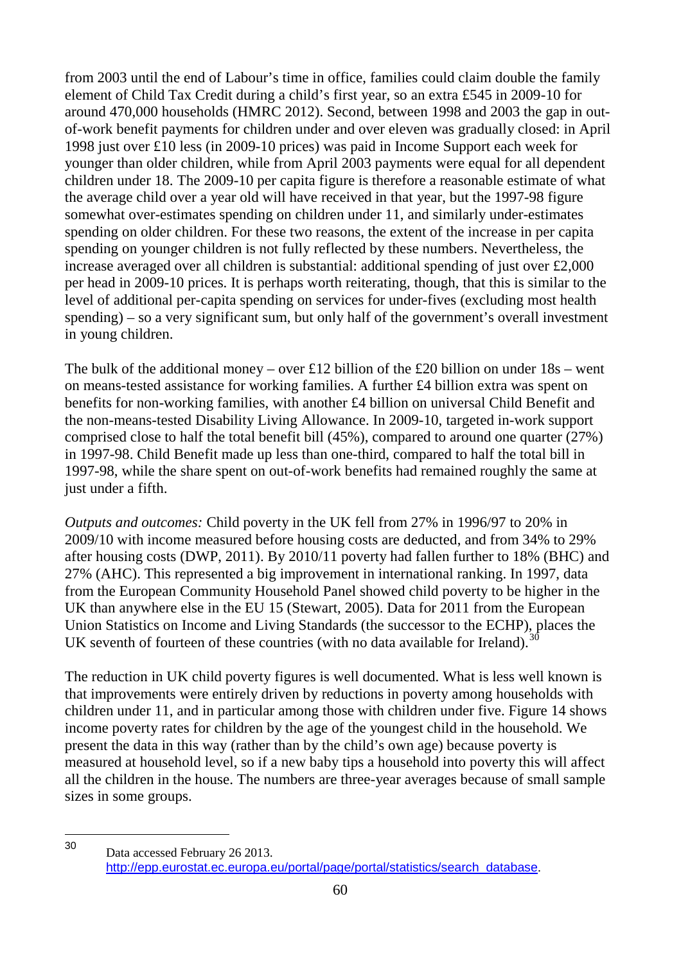from 2003 until the end of Labour's time in office, families could claim double the family element of Child Tax Credit during a child's first year, so an extra £545 in 2009-10 for around 470,000 households (HMRC 2012). Second, between 1998 and 2003 the gap in outof-work benefit payments for children under and over eleven was gradually closed: in April 1998 just over £10 less (in 2009-10 prices) was paid in Income Support each week for younger than older children, while from April 2003 payments were equal for all dependent children under 18. The 2009-10 per capita figure is therefore a reasonable estimate of what the average child over a year old will have received in that year, but the 1997-98 figure somewhat over-estimates spending on children under 11, and similarly under-estimates spending on older children. For these two reasons, the extent of the increase in per capita spending on younger children is not fully reflected by these numbers. Nevertheless, the increase averaged over all children is substantial: additional spending of just over £2,000 per head in 2009-10 prices. It is perhaps worth reiterating, though, that this is similar to the level of additional per-capita spending on services for under-fives (excluding most health spending) – so a very significant sum, but only half of the government's overall investment in young children.

The bulk of the additional money – over £12 billion of the £20 billion on under  $18s$  – went on means-tested assistance for working families. A further £4 billion extra was spent on benefits for non-working families, with another £4 billion on universal Child Benefit and the non-means-tested Disability Living Allowance. In 2009-10, targeted in-work support comprised close to half the total benefit bill (45%), compared to around one quarter (27%) in 1997-98. Child Benefit made up less than one-third, compared to half the total bill in 1997-98, while the share spent on out-of-work benefits had remained roughly the same at just under a fifth.

*Outputs and outcomes:* Child poverty in the UK fell from 27% in 1996/97 to 20% in 2009/10 with income measured before housing costs are deducted, and from 34% to 29% after housing costs (DWP, 2011). By 2010/11 poverty had fallen further to 18% (BHC) and 27% (AHC). This represented a big improvement in international ranking. In 1997, data from the European Community Household Panel showed child poverty to be higher in the UK than anywhere else in the EU 15 (Stewart, 2005). Data for 2011 from the European Union Statistics on Income and Living Standards (the successor to the ECHP), places the UK seventh of fourteen of these countries (with no data available for Ireland). $\frac{3}{2}$ 

The reduction in UK child poverty figures is well documented. What is less well known is that improvements were entirely driven by reductions in poverty among households with children under 11, and in particular among those with children under five. Figure 14 shows income poverty rates for children by the age of the youngest child in the household. We present the data in this way (rather than by the child's own age) because poverty is measured at household level, so if a new baby tips a household into poverty this will affect all the children in the house. The numbers are three-year averages because of small sample sizes in some groups.

<span id="page-63-0"></span>Data accessed February 26 2013. [http://epp.eurostat.ec.europa.eu/portal/page/portal/statistics/search\\_database](http://epp.eurostat.ec.europa.eu/portal/page/portal/statistics/search_database). 30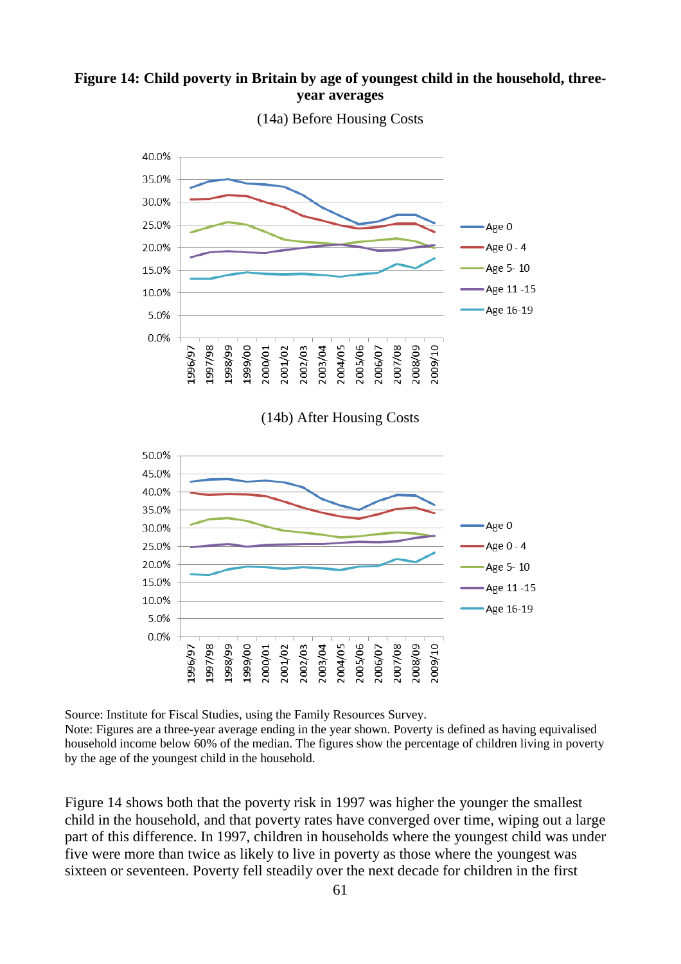## **Figure 14: Child poverty in Britain by age of youngest child in the household, threeyear averages**



(14a) Before Housing Costs

(14b) After Housing Costs



Source: Institute for Fiscal Studies, using the Family Resources Survey.

Note: Figures are a three-year average ending in the year shown. Poverty is defined as having equivalised household income below 60% of the median. The figures show the percentage of children living in poverty by the age of the youngest child in the household.

Figure 14 shows both that the poverty risk in 1997 was higher the younger the smallest child in the household, and that poverty rates have converged over time, wiping out a large part of this difference. In 1997, children in households where the youngest child was under five were more than twice as likely to live in poverty as those where the youngest was sixteen or seventeen. Poverty fell steadily over the next decade for children in the first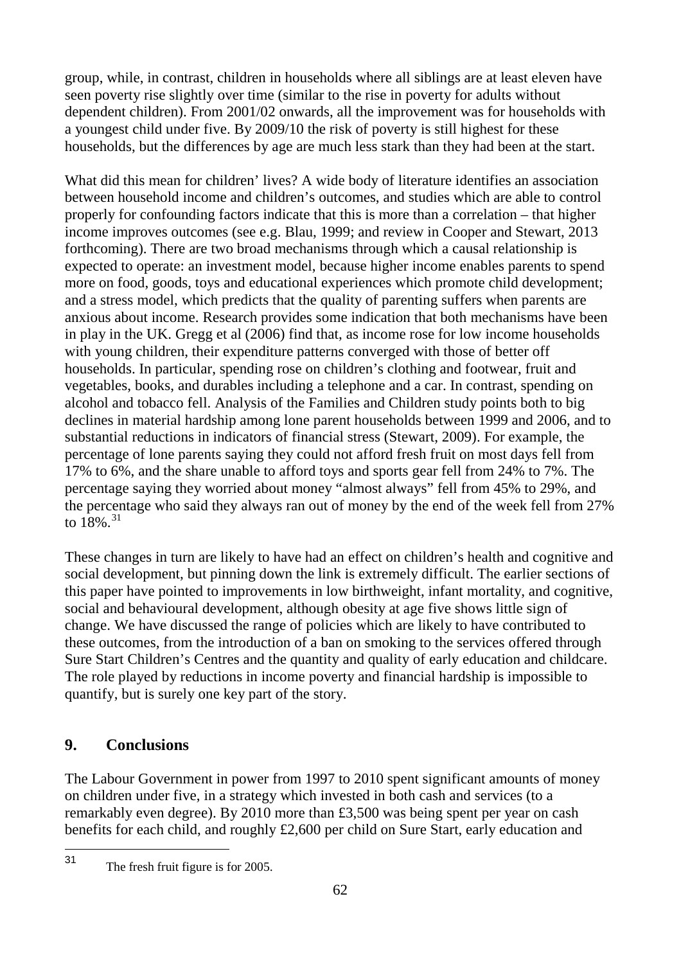group, while, in contrast, children in households where all siblings are at least eleven have seen poverty rise slightly over time (similar to the rise in poverty for adults without dependent children). From 2001/02 onwards, all the improvement was for households with a youngest child under five. By 2009/10 the risk of poverty is still highest for these households, but the differences by age are much less stark than they had been at the start.

What did this mean for children' lives? A wide body of literature identifies an association between household income and children's outcomes, and studies which are able to control properly for confounding factors indicate that this is more than a correlation – that higher income improves outcomes (see e.g. Blau, 1999; and review in Cooper and Stewart, 2013 forthcoming). There are two broad mechanisms through which a causal relationship is expected to operate: an investment model, because higher income enables parents to spend more on food, goods, toys and educational experiences which promote child development; and a stress model, which predicts that the quality of parenting suffers when parents are anxious about income. Research provides some indication that both mechanisms have been in play in the UK. Gregg et al (2006) find that, as income rose for low income households with young children, their expenditure patterns converged with those of better off households. In particular, spending rose on children's clothing and footwear, fruit and vegetables, books, and durables including a telephone and a car. In contrast, spending on alcohol and tobacco fell. Analysis of the Families and Children study points both to big declines in material hardship among lone parent households between 1999 and 2006, and to substantial reductions in indicators of financial stress (Stewart, 2009). For example, the percentage of lone parents saying they could not afford fresh fruit on most days fell from 17% to 6%, and the share unable to afford toys and sports gear fell from 24% to 7%. The percentage saying they worried about money "almost always" fell from 45% to 29%, and the percentage who said they always ran out of money by the end of the week fell from 27% to  $18\%$ <sup>[31](#page-65-0)</sup>

These changes in turn are likely to have had an effect on children's health and cognitive and social development, but pinning down the link is extremely difficult. The earlier sections of this paper have pointed to improvements in low birthweight, infant mortality, and cognitive, social and behavioural development, although obesity at age five shows little sign of change. We have discussed the range of policies which are likely to have contributed to these outcomes, from the introduction of a ban on smoking to the services offered through Sure Start Children's Centres and the quantity and quality of early education and childcare. The role played by reductions in income poverty and financial hardship is impossible to quantify, but is surely one key part of the story.

# **9. Conclusions**

The Labour Government in power from 1997 to 2010 spent significant amounts of money on children under five, in a strategy which invested in both cash and services (to a remarkably even degree). By 2010 more than £3,500 was being spent per year on cash benefits for each child, and roughly £2,600 per child on Sure Start, early education and

<span id="page-65-0"></span>The fresh fruit figure is for 2005.  $31$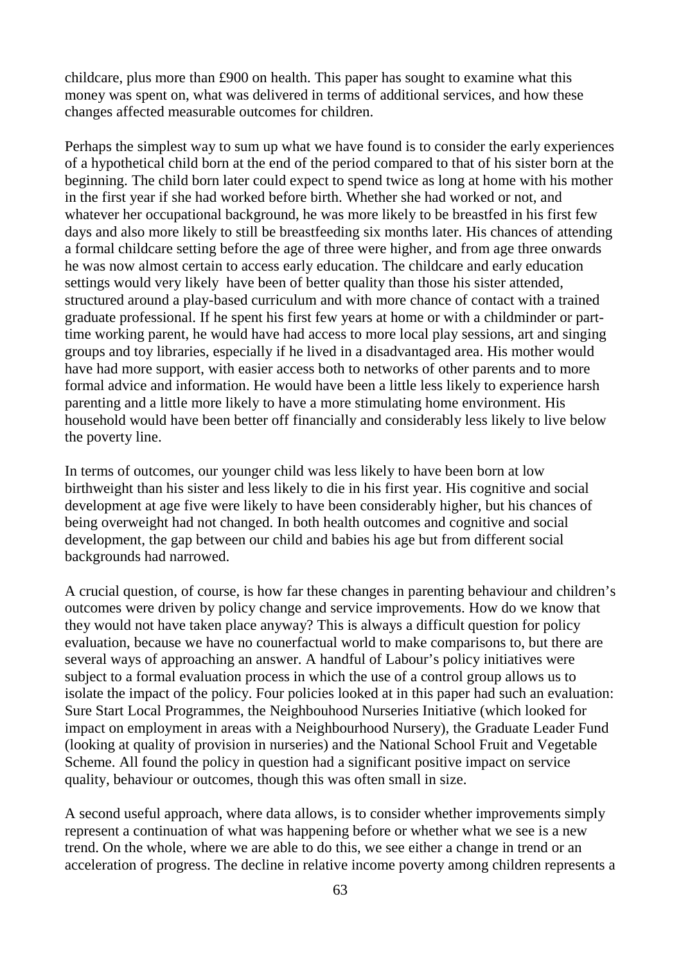childcare, plus more than £900 on health. This paper has sought to examine what this money was spent on, what was delivered in terms of additional services, and how these changes affected measurable outcomes for children.

Perhaps the simplest way to sum up what we have found is to consider the early experiences of a hypothetical child born at the end of the period compared to that of his sister born at the beginning. The child born later could expect to spend twice as long at home with his mother in the first year if she had worked before birth. Whether she had worked or not, and whatever her occupational background, he was more likely to be breastfed in his first few days and also more likely to still be breastfeeding six months later. His chances of attending a formal childcare setting before the age of three were higher, and from age three onwards he was now almost certain to access early education. The childcare and early education settings would very likely have been of better quality than those his sister attended, structured around a play-based curriculum and with more chance of contact with a trained graduate professional. If he spent his first few years at home or with a childminder or parttime working parent, he would have had access to more local play sessions, art and singing groups and toy libraries, especially if he lived in a disadvantaged area. His mother would have had more support, with easier access both to networks of other parents and to more formal advice and information. He would have been a little less likely to experience harsh parenting and a little more likely to have a more stimulating home environment. His household would have been better off financially and considerably less likely to live below the poverty line.

In terms of outcomes, our younger child was less likely to have been born at low birthweight than his sister and less likely to die in his first year. His cognitive and social development at age five were likely to have been considerably higher, but his chances of being overweight had not changed. In both health outcomes and cognitive and social development, the gap between our child and babies his age but from different social backgrounds had narrowed.

A crucial question, of course, is how far these changes in parenting behaviour and children's outcomes were driven by policy change and service improvements. How do we know that they would not have taken place anyway? This is always a difficult question for policy evaluation, because we have no counerfactual world to make comparisons to, but there are several ways of approaching an answer. A handful of Labour's policy initiatives were subject to a formal evaluation process in which the use of a control group allows us to isolate the impact of the policy. Four policies looked at in this paper had such an evaluation: Sure Start Local Programmes, the Neighbouhood Nurseries Initiative (which looked for impact on employment in areas with a Neighbourhood Nursery), the Graduate Leader Fund (looking at quality of provision in nurseries) and the National School Fruit and Vegetable Scheme. All found the policy in question had a significant positive impact on service quality, behaviour or outcomes, though this was often small in size.

A second useful approach, where data allows, is to consider whether improvements simply represent a continuation of what was happening before or whether what we see is a new trend. On the whole, where we are able to do this, we see either a change in trend or an acceleration of progress. The decline in relative income poverty among children represents a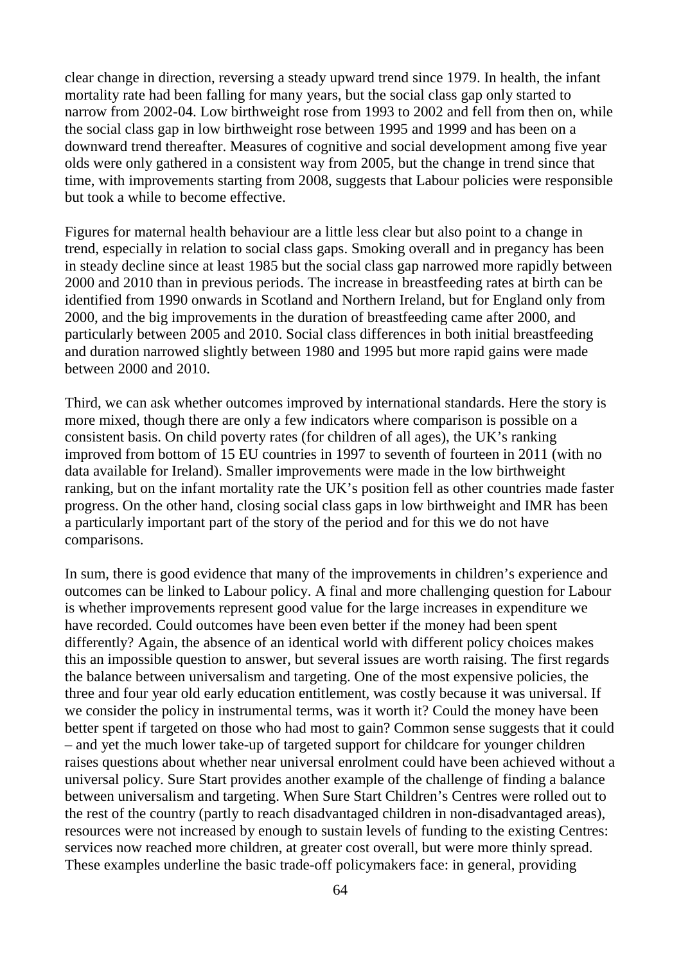clear change in direction, reversing a steady upward trend since 1979. In health, the infant mortality rate had been falling for many years, but the social class gap only started to narrow from 2002-04. Low birthweight rose from 1993 to 2002 and fell from then on, while the social class gap in low birthweight rose between 1995 and 1999 and has been on a downward trend thereafter. Measures of cognitive and social development among five year olds were only gathered in a consistent way from 2005, but the change in trend since that time, with improvements starting from 2008, suggests that Labour policies were responsible but took a while to become effective.

Figures for maternal health behaviour are a little less clear but also point to a change in trend, especially in relation to social class gaps. Smoking overall and in pregancy has been in steady decline since at least 1985 but the social class gap narrowed more rapidly between 2000 and 2010 than in previous periods. The increase in breastfeeding rates at birth can be identified from 1990 onwards in Scotland and Northern Ireland, but for England only from 2000, and the big improvements in the duration of breastfeeding came after 2000, and particularly between 2005 and 2010. Social class differences in both initial breastfeeding and duration narrowed slightly between 1980 and 1995 but more rapid gains were made between 2000 and 2010.

Third, we can ask whether outcomes improved by international standards. Here the story is more mixed, though there are only a few indicators where comparison is possible on a consistent basis. On child poverty rates (for children of all ages), the UK's ranking improved from bottom of 15 EU countries in 1997 to seventh of fourteen in 2011 (with no data available for Ireland). Smaller improvements were made in the low birthweight ranking, but on the infant mortality rate the UK's position fell as other countries made faster progress. On the other hand, closing social class gaps in low birthweight and IMR has been a particularly important part of the story of the period and for this we do not have comparisons.

In sum, there is good evidence that many of the improvements in children's experience and outcomes can be linked to Labour policy. A final and more challenging question for Labour is whether improvements represent good value for the large increases in expenditure we have recorded. Could outcomes have been even better if the money had been spent differently? Again, the absence of an identical world with different policy choices makes this an impossible question to answer, but several issues are worth raising. The first regards the balance between universalism and targeting. One of the most expensive policies, the three and four year old early education entitlement, was costly because it was universal. If we consider the policy in instrumental terms, was it worth it? Could the money have been better spent if targeted on those who had most to gain? Common sense suggests that it could – and yet the much lower take-up of targeted support for childcare for younger children raises questions about whether near universal enrolment could have been achieved without a universal policy. Sure Start provides another example of the challenge of finding a balance between universalism and targeting. When Sure Start Children's Centres were rolled out to the rest of the country (partly to reach disadvantaged children in non-disadvantaged areas), resources were not increased by enough to sustain levels of funding to the existing Centres: services now reached more children, at greater cost overall, but were more thinly spread. These examples underline the basic trade-off policymakers face: in general, providing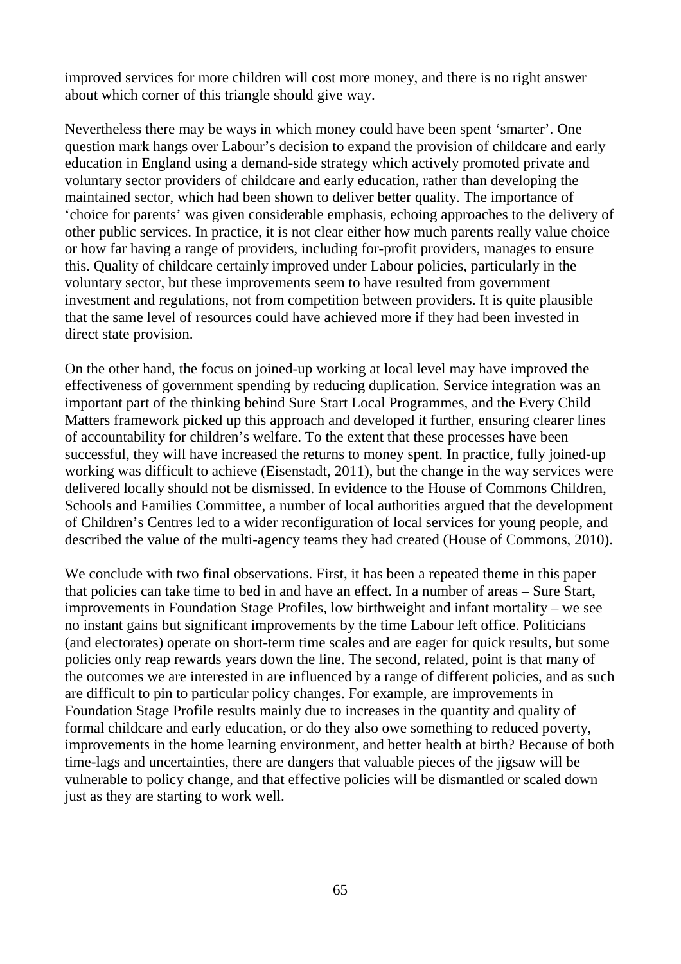improved services for more children will cost more money, and there is no right answer about which corner of this triangle should give way.

Nevertheless there may be ways in which money could have been spent 'smarter'. One question mark hangs over Labour's decision to expand the provision of childcare and early education in England using a demand-side strategy which actively promoted private and voluntary sector providers of childcare and early education, rather than developing the maintained sector, which had been shown to deliver better quality. The importance of 'choice for parents' was given considerable emphasis, echoing approaches to the delivery of other public services. In practice, it is not clear either how much parents really value choice or how far having a range of providers, including for-profit providers, manages to ensure this. Quality of childcare certainly improved under Labour policies, particularly in the voluntary sector, but these improvements seem to have resulted from government investment and regulations, not from competition between providers. It is quite plausible that the same level of resources could have achieved more if they had been invested in direct state provision.

On the other hand, the focus on joined-up working at local level may have improved the effectiveness of government spending by reducing duplication. Service integration was an important part of the thinking behind Sure Start Local Programmes, and the Every Child Matters framework picked up this approach and developed it further, ensuring clearer lines of accountability for children's welfare. To the extent that these processes have been successful, they will have increased the returns to money spent. In practice, fully joined-up working was difficult to achieve (Eisenstadt, 2011), but the change in the way services were delivered locally should not be dismissed. In evidence to the House of Commons Children, Schools and Families Committee, a number of local authorities argued that the development of Children's Centres led to a wider reconfiguration of local services for young people, and described the value of the multi-agency teams they had created (House of Commons, 2010).

We conclude with two final observations. First, it has been a repeated theme in this paper that policies can take time to bed in and have an effect. In a number of areas – Sure Start, improvements in Foundation Stage Profiles, low birthweight and infant mortality – we see no instant gains but significant improvements by the time Labour left office. Politicians (and electorates) operate on short-term time scales and are eager for quick results, but some policies only reap rewards years down the line. The second, related, point is that many of the outcomes we are interested in are influenced by a range of different policies, and as such are difficult to pin to particular policy changes. For example, are improvements in Foundation Stage Profile results mainly due to increases in the quantity and quality of formal childcare and early education, or do they also owe something to reduced poverty, improvements in the home learning environment, and better health at birth? Because of both time-lags and uncertainties, there are dangers that valuable pieces of the jigsaw will be vulnerable to policy change, and that effective policies will be dismantled or scaled down just as they are starting to work well.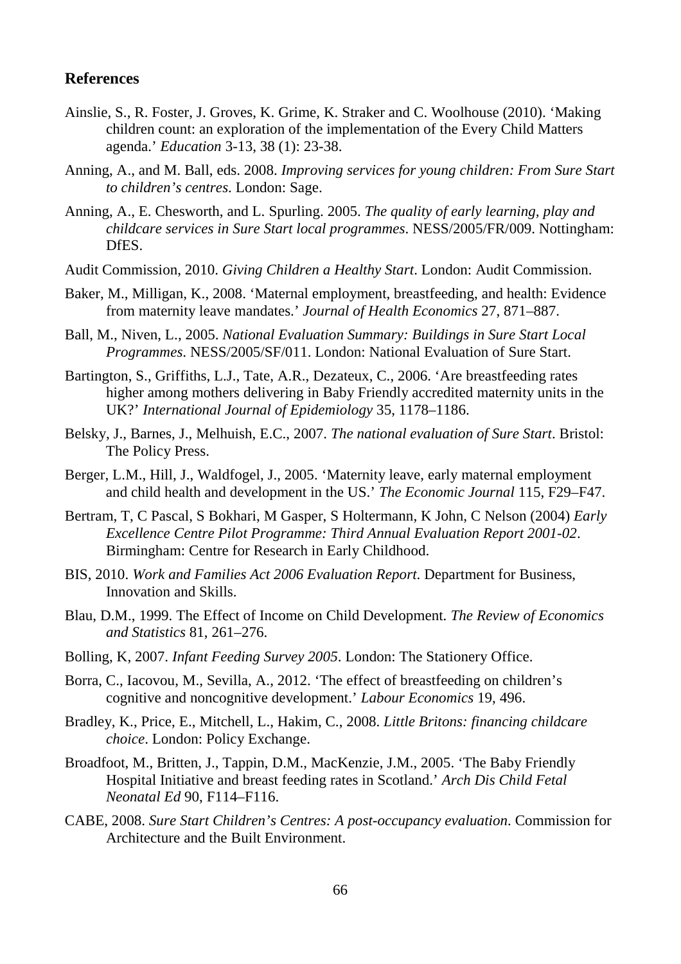#### **References**

- Ainslie, S., R. Foster, J. Groves, K. Grime, K. Straker and C. Woolhouse (2010). 'Making children count: an exploration of the implementation of the Every Child Matters agenda.' *Education* 3-13, 38 (1): 23-38.
- Anning, A., and M. Ball, eds. 2008. *Improving services for young children: From Sure Start to children's centres*. London: Sage.
- Anning, A., E. Chesworth, and L. Spurling. 2005. *The quality of early learning, play and childcare services in Sure Start local programmes*. NESS/2005/FR/009. Nottingham: DfES.
- Audit Commission, 2010. *Giving Children a Healthy Start*. London: Audit Commission.
- Baker, M., Milligan, K., 2008. 'Maternal employment, breastfeeding, and health: Evidence from maternity leave mandates.' *Journal of Health Economics* 27, 871–887.
- Ball, M., Niven, L., 2005. *National Evaluation Summary: Buildings in Sure Start Local Programmes*. NESS/2005/SF/011. London: National Evaluation of Sure Start.
- Bartington, S., Griffiths, L.J., Tate, A.R., Dezateux, C., 2006. 'Are breastfeeding rates higher among mothers delivering in Baby Friendly accredited maternity units in the UK?' *International Journal of Epidemiology* 35, 1178–1186.
- Belsky, J., Barnes, J., Melhuish, E.C., 2007. *The national evaluation of Sure Start*. Bristol: The Policy Press.
- Berger, L.M., Hill, J., Waldfogel, J., 2005. 'Maternity leave, early maternal employment and child health and development in the US.' *The Economic Journal* 115, F29–F47.
- Bertram, T, C Pascal, S Bokhari, M Gasper, S Holtermann, K John, C Nelson (2004) *Early Excellence Centre Pilot Programme: Third Annual Evaluation Report 2001-02*. Birmingham: Centre for Research in Early Childhood.
- BIS, 2010. *Work and Families Act 2006 Evaluation Report*. Department for Business, Innovation and Skills.
- Blau, D.M., 1999. The Effect of Income on Child Development. *The Review of Economics and Statistics* 81, 261–276.
- Bolling, K, 2007. *Infant Feeding Survey 2005*. London: The Stationery Office.
- Borra, C., Iacovou, M., Sevilla, A., 2012. 'The effect of breastfeeding on children's cognitive and noncognitive development.' *Labour Economics* 19, 496.
- Bradley, K., Price, E., Mitchell, L., Hakim, C., 2008. *Little Britons: financing childcare choice*. London: Policy Exchange.
- Broadfoot, M., Britten, J., Tappin, D.M., MacKenzie, J.M., 2005. 'The Baby Friendly Hospital Initiative and breast feeding rates in Scotland.' *Arch Dis Child Fetal Neonatal Ed* 90, F114–F116.
- CABE, 2008. *Sure Start Children's Centres: A post-occupancy evaluation*. Commission for Architecture and the Built Environment.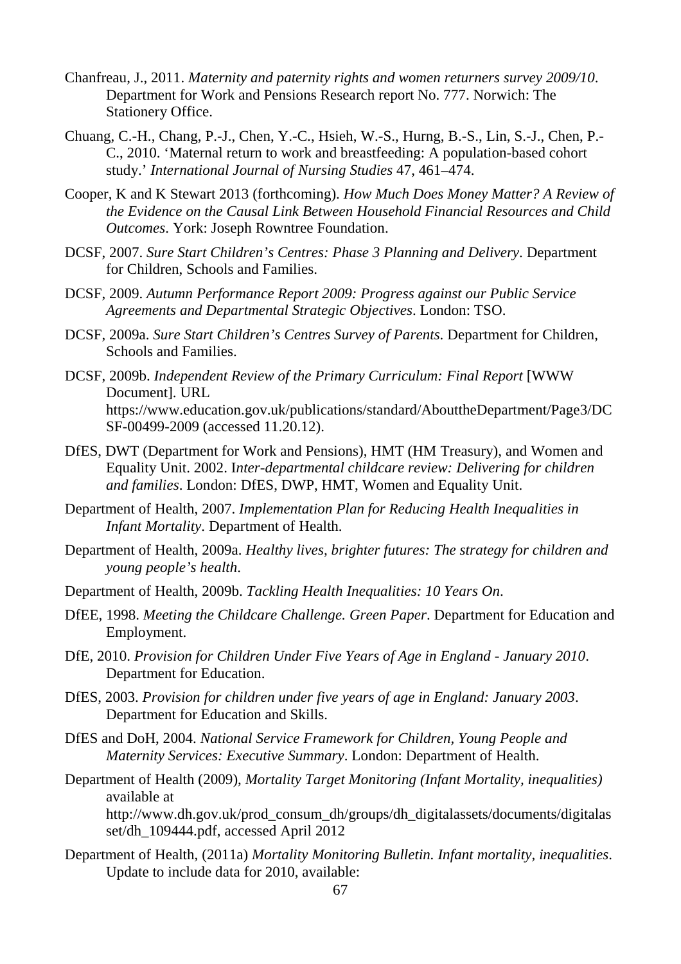- Chanfreau, J., 2011. *Maternity and paternity rights and women returners survey 2009/10*. Department for Work and Pensions Research report No. 777. Norwich: The Stationery Office.
- Chuang, C.-H., Chang, P.-J., Chen, Y.-C., Hsieh, W.-S., Hurng, B.-S., Lin, S.-J., Chen, P.- C., 2010. 'Maternal return to work and breastfeeding: A population-based cohort study.' *International Journal of Nursing Studies* 47, 461–474.
- Cooper, K and K Stewart 2013 (forthcoming). *How Much Does Money Matter? A Review of the Evidence on the Causal Link Between Household Financial Resources and Child Outcomes*. York: Joseph Rowntree Foundation.
- DCSF, 2007. *Sure Start Children's Centres: Phase 3 Planning and Delivery*. Department for Children, Schools and Families.
- DCSF, 2009. *Autumn Performance Report 2009: Progress against our Public Service Agreements and Departmental Strategic Objectives*. London: TSO.
- DCSF, 2009a. *Sure Start Children's Centres Survey of Parents*. Department for Children, Schools and Families.
- DCSF, 2009b. *Independent Review of the Primary Curriculum: Final Report* [WWW Document]. URL https://www.education.gov.uk/publications/standard/AbouttheDepartment/Page3/DC SF-00499-2009 (accessed 11.20.12).
- DfES, DWT (Department for Work and Pensions), HMT (HM Treasury), and Women and Equality Unit. 2002. I*nter-departmental childcare review: Delivering for children and families*. London: DfES, DWP, HMT, Women and Equality Unit.
- Department of Health, 2007. *Implementation Plan for Reducing Health Inequalities in Infant Mortality*. Department of Health.
- Department of Health, 2009a. *Healthy lives, brighter futures: The strategy for children and young people's health*.
- Department of Health, 2009b. *Tackling Health Inequalities: 10 Years On*.
- DfEE, 1998. *Meeting the Childcare Challenge. Green Paper*. Department for Education and Employment.
- DfE, 2010. *Provision for Children Under Five Years of Age in England - January 2010*. Department for Education.
- DfES, 2003. *Provision for children under five years of age in England: January 2003*. Department for Education and Skills.
- DfES and DoH, 2004. *National Service Framework for Children, Young People and Maternity Services: Executive Summary*. London: Department of Health.
- Department of Health (2009), *Mortality Target Monitoring (Infant Mortality, inequalities)* available at http://www.dh.gov.uk/prod\_consum\_dh/groups/dh\_digitalassets/documents/digitalas set/dh\_109444.pdf, accessed April 2012
- Department of Health, (2011a) *Mortality Monitoring Bulletin. Infant mortality, inequalities*. Update to include data for 2010, available: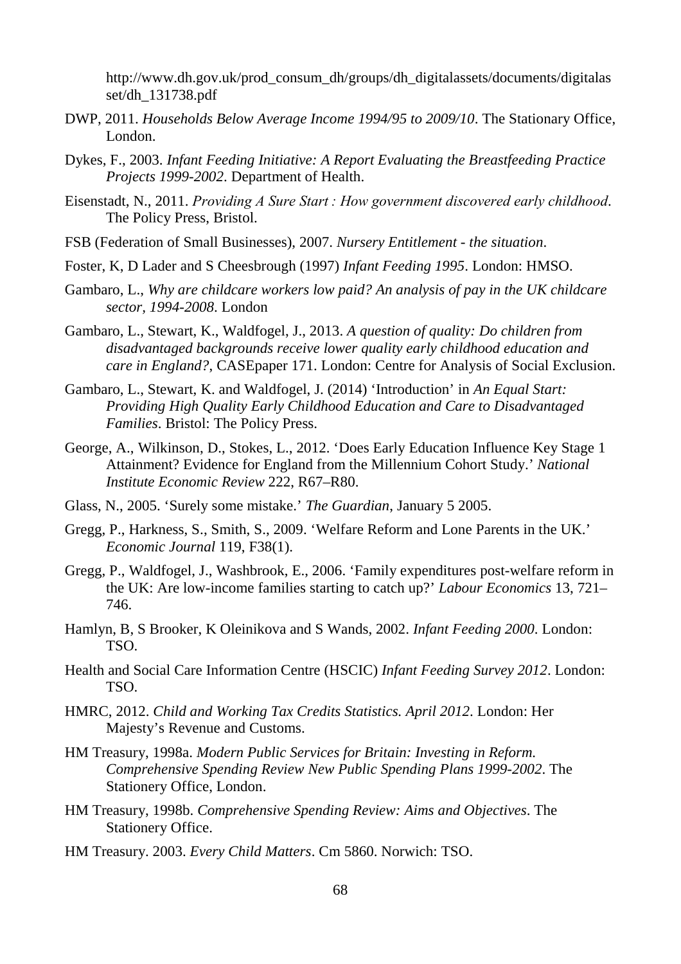http://www.dh.gov.uk/prod\_consum\_dh/groups/dh\_digitalassets/documents/digitalas set/dh\_131738.pdf

- DWP, 2011. *Households Below Average Income 1994/95 to 2009/10*. The Stationary Office, London.
- Dykes, F., 2003. *Infant Feeding Initiative: A Report Evaluating the Breastfeeding Practice Projects 1999-2002*. Department of Health.
- Eisenstadt, N., 2011. *Providing A Sure Start : How government discovered early childhood*. The Policy Press, Bristol.
- FSB (Federation of Small Businesses), 2007. *Nursery Entitlement - the situation*.
- Foster, K, D Lader and S Cheesbrough (1997) *Infant Feeding 1995*. London: HMSO.
- Gambaro, L., *Why are childcare workers low paid? An analysis of pay in the UK childcare sector, 1994-2008*. London
- Gambaro, L., Stewart, K., Waldfogel, J., 2013. *A question of quality: Do children from disadvantaged backgrounds receive lower quality early childhood education and care in England?*, CASEpaper 171. London: Centre for Analysis of Social Exclusion.
- Gambaro, L., Stewart, K. and Waldfogel, J. (2014) 'Introduction' in *An Equal Start: Providing High Quality Early Childhood Education and Care to Disadvantaged Families*. Bristol: The Policy Press.
- George, A., Wilkinson, D., Stokes, L., 2012. 'Does Early Education Influence Key Stage 1 Attainment? Evidence for England from the Millennium Cohort Study.' *National Institute Economic Review* 222, R67–R80.
- Glass, N., 2005. 'Surely some mistake.' *The Guardian*, January 5 2005.
- Gregg, P., Harkness, S., Smith, S., 2009. 'Welfare Reform and Lone Parents in the UK.' *Economic Journal* 119, F38(1).
- Gregg, P., Waldfogel, J., Washbrook, E., 2006. 'Family expenditures post-welfare reform in the UK: Are low-income families starting to catch up?' *Labour Economics* 13, 721– 746.
- Hamlyn, B, S Brooker, K Oleinikova and S Wands, 2002. *Infant Feeding 2000*. London: TSO.
- Health and Social Care Information Centre (HSCIC) *Infant Feeding Survey 2012*. London: TSO.
- HMRC, 2012. *Child and Working Tax Credits Statistics. April 2012*. London: Her Majesty's Revenue and Customs.
- HM Treasury, 1998a. *Modern Public Services for Britain: Investing in Reform. Comprehensive Spending Review New Public Spending Plans 1999-2002*. The Stationery Office, London.
- HM Treasury, 1998b. *Comprehensive Spending Review: Aims and Objectives*. The Stationery Office.
- HM Treasury. 2003. *Every Child Matters*. Cm 5860. Norwich: TSO.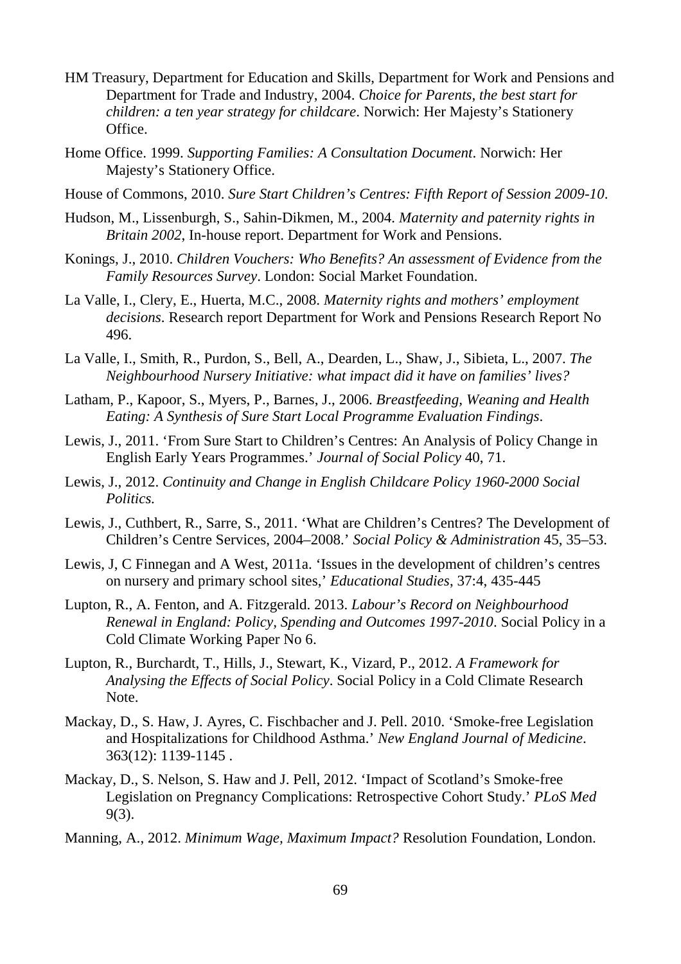- HM Treasury, Department for Education and Skills, Department for Work and Pensions and Department for Trade and Industry, 2004. *Choice for Parents, the best start for children: a ten year strategy for childcare*. Norwich: Her Majesty's Stationery Office.
- Home Office. 1999. *Supporting Families: A Consultation Document*. Norwich: Her Majesty's Stationery Office.
- House of Commons, 2010. *Sure Start Children's Centres: Fifth Report of Session 2009-10*.
- Hudson, M., Lissenburgh, S., Sahin-Dikmen, M., 2004. *Maternity and paternity rights in Britain 2002*, In-house report. Department for Work and Pensions.
- Konings, J., 2010. *Children Vouchers: Who Benefits? An assessment of Evidence from the Family Resources Survey*. London: Social Market Foundation.
- La Valle, I., Clery, E., Huerta, M.C., 2008. *Maternity rights and mothers' employment decisions*. Research report Department for Work and Pensions Research Report No 496.
- La Valle, I., Smith, R., Purdon, S., Bell, A., Dearden, L., Shaw, J., Sibieta, L., 2007. *The Neighbourhood Nursery Initiative: what impact did it have on families' lives?*
- Latham, P., Kapoor, S., Myers, P., Barnes, J., 2006. *Breastfeeding, Weaning and Health Eating: A Synthesis of Sure Start Local Programme Evaluation Findings*.
- Lewis, J., 2011. 'From Sure Start to Children's Centres: An Analysis of Policy Change in English Early Years Programmes.' *Journal of Social Policy* 40, 71.
- Lewis, J., 2012. *Continuity and Change in English Childcare Policy 1960-2000 Social Politics.*
- Lewis, J., Cuthbert, R., Sarre, S., 2011. 'What are Children's Centres? The Development of Children's Centre Services, 2004–2008.' *Social Policy & Administration* 45, 35–53.
- Lewis, J, C Finnegan and A West, 2011a. 'Issues in the development of children's centres on nursery and primary school sites,' *Educational Studies*, 37:4, 435-445
- Lupton, R., A. Fenton, and A. Fitzgerald. 2013. *Labour's Record on Neighbourhood Renewal in England: Policy, Spending and Outcomes 1997-2010*. Social Policy in a Cold Climate Working Paper No 6.
- Lupton, R., Burchardt, T., Hills, J., Stewart, K., Vizard, P., 2012. *A Framework for Analysing the Effects of Social Policy*. Social Policy in a Cold Climate Research Note.
- Mackay, D., S. Haw, J. Ayres, C. Fischbacher and J. Pell. 2010. 'Smoke-free Legislation and Hospitalizations for Childhood Asthma.' *New England Journal of Medicine*. 363(12): 1139-1145 .
- Mackay, D., S. Nelson, S. Haw and J. Pell, 2012. 'Impact of Scotland's Smoke-free Legislation on Pregnancy Complications: Retrospective Cohort Study.' *PLoS Med* 9(3).
- Manning, A., 2012. *Minimum Wage, Maximum Impact?* Resolution Foundation, London.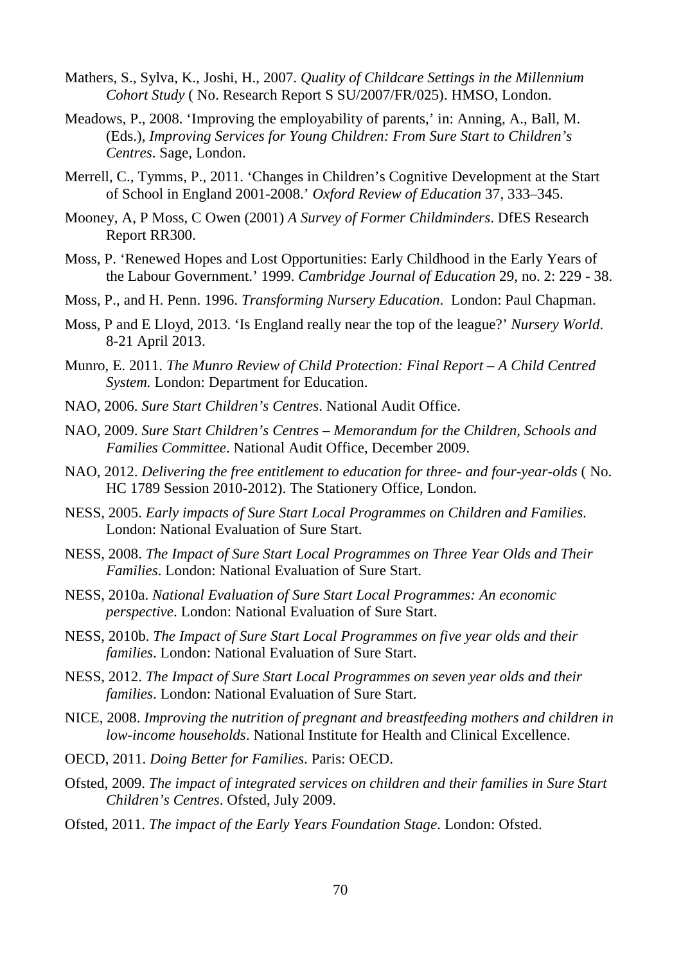- Mathers, S., Sylva, K., Joshi, H., 2007. *Quality of Childcare Settings in the Millennium Cohort Study* ( No. Research Report S SU/2007/FR/025). HMSO, London.
- Meadows, P., 2008. 'Improving the employability of parents,' in: Anning, A., Ball, M. (Eds.), *Improving Services for Young Children: From Sure Start to Children's Centres*. Sage, London.
- Merrell, C., Tymms, P., 2011. 'Changes in Children's Cognitive Development at the Start of School in England 2001-2008.' *Oxford Review of Education* 37, 333–345.
- Mooney, A, P Moss, C Owen (2001) *A Survey of Former Childminders*. DfES Research Report RR300.
- Moss, P. 'Renewed Hopes and Lost Opportunities: Early Childhood in the Early Years of the Labour Government.' 1999. *Cambridge Journal of Education* 29, no. 2: 229 - 38.
- Moss, P., and H. Penn. 1996. *Transforming Nursery Education*. London: Paul Chapman.
- Moss, P and E Lloyd, 2013. 'Is England really near the top of the league?' *Nursery World*. 8-21 April 2013.
- Munro, E. 2011. *The Munro Review of Child Protection: Final Report – A Child Centred System.* London: Department for Education.
- NAO, 2006. *Sure Start Children's Centres*. National Audit Office.
- NAO, 2009. *Sure Start Children's Centres – Memorandum for the Children, Schools and Families Committee*. National Audit Office, December 2009.
- NAO, 2012. *Delivering the free entitlement to education for three- and four-year-olds* ( No. HC 1789 Session 2010-2012). The Stationery Office, London.
- NESS, 2005. *Early impacts of Sure Start Local Programmes on Children and Families*. London: National Evaluation of Sure Start.
- NESS, 2008. *The Impact of Sure Start Local Programmes on Three Year Olds and Their Families*. London: National Evaluation of Sure Start.
- NESS, 2010a. *National Evaluation of Sure Start Local Programmes: An economic perspective*. London: National Evaluation of Sure Start.
- NESS, 2010b. *The Impact of Sure Start Local Programmes on five year olds and their families*. London: National Evaluation of Sure Start.
- NESS, 2012. *The Impact of Sure Start Local Programmes on seven year olds and their families*. London: National Evaluation of Sure Start.
- NICE, 2008. *Improving the nutrition of pregnant and breastfeeding mothers and children in low-income households*. National Institute for Health and Clinical Excellence.
- OECD, 2011. *Doing Better for Families*. Paris: OECD.
- Ofsted, 2009. *The impact of integrated services on children and their families in Sure Start Children's Centres*. Ofsted, July 2009.
- Ofsted, 2011. *The impact of the Early Years Foundation Stage*. London: Ofsted.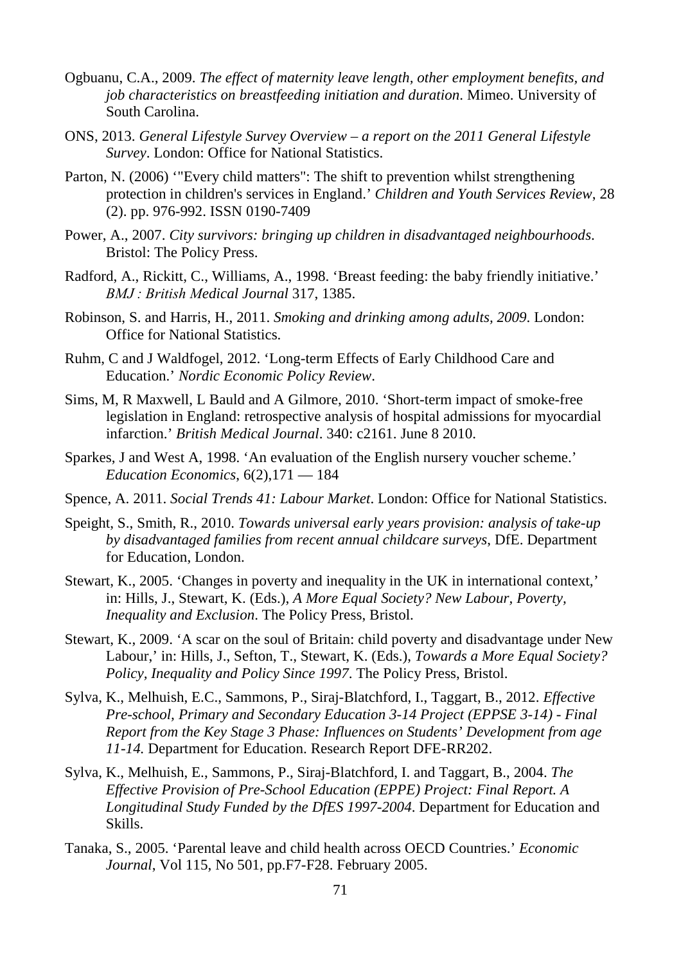- Ogbuanu, C.A., 2009. *The effect of maternity leave length, other employment benefits, and job characteristics on breastfeeding initiation and duration*. Mimeo. University of South Carolina.
- ONS, 2013. *General Lifestyle Survey Overview – a report on the 2011 General Lifestyle Survey*. London: Office for National Statistics.
- Parton, N. (2006) '"Every child matters": The shift to prevention whilst strengthening protection in children's services in England.' *Children and Youth Services Review*, 28 (2). pp. 976-992. ISSN 0190-7409
- Power, A., 2007. *City survivors: bringing up children in disadvantaged neighbourhoods*. Bristol: The Policy Press.
- Radford, A., Rickitt, C., Williams, A., 1998. 'Breast feeding: the baby friendly initiative.' *BMJ : British Medical Journal* 317, 1385.
- Robinson, S. and Harris, H., 2011. *Smoking and drinking among adults, 2009*. London: Office for National Statistics.
- Ruhm, C and J Waldfogel, 2012. 'Long-term Effects of Early Childhood Care and Education.' *Nordic Economic Policy Review*.
- Sims, M, R Maxwell, L Bauld and A Gilmore, 2010. 'Short-term impact of smoke-free legislation in England: retrospective analysis of hospital admissions for myocardial infarction.' *British Medical Journal*. 340: c2161. June 8 2010.
- Sparkes, J and West A, 1998. 'An evaluation of the English nursery voucher scheme.' *Education Economics*, 6(2),171 — 184
- Spence, A. 2011. *Social Trends 41: Labour Market*. London: Office for National Statistics.
- Speight, S., Smith, R., 2010. *Towards universal early years provision: analysis of take-up by disadvantaged families from recent annual childcare surveys*, DfE. Department for Education, London.
- Stewart, K., 2005. 'Changes in poverty and inequality in the UK in international context,' in: Hills, J., Stewart, K. (Eds.), *A More Equal Society? New Labour, Poverty, Inequality and Exclusion*. The Policy Press, Bristol.
- Stewart, K., 2009. 'A scar on the soul of Britain: child poverty and disadvantage under New Labour,' in: Hills, J., Sefton, T., Stewart, K. (Eds.), *Towards a More Equal Society? Policy, Inequality and Policy Since 1997*. The Policy Press, Bristol.
- Sylva, K., Melhuish, E.C., Sammons, P., Siraj-Blatchford, I., Taggart, B., 2012. *Effective Pre-school, Primary and Secondary Education 3-14 Project (EPPSE 3-14) - Final Report from the Key Stage 3 Phase: Influences on Students' Development from age 11-14.* Department for Education. Research Report DFE-RR202.
- Sylva, K., Melhuish, E., Sammons, P., Siraj-Blatchford, I. and Taggart, B., 2004. *The Effective Provision of Pre-School Education (EPPE) Project: Final Report. A Longitudinal Study Funded by the DfES 1997-2004*. Department for Education and Skills.
- Tanaka, S., 2005. 'Parental leave and child health across OECD Countries.' *Economic Journal*, Vol 115, No 501, pp.F7-F28. February 2005.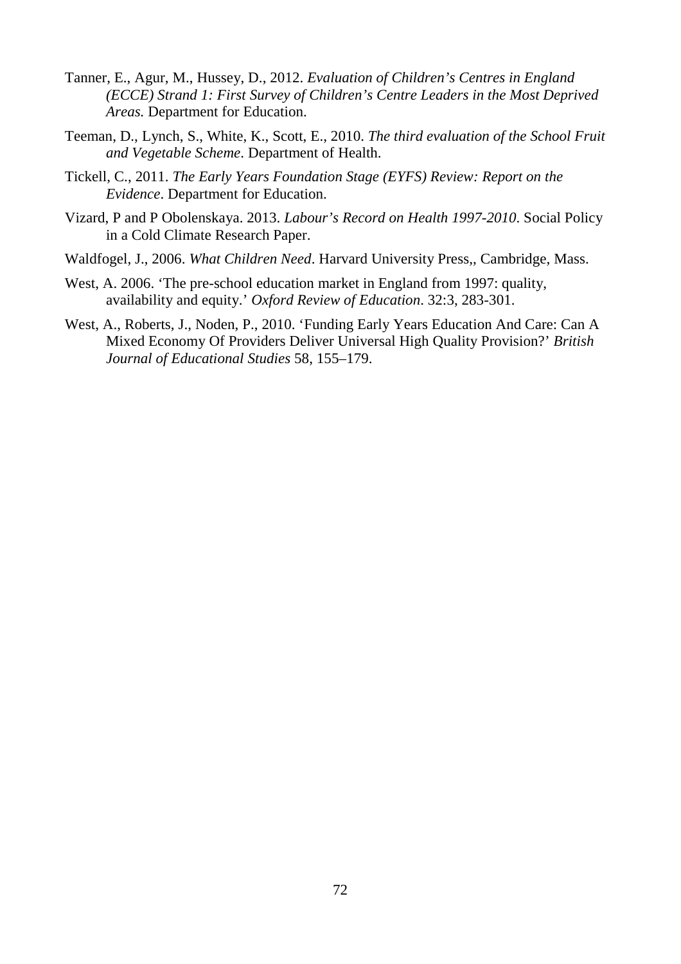- Tanner, E., Agur, M., Hussey, D., 2012. *Evaluation of Children's Centres in England (ECCE) Strand 1: First Survey of Children's Centre Leaders in the Most Deprived Areas.* Department for Education.
- Teeman, D., Lynch, S., White, K., Scott, E., 2010. *The third evaluation of the School Fruit and Vegetable Scheme*. Department of Health.
- Tickell, C., 2011. *The Early Years Foundation Stage (EYFS) Review: Report on the Evidence*. Department for Education.
- Vizard, P and P Obolenskaya. 2013. *Labour's Record on Health 1997-2010*. Social Policy in a Cold Climate Research Paper.
- Waldfogel, J., 2006. *What Children Need*. Harvard University Press,, Cambridge, Mass.
- West, A. 2006. 'The pre-school education market in England from 1997: quality, availability and equity.' *Oxford Review of Education*. 32:3, 283-301.
- West, A., Roberts, J., Noden, P., 2010. 'Funding Early Years Education And Care: Can A Mixed Economy Of Providers Deliver Universal High Quality Provision?' *British Journal of Educational Studies* 58, 155–179.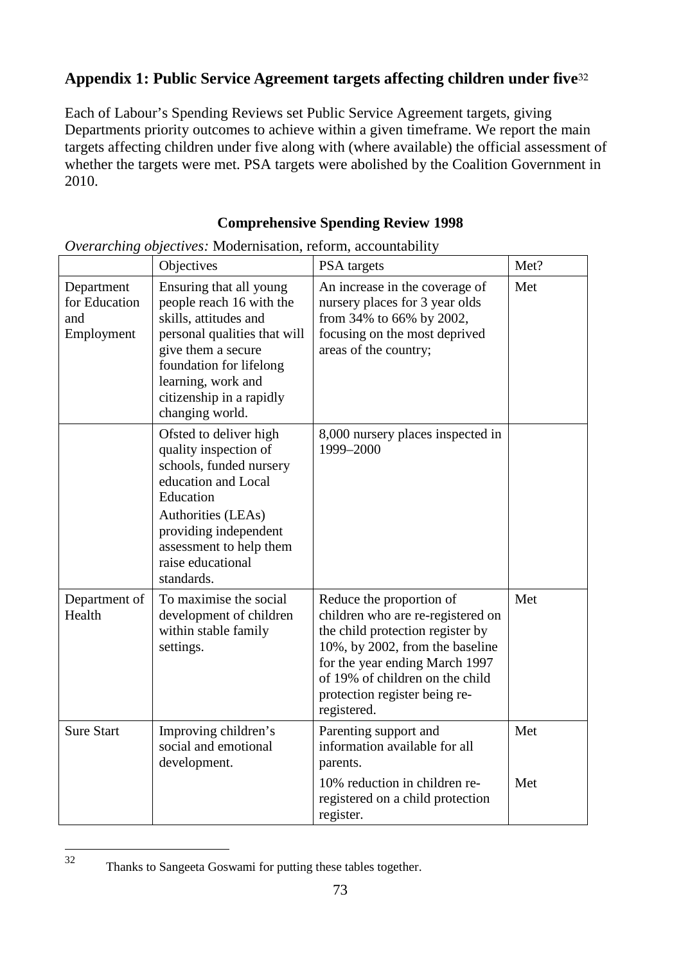### **Appendix 1: Public Service Agreement targets affecting children under five**[32](#page-76-0)

Each of Labour's Spending Reviews set Public Service Agreement targets, giving Departments priority outcomes to achieve within a given timeframe. We report the main targets affecting children under five along with (where available) the official assessment of whether the targets were met. PSA targets were abolished by the Coalition Government in 2010.

#### **Comprehensive Spending Review 1998**

|                                                  | Objectives                                                                                                                                                                                                                         | PSA targets                                                                                                                                                                                                                                               | Met? |
|--------------------------------------------------|------------------------------------------------------------------------------------------------------------------------------------------------------------------------------------------------------------------------------------|-----------------------------------------------------------------------------------------------------------------------------------------------------------------------------------------------------------------------------------------------------------|------|
| Department<br>for Education<br>and<br>Employment | Ensuring that all young<br>people reach 16 with the<br>skills, attitudes and<br>personal qualities that will<br>give them a secure<br>foundation for lifelong<br>learning, work and<br>citizenship in a rapidly<br>changing world. | An increase in the coverage of<br>nursery places for 3 year olds<br>from 34% to 66% by 2002,<br>focusing on the most deprived<br>areas of the country;                                                                                                    | Met  |
|                                                  | Ofsted to deliver high<br>quality inspection of<br>schools, funded nursery<br>education and Local<br>Education<br>Authorities (LEAs)<br>providing independent<br>assessment to help them<br>raise educational<br>standards.        | 8,000 nursery places inspected in<br>1999-2000                                                                                                                                                                                                            |      |
| Department of<br>Health                          | To maximise the social<br>development of children<br>within stable family<br>settings.                                                                                                                                             | Reduce the proportion of<br>children who are re-registered on<br>the child protection register by<br>10%, by 2002, from the baseline<br>for the year ending March 1997<br>of 19% of children on the child<br>protection register being re-<br>registered. | Met  |
| <b>Sure Start</b>                                | Improving children's<br>social and emotional<br>development.                                                                                                                                                                       | Parenting support and<br>information available for all<br>parents.                                                                                                                                                                                        | Met  |
|                                                  |                                                                                                                                                                                                                                    | 10% reduction in children re-<br>registered on a child protection<br>register.                                                                                                                                                                            | Met  |

*Overarching objectives:* Modernisation, reform, accountability

<span id="page-76-0"></span>Thanks to Sangeeta Goswami for putting these tables together.  $32$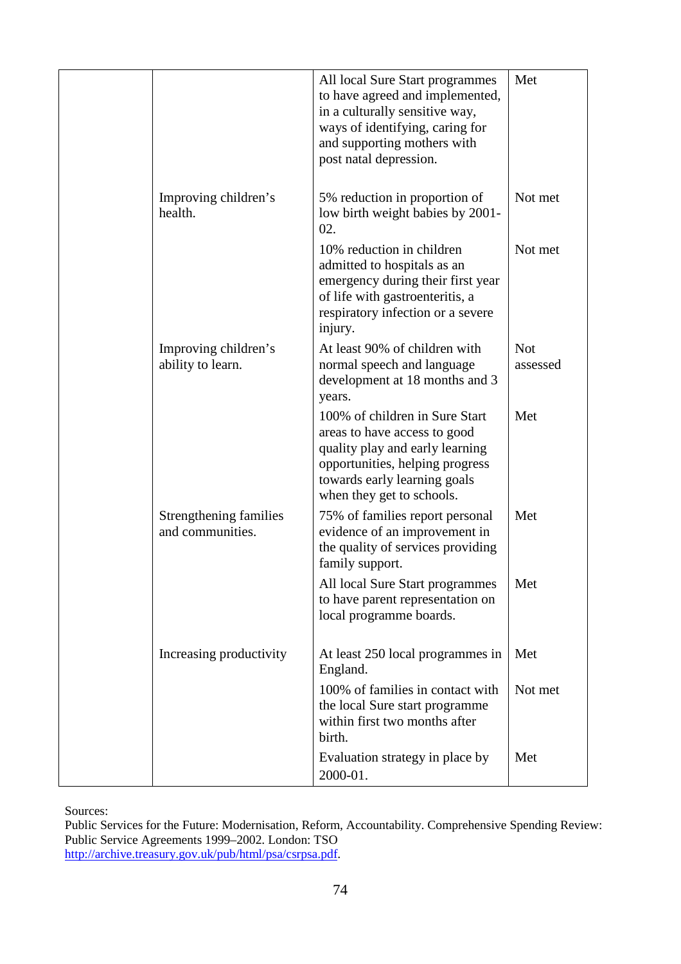|                                            | All local Sure Start programmes<br>to have agreed and implemented,<br>in a culturally sensitive way,<br>ways of identifying, caring for<br>and supporting mothers with<br>post natal depression.  | Met                    |
|--------------------------------------------|---------------------------------------------------------------------------------------------------------------------------------------------------------------------------------------------------|------------------------|
| Improving children's<br>health.            | 5% reduction in proportion of<br>low birth weight babies by 2001-<br>02.                                                                                                                          | Not met                |
|                                            | 10% reduction in children<br>admitted to hospitals as an<br>emergency during their first year<br>of life with gastroenteritis, a<br>respiratory infection or a severe<br>injury.                  | Not met                |
| Improving children's<br>ability to learn.  | At least 90% of children with<br>normal speech and language<br>development at 18 months and 3<br>years.                                                                                           | <b>Not</b><br>assessed |
|                                            | 100% of children in Sure Start<br>areas to have access to good<br>quality play and early learning<br>opportunities, helping progress<br>towards early learning goals<br>when they get to schools. | Met                    |
| Strengthening families<br>and communities. | 75% of families report personal<br>evidence of an improvement in<br>the quality of services providing<br>family support.                                                                          | Met                    |
|                                            | All local Sure Start programmes<br>to have parent representation on<br>local programme boards.                                                                                                    | Met                    |
| Increasing productivity                    | At least 250 local programmes in<br>England.                                                                                                                                                      | Met                    |
|                                            | 100% of families in contact with<br>the local Sure start programme<br>within first two months after<br>birth.                                                                                     | Not met                |
|                                            | Evaluation strategy in place by<br>2000-01.                                                                                                                                                       | Met                    |

Public Services for the Future: Modernisation, Reform, Accountability. Comprehensive Spending Review: Public Service Agreements 1999–2002. London: TSO [http://archive.treasury.gov.uk/pub/html/psa/csrpsa.pdf.](http://archive.treasury.gov.uk/pub/html/psa/csrpsa.pdf)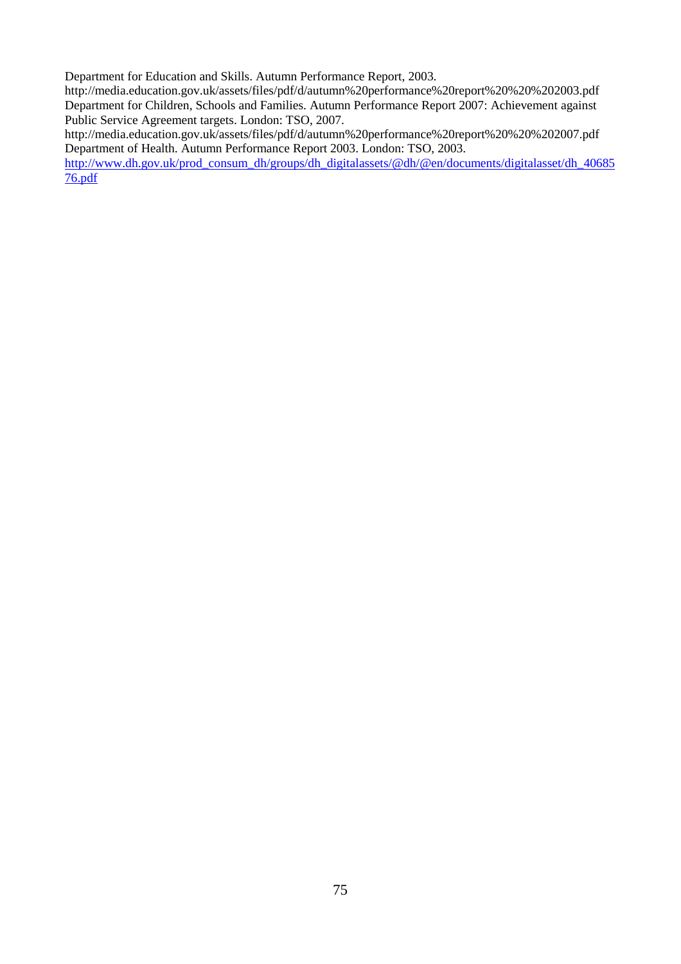Department for Education and Skills. Autumn Performance Report, 2003.

http://media.education.gov.uk/assets/files/pdf/d/autumn%20performance%20report%20%20%202003.pdf Department for Children, Schools and Families. Autumn Performance Report 2007: Achievement against Public Service Agreement targets. London: TSO, 2007.

http://media.education.gov.uk/assets/files/pdf/d/autumn%20performance%20report%20%20%202007.pdf Department of Health. Autumn Performance Report 2003. London: TSO, 2003.

[http://www.dh.gov.uk/prod\\_consum\\_dh/groups/dh\\_digitalassets/@dh/@en/documents/digitalasset/dh\\_40685](http://www.dh.gov.uk/prod_consum_dh/groups/dh_digitalassets/@dh/@en/documents/digitalasset/dh_4068576.pdf) [76.pdf](http://www.dh.gov.uk/prod_consum_dh/groups/dh_digitalassets/@dh/@en/documents/digitalasset/dh_4068576.pdf)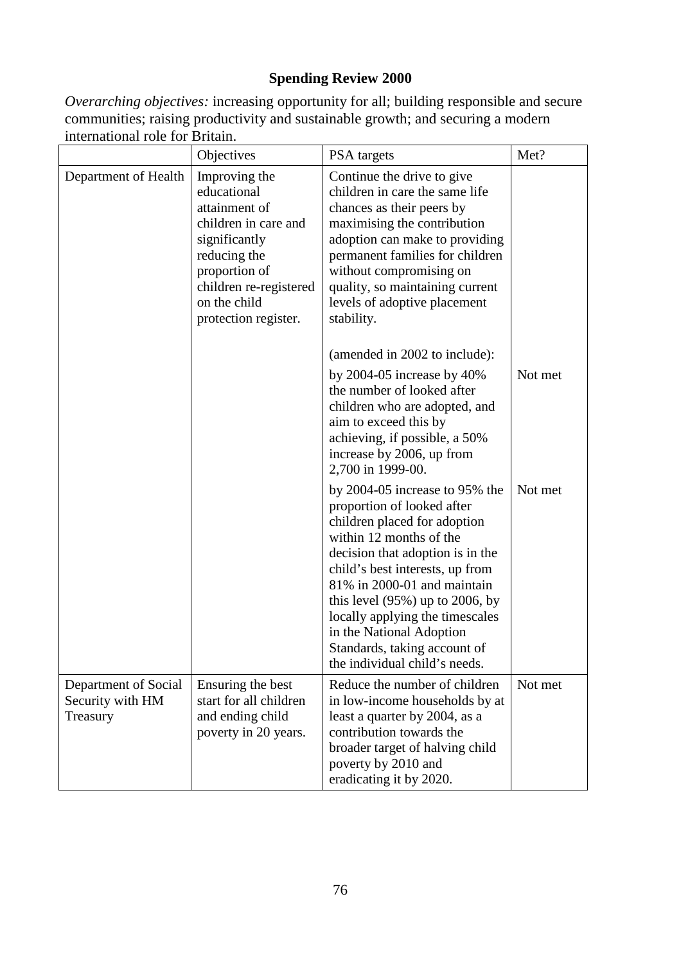#### **Spending Review 2000**

*Overarching objectives:* increasing opportunity for all; building responsible and secure communities; raising productivity and sustainable growth; and securing a modern international role for Britain.

|                                                      | Objectives                                                                                                                                                                                | PSA targets                                                                                                                                                                                                                                                                                                                                                                                          | Met?    |
|------------------------------------------------------|-------------------------------------------------------------------------------------------------------------------------------------------------------------------------------------------|------------------------------------------------------------------------------------------------------------------------------------------------------------------------------------------------------------------------------------------------------------------------------------------------------------------------------------------------------------------------------------------------------|---------|
| Department of Health                                 | Improving the<br>educational<br>attainment of<br>children in care and<br>significantly<br>reducing the<br>proportion of<br>children re-registered<br>on the child<br>protection register. | Continue the drive to give<br>children in care the same life<br>chances as their peers by<br>maximising the contribution<br>adoption can make to providing<br>permanent families for children<br>without compromising on<br>quality, so maintaining current<br>levels of adoptive placement<br>stability.                                                                                            |         |
|                                                      |                                                                                                                                                                                           | (amended in 2002 to include):<br>by $2004-05$ increase by $40\%$<br>the number of looked after<br>children who are adopted, and<br>aim to exceed this by<br>achieving, if possible, a 50%<br>increase by 2006, up from<br>2,700 in 1999-00.                                                                                                                                                          | Not met |
|                                                      |                                                                                                                                                                                           | by $2004-05$ increase to 95% the<br>proportion of looked after<br>children placed for adoption<br>within 12 months of the<br>decision that adoption is in the<br>child's best interests, up from<br>81% in 2000-01 and maintain<br>this level $(95%)$ up to 2006, by<br>locally applying the timescales<br>in the National Adoption<br>Standards, taking account of<br>the individual child's needs. | Not met |
| Department of Social<br>Security with HM<br>Treasury | Ensuring the best<br>start for all children<br>and ending child<br>poverty in 20 years.                                                                                                   | Reduce the number of children<br>in low-income households by at<br>least a quarter by 2004, as a<br>contribution towards the<br>broader target of halving child<br>poverty by 2010 and<br>eradicating it by 2020.                                                                                                                                                                                    | Not met |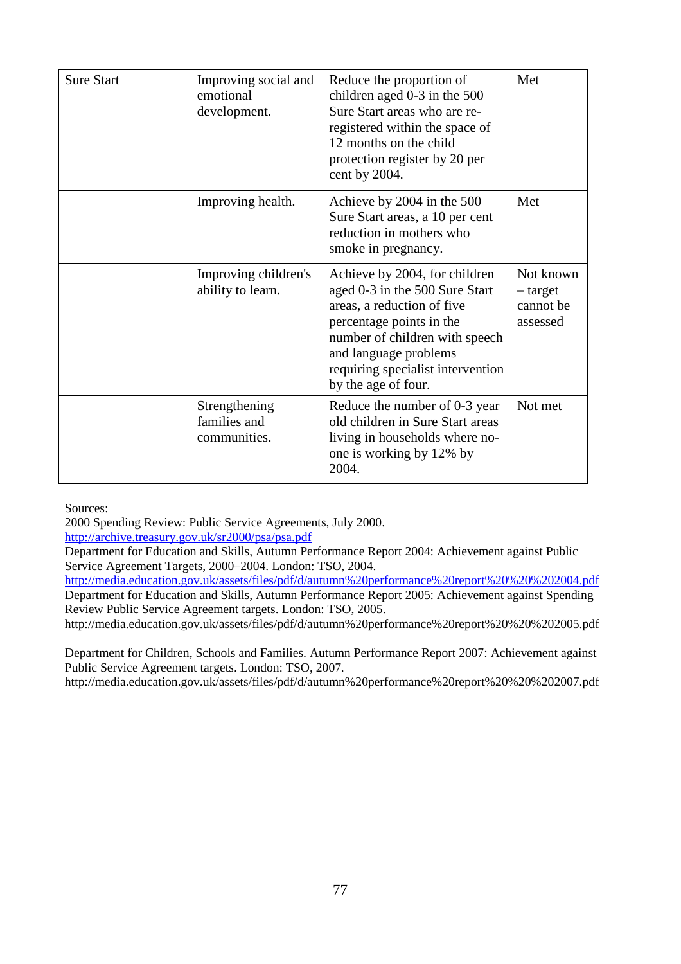| <b>Sure Start</b> | Improving social and<br>emotional<br>development. | Reduce the proportion of<br>children aged $0-3$ in the $500$<br>Sure Start areas who are re-<br>registered within the space of<br>12 months on the child<br>protection register by 20 per<br>cent by 2004.                                       | Met                                            |
|-------------------|---------------------------------------------------|--------------------------------------------------------------------------------------------------------------------------------------------------------------------------------------------------------------------------------------------------|------------------------------------------------|
|                   | Improving health.                                 | Achieve by 2004 in the 500<br>Sure Start areas, a 10 per cent<br>reduction in mothers who<br>smoke in pregnancy.                                                                                                                                 | Met                                            |
|                   | Improving children's<br>ability to learn.         | Achieve by 2004, for children<br>aged 0-3 in the 500 Sure Start<br>areas, a reduction of five<br>percentage points in the<br>number of children with speech<br>and language problems<br>requiring specialist intervention<br>by the age of four. | Not known<br>- target<br>cannot be<br>assessed |
|                   | Strengthening<br>families and<br>communities.     | Reduce the number of 0-3 year<br>old children in Sure Start areas<br>living in households where no-<br>one is working by 12% by<br>2004.                                                                                                         | Not met                                        |

2000 Spending Review: Public Service Agreements, July 2000.

<http://archive.treasury.gov.uk/sr2000/psa/psa.pdf>

Department for Education and Skills, Autumn Performance Report 2004: Achievement against Public Service Agreement Targets, 2000–2004. London: TSO, 2004.

<http://media.education.gov.uk/assets/files/pdf/d/autumn%20performance%20report%20%20%202004.pdf> Department for Education and Skills, Autumn Performance Report 2005: Achievement against Spending Review Public Service Agreement targets. London: TSO, 2005.

http://media.education.gov.uk/assets/files/pdf/d/autumn%20performance%20report%20%20%202005.pdf

Department for Children, Schools and Families. Autumn Performance Report 2007: Achievement against Public Service Agreement targets. London: TSO, 2007.

http://media.education.gov.uk/assets/files/pdf/d/autumn%20performance%20report%20%20%202007.pdf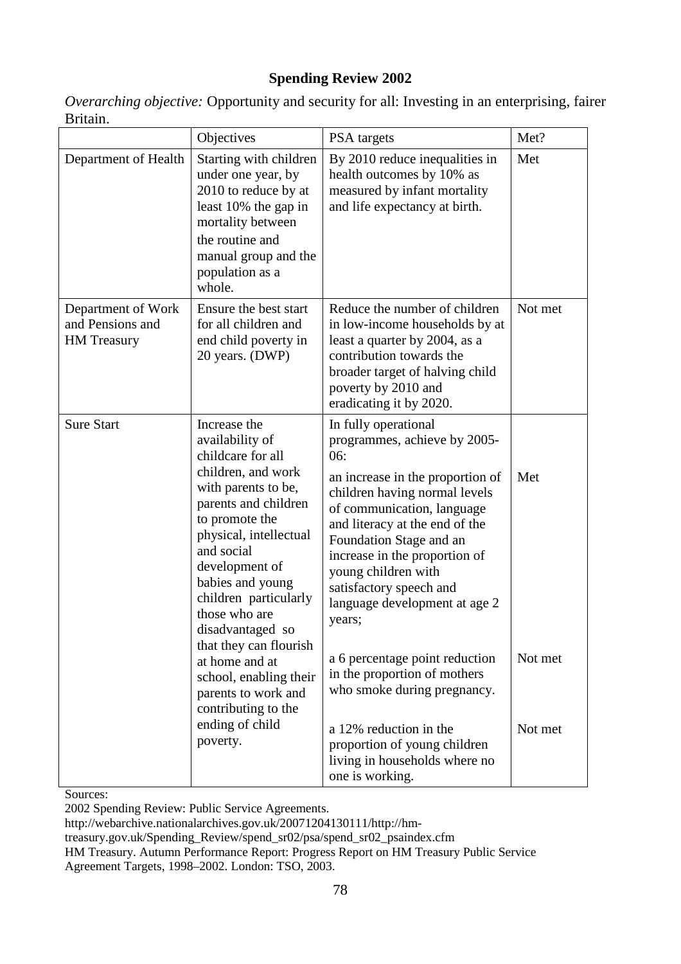#### **Spending Review 2002**

| <i>Overarching objective:</i> Opportunity and security for all: Investing in an enterprising, fairer |  |
|------------------------------------------------------------------------------------------------------|--|
| Britain.                                                                                             |  |

|                                                              | Objectives                                                                                                                                                                                                                                                                                                        | PSA targets                                                                                                                                                                                                                                                                                                                                               | Met?               |
|--------------------------------------------------------------|-------------------------------------------------------------------------------------------------------------------------------------------------------------------------------------------------------------------------------------------------------------------------------------------------------------------|-----------------------------------------------------------------------------------------------------------------------------------------------------------------------------------------------------------------------------------------------------------------------------------------------------------------------------------------------------------|--------------------|
| Department of Health                                         | Starting with children<br>under one year, by<br>2010 to reduce by at<br>least 10% the gap in<br>mortality between<br>the routine and<br>manual group and the<br>population as a<br>whole.                                                                                                                         | By 2010 reduce inequalities in<br>health outcomes by 10% as<br>measured by infant mortality<br>and life expectancy at birth.                                                                                                                                                                                                                              | Met                |
| Department of Work<br>and Pensions and<br><b>HM</b> Treasury | Ensure the best start<br>for all children and<br>end child poverty in<br>20 years. (DWP)                                                                                                                                                                                                                          | Reduce the number of children<br>in low-income households by at<br>least a quarter by 2004, as a<br>contribution towards the<br>broader target of halving child<br>poverty by 2010 and<br>eradicating it by 2020.                                                                                                                                         | Not met            |
| <b>Sure Start</b>                                            | Increase the<br>availability of<br>childcare for all<br>children, and work<br>with parents to be,<br>parents and children<br>to promote the<br>physical, intellectual<br>and social<br>development of<br>babies and young<br>children particularly<br>those who are<br>disadvantaged so<br>that they can flourish | In fully operational<br>programmes, achieve by 2005-<br>06:<br>an increase in the proportion of<br>children having normal levels<br>of communication, language<br>and literacy at the end of the<br>Foundation Stage and an<br>increase in the proportion of<br>young children with<br>satisfactory speech and<br>language development at age 2<br>years; | Met                |
|                                                              | at home and at<br>school, enabling their<br>parents to work and<br>contributing to the<br>ending of child<br>poverty.                                                                                                                                                                                             | a 6 percentage point reduction<br>in the proportion of mothers<br>who smoke during pregnancy.<br>a 12% reduction in the<br>proportion of young children<br>living in households where no<br>one is working.                                                                                                                                               | Not met<br>Not met |

Sources:

2002 Spending Review: Public Service Agreements.

http://webarchive.nationalarchives.gov.uk/20071204130111/http://hm-

treasury.gov.uk/Spending\_Review/spend\_sr02/psa/spend\_sr02\_psaindex.cfm

HM Treasury. Autumn Performance Report: Progress Report on HM Treasury Public Service Agreement Targets, 1998–2002. London: TSO, 2003.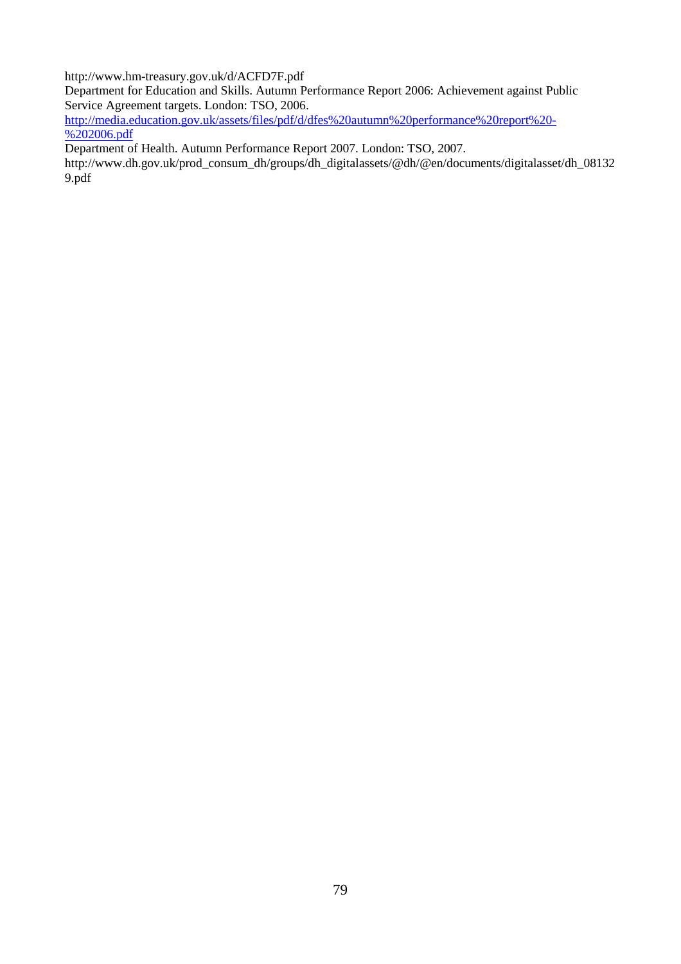http://www.hm-treasury.gov.uk/d/ACFD7F.pdf

Department for Education and Skills. Autumn Performance Report 2006: Achievement against Public Service Agreement targets. London: TSO, 2006.

[http://media.education.gov.uk/assets/files/pdf/d/dfes%20autumn%20performance%20report%20-](http://media.education.gov.uk/assets/files/pdf/d/dfes%20autumn%20performance%20report%20-%202006.pdf)  $% 202006.pdf$ 

Department of Health. Autumn Performance Report 2007. London: TSO, 2007.

http://www.dh.gov.uk/prod\_consum\_dh/groups/dh\_digitalassets/@dh/@en/documents/digitalasset/dh\_08132 9.pdf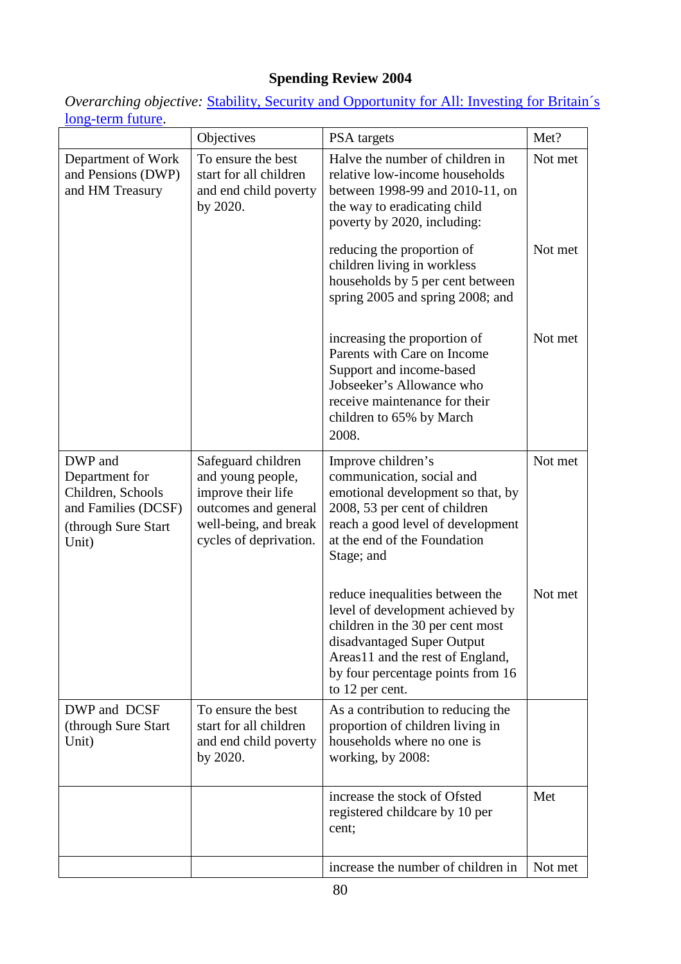# **Spending Review 2004**

*Overarching objective:* [Stability, Security and Opportunity for All: Investing for Britain´s](http://webarchive.nationalarchives.gov.uk/20071204130111/http:/hm-treasury.gov.uk/spending_review/spend_sr04/report/spend_sr04_repindex.cfm)  [long-term future.](http://webarchive.nationalarchives.gov.uk/20071204130111/http:/hm-treasury.gov.uk/spending_review/spend_sr04/report/spend_sr04_repindex.cfm)

|                                                                                                       | Objectives                                                                                                                               | PSA targets                                                                                                                                                                                                                       | Met?    |
|-------------------------------------------------------------------------------------------------------|------------------------------------------------------------------------------------------------------------------------------------------|-----------------------------------------------------------------------------------------------------------------------------------------------------------------------------------------------------------------------------------|---------|
| Department of Work<br>and Pensions (DWP)<br>and HM Treasury                                           | To ensure the best<br>start for all children<br>and end child poverty<br>by 2020.                                                        | Halve the number of children in<br>relative low-income households<br>between 1998-99 and 2010-11, on<br>the way to eradicating child<br>poverty by 2020, including:                                                               | Not met |
|                                                                                                       |                                                                                                                                          | reducing the proportion of<br>children living in workless<br>households by 5 per cent between<br>spring 2005 and spring 2008; and                                                                                                 | Not met |
|                                                                                                       |                                                                                                                                          | increasing the proportion of<br>Parents with Care on Income<br>Support and income-based<br>Jobseeker's Allowance who<br>receive maintenance for their<br>children to 65% by March<br>2008.                                        | Not met |
| DWP and<br>Department for<br>Children, Schools<br>and Families (DCSF)<br>(through Sure Start<br>Unit) | Safeguard children<br>and young people,<br>improve their life<br>outcomes and general<br>well-being, and break<br>cycles of deprivation. | Improve children's<br>communication, social and<br>emotional development so that, by<br>2008, 53 per cent of children<br>reach a good level of development<br>at the end of the Foundation<br>Stage; and                          | Not met |
|                                                                                                       |                                                                                                                                          | reduce inequalities between the<br>level of development achieved by<br>children in the 30 per cent most<br>disadvantaged Super Output<br>Areas11 and the rest of England,<br>by four percentage points from 16<br>to 12 per cent. | Not met |
| DWP and DCSF<br>(through Sure Start)<br>Unit)                                                         | To ensure the best<br>start for all children<br>and end child poverty<br>by 2020.                                                        | As a contribution to reducing the<br>proportion of children living in<br>households where no one is<br>working, by 2008:                                                                                                          |         |
|                                                                                                       |                                                                                                                                          | increase the stock of Ofsted<br>registered childcare by 10 per<br>cent;                                                                                                                                                           | Met     |
|                                                                                                       |                                                                                                                                          | increase the number of children in                                                                                                                                                                                                | Not met |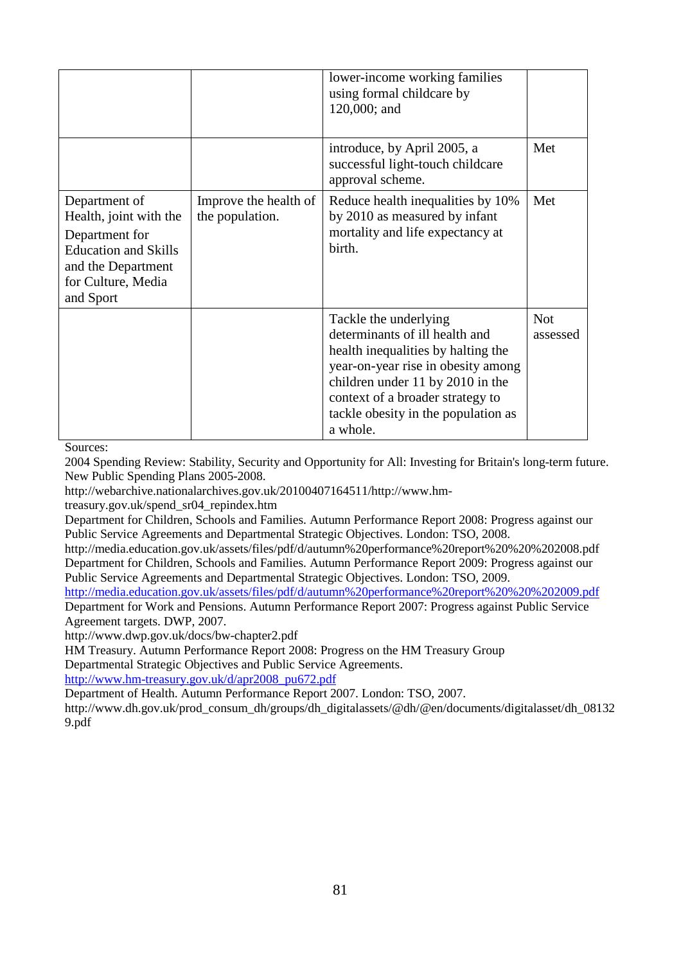|                                                                                                                                                   |                                          | lower-income working families<br>using formal childcare by<br>120,000; and                                                                                                                                                                                     |                        |
|---------------------------------------------------------------------------------------------------------------------------------------------------|------------------------------------------|----------------------------------------------------------------------------------------------------------------------------------------------------------------------------------------------------------------------------------------------------------------|------------------------|
|                                                                                                                                                   |                                          | introduce, by April 2005, a<br>successful light-touch childcare<br>approval scheme.                                                                                                                                                                            | Met                    |
| Department of<br>Health, joint with the<br>Department for<br><b>Education and Skills</b><br>and the Department<br>for Culture, Media<br>and Sport | Improve the health of<br>the population. | Reduce health inequalities by 10%<br>by 2010 as measured by infant<br>mortality and life expectancy at<br>birth.                                                                                                                                               | Met                    |
|                                                                                                                                                   |                                          | Tackle the underlying<br>determinants of ill health and<br>health inequalities by halting the<br>year-on-year rise in obesity among<br>children under 11 by 2010 in the<br>context of a broader strategy to<br>tackle obesity in the population as<br>a whole. | <b>Not</b><br>assessed |

2004 Spending Review: Stability, Security and Opportunity for All: Investing for Britain's long-term future. New Public Spending Plans 2005-2008.

http://webarchive.nationalarchives.gov.uk/20100407164511/http://www.hm-

treasury.gov.uk/spend\_sr04\_repindex.htm

Department for Children, Schools and Families. Autumn Performance Report 2008: Progress against our Public Service Agreements and Departmental Strategic Objectives. London: TSO, 2008.

http://media.education.gov.uk/assets/files/pdf/d/autumn%20performance%20report%20%20%202008.pdf Department for Children, Schools and Families. Autumn Performance Report 2009: Progress against our Public Service Agreements and Departmental Strategic Objectives. London: TSO, 2009.

<http://media.education.gov.uk/assets/files/pdf/d/autumn%20performance%20report%20%20%202009.pdf> Department for Work and Pensions. Autumn Performance Report 2007: Progress against Public Service Agreement targets. DWP, 2007.

http://www.dwp.gov.uk/docs/bw-chapter2.pdf

HM Treasury. Autumn Performance Report 2008: Progress on the HM Treasury Group Departmental Strategic Objectives and Public Service Agreements.

[http://www.hm-treasury.gov.uk/d/apr2008\\_pu672.pdf](http://www.hm-treasury.gov.uk/d/apr2008_pu672.pdf)

Department of Health. Autumn Performance Report 2007. London: TSO, 2007.

http://www.dh.gov.uk/prod\_consum\_dh/groups/dh\_digitalassets/@dh/@en/documents/digitalasset/dh\_08132 9.pdf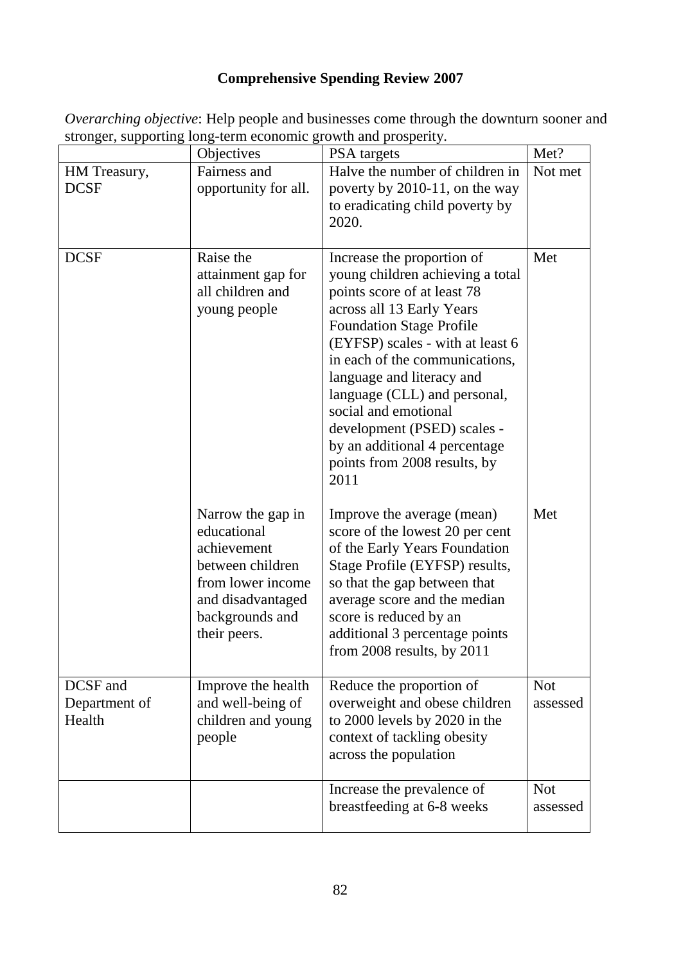## **Comprehensive Spending Review 2007**

|                                     | Objectives                                                                                                                                       | PSA targets                                                                                                                                                                                                                                                                                                                                                                                                                      | Met?                   |
|-------------------------------------|--------------------------------------------------------------------------------------------------------------------------------------------------|----------------------------------------------------------------------------------------------------------------------------------------------------------------------------------------------------------------------------------------------------------------------------------------------------------------------------------------------------------------------------------------------------------------------------------|------------------------|
| HM Treasury,<br><b>DCSF</b>         | Fairness and<br>opportunity for all.                                                                                                             | Halve the number of children in<br>poverty by 2010-11, on the way<br>to eradicating child poverty by<br>2020.                                                                                                                                                                                                                                                                                                                    | Not met                |
| <b>DCSF</b>                         | Raise the<br>attainment gap for<br>all children and<br>young people                                                                              | Increase the proportion of<br>young children achieving a total<br>points score of at least 78<br>across all 13 Early Years<br><b>Foundation Stage Profile</b><br>(EYFSP) scales - with at least 6<br>in each of the communications,<br>language and literacy and<br>language (CLL) and personal,<br>social and emotional<br>development (PSED) scales -<br>by an additional 4 percentage<br>points from 2008 results, by<br>2011 | Met                    |
|                                     | Narrow the gap in<br>educational<br>achievement<br>between children<br>from lower income<br>and disadvantaged<br>backgrounds and<br>their peers. | Improve the average (mean)<br>score of the lowest 20 per cent<br>of the Early Years Foundation<br>Stage Profile (EYFSP) results,<br>so that the gap between that<br>average score and the median<br>score is reduced by an<br>additional 3 percentage points<br>from 2008 results, by 2011                                                                                                                                       | Met                    |
| DCSF and<br>Department of<br>Health | Improve the health<br>and well-being of<br>children and young<br>people                                                                          | Reduce the proportion of<br>overweight and obese children<br>to 2000 levels by 2020 in the<br>context of tackling obesity<br>across the population                                                                                                                                                                                                                                                                               | <b>Not</b><br>assessed |
|                                     |                                                                                                                                                  | Increase the prevalence of<br>breastfeeding at 6-8 weeks                                                                                                                                                                                                                                                                                                                                                                         | <b>Not</b><br>assessed |

*Overarching objective*: Help people and businesses come through the downturn sooner and stronger, supporting long-term economic growth and prosperity.